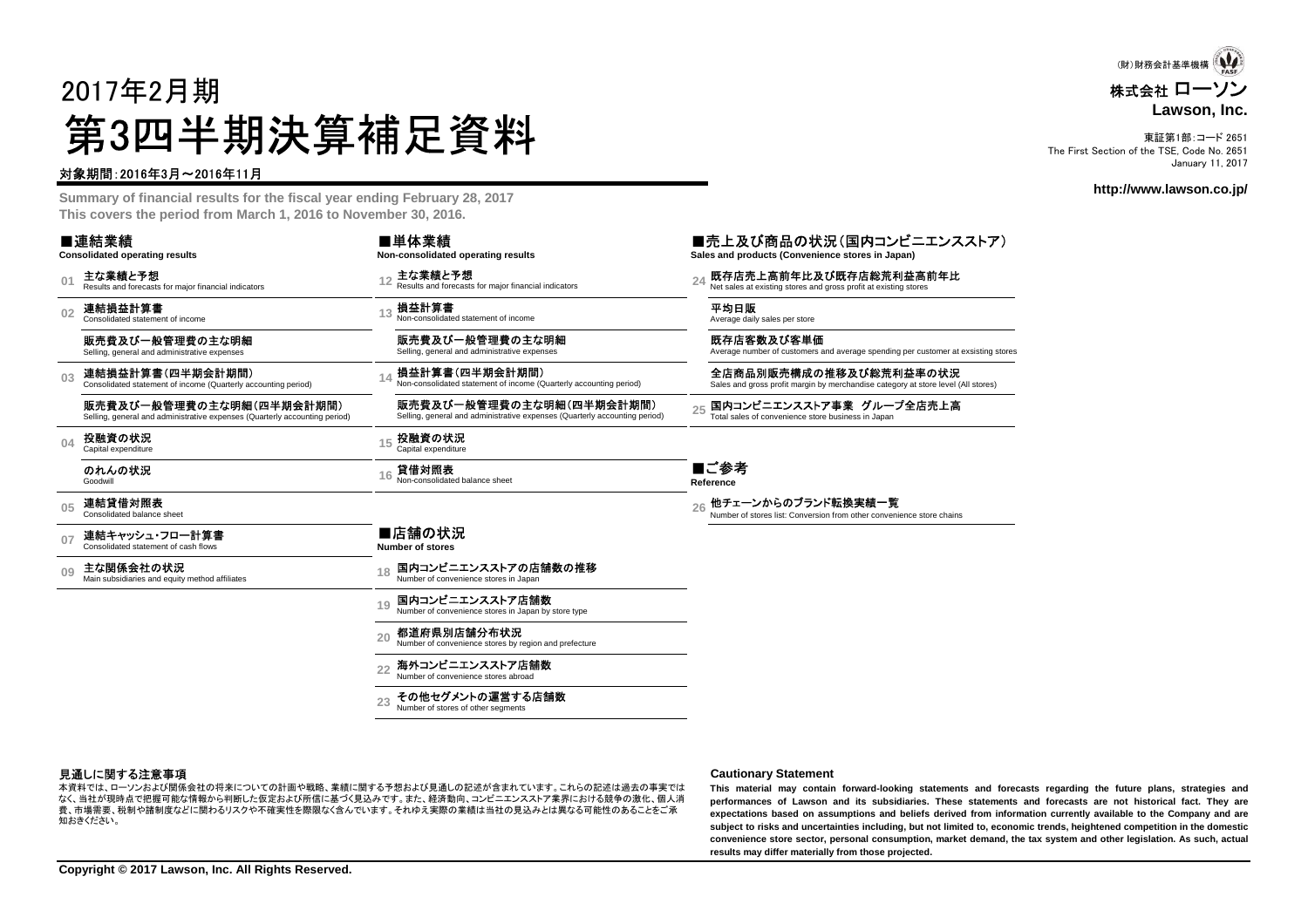# 2017年2月期第3四半期決算補足資料

#### 対象期間:2016年3月~2016年11月

 **Summary of financial results for the fiscal year ending February 28, 2017This covers the period from March 1, 2016 to November 30, 2016.**

|                | ■連結業績<br><b>Consolidated operating results</b>                                                         | ■単体業績<br>Non-consolidated operating results                                                            | ■売上及び商品の状況(国内コンビニエンスストア)<br>Sales and products (Convenience stores in Japan)                                |
|----------------|--------------------------------------------------------------------------------------------------------|--------------------------------------------------------------------------------------------------------|-------------------------------------------------------------------------------------------------------------|
| 01             | 主な業績と予想<br>Results and forecasts for major financial indicators                                        | 主な業績と予想<br>Results and forecasts for major financial indicators                                        | 既存店売上高前年比及び既存店総荒利益高前年比<br>Net sales at existing stores and gross profit at existing stores                  |
| 0 <sub>2</sub> | 連結損益計算書<br>Consolidated statement of income                                                            | 損益計算書<br>Non-consolidated statement of income                                                          | 平均日販<br>Average daily sales per store                                                                       |
|                | 販売費及び一般管理費の主な明細<br>Selling, general and administrative expenses                                        | 販売費及び一般管理費の主な明細<br>Selling, general and administrative expenses                                        | 既存店客数及び客単価<br>Average number of customers and average spending per customer at exsisting stores             |
| 03             | 連結損益計算書(四半期会計期間)<br>Consolidated statement of income (Quarterly accounting period)                     | 損益計算書(四半期会計期間)<br>Non-consolidated statement of income (Quarterly accounting period)                   | 全店商品別販売構成の推移及び総荒利益率の状況<br>Sales and gross profit margin by merchandise category at store level (All stores) |
|                | 販売費及び一般管理費の主な明細(四半期会計期間)<br>Selling, general and administrative expenses (Quarterly accounting period) | 販売費及び一般管理費の主な明細(四半期会計期間)<br>Selling, general and administrative expenses (Quarterly accounting period) | 国内コンビニエンスストア事業 グループ全店売上高<br>25<br>Total sales of convenience store business in Japan                        |
| 04             | 投融資の状況<br>Capital expenditure                                                                          | 投融資の状況<br>Capital expenditure                                                                          |                                                                                                             |
|                | のれんの状況<br>Goodwill                                                                                     | 貸借対照表<br>Non-consolidated balance sheet                                                                | ■ご参考<br>Reference                                                                                           |
| 0 <sub>5</sub> | 連結貸借対照表<br>Consolidated balance sheet                                                                  |                                                                                                        | 他チェーンからのブランド転換実績一覧<br>Number of stores list: Conversion from other convenience store chains                 |
| 07             | 連結キャッシュ・フロー計算書<br>Consolidated statement of cash flows                                                 | ■店舗の状況<br>Number of stores                                                                             |                                                                                                             |
| 09             | 主な関係会社の状況<br>Main subsidiaries and equity method affiliates                                            | 国内コンビニエンスストアの店舗数の推移<br>Number of convenience stores in Japan                                           |                                                                                                             |
|                |                                                                                                        | 国内コンビニエンスストア店舗数<br>19<br>Number of convenience stores in Japan by store type                           |                                                                                                             |
|                |                                                                                                        | 都道府県別店舗分布状況<br>20<br>Number of convenience stores by region and prefecture                             |                                                                                                             |
|                |                                                                                                        | 海外コンビニエンスストア店舗数<br>22<br>Number of convenience stores abroad                                           |                                                                                                             |
|                |                                                                                                        | その他セグメントの運営する店舗数<br>Number of stores of other segments                                                 |                                                                                                             |
|                |                                                                                                        |                                                                                                        |                                                                                                             |

#### 見通しに関する注意事項

**見通しに関する注意事項**<br>本資料では、ローソンおよび関係会社の将来についての計画や戦略、業績に関する予想および見通しの記述が含まれています。これらの記述は過去の事実では This material mav contair なく、当社が現時点で把握可能な情報から判断した仮定および所信に基づく見込みです。また、経済動向、コンビニエンスストア業界における競争の激化、個人消 費、市場需要、税制や諸制度などに関わるリスクや不確実性を際限なく含んでいます。それゆえ実際の業績は当社の見込みとは異なる可能性のあることをご承知おきください。

This material may contain forward-looking statements and forecasts regarding the future plans, strategies and performances of Lawson and its subsidiaries. These statements and forecasts are not historical fact. They are expectations based on assumptions and beliefs derived from information currently available to the Company and are<br>subject to side and uncertainties including het not limited to account to sub- hetablessed competition in th subject to risks and uncertainties including, but not limited to, economic trends, heightened competition in the domestic convenience store sector, personal consumption, market demand, the tax system and other legislation. As such, actual **results may differ materially from those projected.**

株式会社 ローソン **Lawson, Inc.**(財)財務会計基準機構

東証第1部:コード 2651 The First Section of the TSE, Code No. 2651January 11, 2017

#### **http://www.lawson.co.jp/**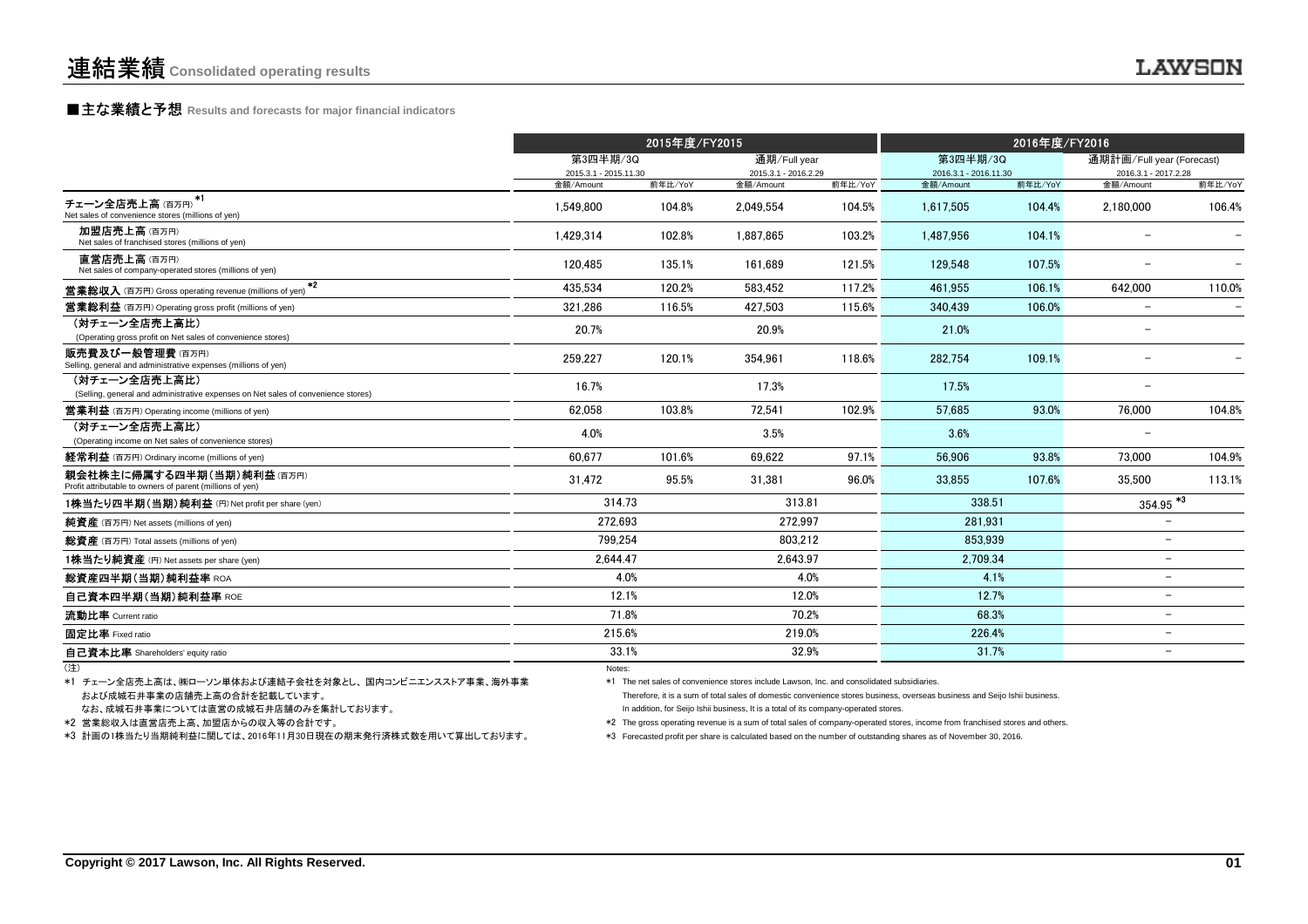### **■主な業績と予想** Results and forecasts for major financial indicators<br>
————————————————————

|                                                                                                    |                | 2015年度/FY2015                     |           |                                      |                                   | 2016年度/FY2016 |                                                   |                          |  |
|----------------------------------------------------------------------------------------------------|----------------|-----------------------------------|-----------|--------------------------------------|-----------------------------------|---------------|---------------------------------------------------|--------------------------|--|
|                                                                                                    |                | 第3四半期/3Q<br>2015.3.1 - 2015.11.30 |           | 通期/Full year<br>2015.3.1 - 2016.2.29 | 第3四半期/3Q<br>2016.3.1 - 2016.11.30 |               | 通期計画/Full year (Forecast)<br>2016.3.1 - 2017.2.28 |                          |  |
|                                                                                                    | 金額/Amount      | 前年比/YoY                           | 金額/Amount | 前年比/YoY                              | 金額/Amount                         | 前年比/YoY       | 金額/Amount                                         | 前年比/YoY                  |  |
| $+1$<br>チェーン全店売上高(百万円)<br>Net sales of convenience stores (millions of yen)                        | 1,549,800      | 104.8%                            | 2,049,554 | 104.5%                               | 1,617,505                         | 104.4%        | 2,180,000                                         | 106.4%                   |  |
| 加盟店売上高(百万円)<br>Net sales of franchised stores (millions of yen)                                    | 1,429,314      | 102.8%                            | 1.887.865 | 103.2%                               | 1.487.956                         | 104.1%        |                                                   |                          |  |
| 直営店売上高(百万円)<br>Net sales of company-operated stores (millions of yen)                              | 120.485        | 135.1%                            | 161.689   | 121.5%                               | 129.548                           | 107.5%        |                                                   |                          |  |
| $*2$<br><b>営業総収入</b> (百万円) Gross operating revenue (millions of yen)                               | 435.534        | 120.2%                            | 583,452   | 117.2%                               | 461.955                           | 106.1%        | 642,000                                           | 110.0%                   |  |
| <b>営業総利益</b> (百万円) Operating gross profit (millions of yen)                                        | 321.286        | 116.5%                            | 427.503   | 115.6%                               | 340.439                           | 106.0%        | $\overline{\phantom{a}}$                          | $\overline{\phantom{0}}$ |  |
| (対チェーン全店売上高比)<br>(Operating gross profit on Net sales of convenience stores)                       | 20.7%          |                                   | 20.9%     |                                      | 21.0%                             |               |                                                   |                          |  |
| 販売費及び一般管理費(百万円)<br>Selling, general and administrative expenses (millions of yen)                  | 259,227        | 120.1%                            | 354,961   | 118.6%                               | 282.754                           | 109.1%        |                                                   |                          |  |
| (対チェーン全店売上高比)<br>(Selling, general and administrative expenses on Net sales of convenience stores) | 16.7%          |                                   | 17.3%     |                                      | 17.5%                             |               |                                                   |                          |  |
| <b>営業利益</b> (百万円) Operating income (millions of yen)                                               | 62.058         | 103.8%                            | 72.541    | 102.9%                               | 57.685                            | 93.0%         | 76.000                                            | 104.8%                   |  |
| (対チェーン全店売上高比)<br>(Operating income on Net sales of convenience stores)                             | 4.0%           |                                   | 3.5%      |                                      | 3.6%                              |               | $\overline{\phantom{a}}$                          |                          |  |
| 経常利益 (百万円) Ordinary income (millions of yen)                                                       | 60.677         | 101.6%                            | 69.622    | 97.1%                                | 56.906                            | 93.8%         | 73.000                                            | 104.9%                   |  |
| 親会社株主に帰属する四半期(当期)純利益(百万円)<br>Profit attributable to owners of parent (millions of yen)             | 31,472         | 95.5%                             | 31,381    | 96.0%                                | 33,855                            | 107.6%        | 35,500                                            | 113.1%                   |  |
| 1株当たり四半期 (当期)純利益 (円) Net profit per share (yen)                                                    | 314.73         |                                   | 313.81    |                                      | 338.51                            |               | $354.95$ <sup>*3</sup>                            |                          |  |
| 純資産 (百万円) Net assets (millions of yen)                                                             | 272.693        |                                   | 272.997   |                                      | 281.931                           |               | $\overline{\phantom{a}}$                          |                          |  |
| 総資産 (百万円) Total assets (millions of yen)                                                           |                | 799,254                           |           | 803.212                              | 853.939                           |               |                                                   |                          |  |
| 1株当たり純資産 (円) Net assets per share (yen)                                                            |                | 2.644.47                          |           | 2.643.97                             | 2.709.34                          |               | $\overline{\phantom{a}}$                          |                          |  |
| 総資産四半期(当期)純利益率 ROA                                                                                 |                | 4.0%                              |           | 4.0%                                 | 4.1%                              |               | $\overline{\phantom{a}}$                          |                          |  |
| 自己資本四半期(当期)純利益率 ROE                                                                                | 12.1%          |                                   | 12.0%     |                                      | 12.7%                             |               | $\overline{\phantom{0}}$                          |                          |  |
| 流動比率 Current ratio                                                                                 | 71.8%          |                                   | 70.2%     |                                      | 68.3%                             |               | $\overline{\phantom{a}}$                          |                          |  |
| 固定比率 Fixed ratio                                                                                   | 215.6%         |                                   | 219.0%    |                                      | 226.4%                            |               | $\overline{\phantom{0}}$                          |                          |  |
| 自己資本比率 Shareholders' equity ratio                                                                  | 33.1%          |                                   | 32.9%     |                                      | 31.7%                             |               | $\overline{\phantom{a}}$                          |                          |  |
|                                                                                                    | N <sub>L</sub> |                                   |           |                                      |                                   |               |                                                   |                          |  |

(注)Notes: Notes: Notes: Notes: Notes: Notes: Notes: Notes: Notes: Notes: Notes: Notes: Notes: Notes: Notes: Notes: Notes: Notes: Notes: Notes: Notes: Notes: Notes: Notes: Notes: Notes: Notes: Notes: Notes: Notes: Notes: Notes

および成城石井事業の店舗売上高の合計を記載しています。 ファンドリング Therefore, it is a sum of total sales of domestic convenience stores business, overseas business and Seijo Ishii business. \*1 チェーン全店売上高は、㈱ローソン単体および連結子会社を対象とし、 国内コンビニエンスストア事業、海外事業

なお、成城石井事業については直営の成城石井店舗のみを集計しております。

\*2 営業総収入は直営店売上高、加盟店からの収入等の合計です。

\*3 計画の1株当たり当期純利益に関しては、2016年11月30日現在の期末発行済株式数を用いて算出しております。

\*1 The net sales of convenience stores include Lawson, Inc. and consolidated subsidiaries.

In addition, for Seijo Ishii business, It is a total of its company-operated stores.

\*2 The gross operating revenue is a sum of total sales of company-operated stores, income from franchised stores and others.

\*3 Forecasted profit per share is calculated based on the number of outstanding shares as of November 30, 2016.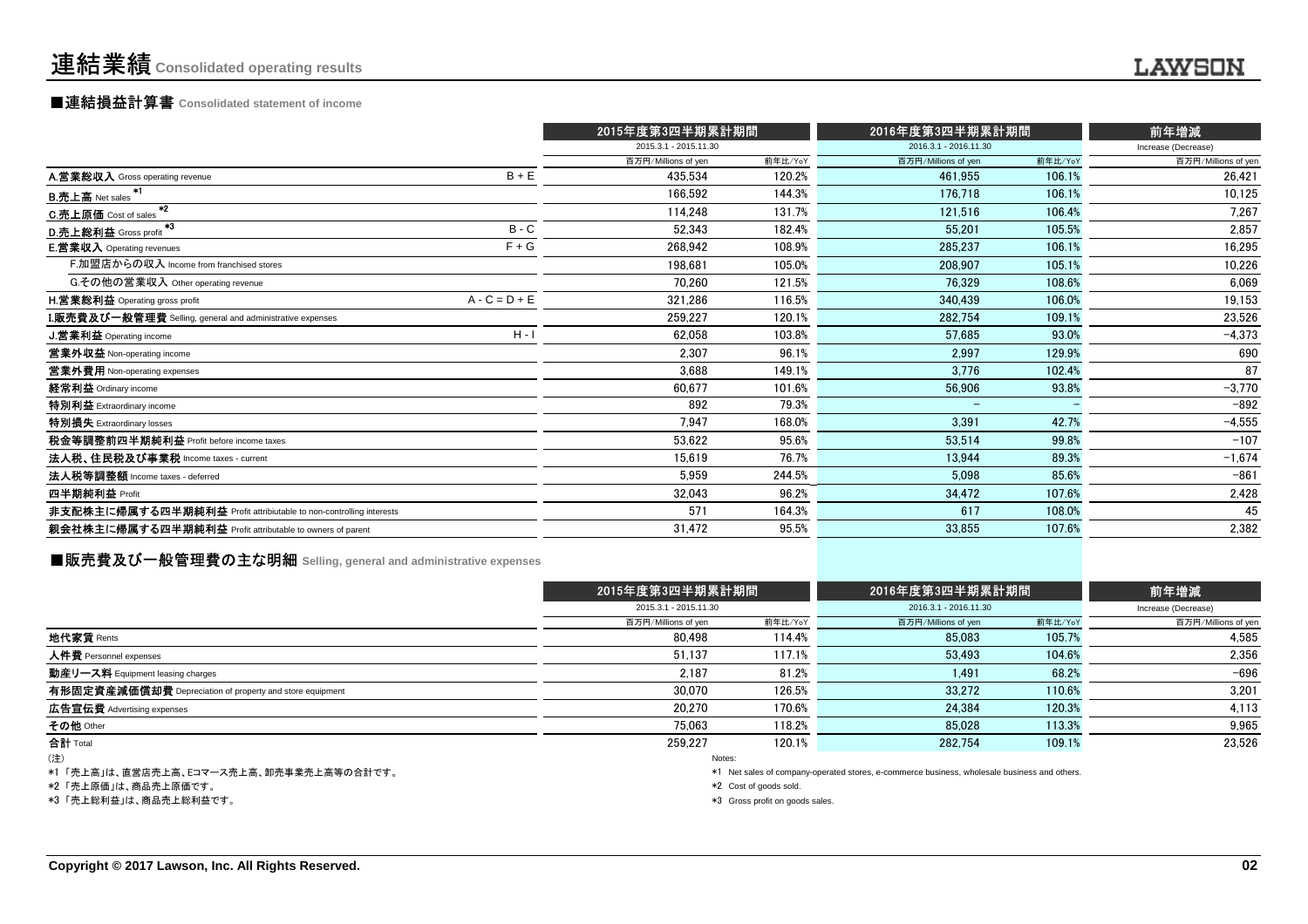### ■連結損益計算書 **Consolidated statement of income**

|                                                                    |                 | 2015年度第3四半期累計期間       |         | 2016年度第3四半期累計期間          | 前年増減    |                     |
|--------------------------------------------------------------------|-----------------|-----------------------|---------|--------------------------|---------|---------------------|
|                                                                    |                 | 2015.3.1 - 2015.11.30 |         | 2016.3.1 - 2016.11.30    |         | Increase (Decrease) |
|                                                                    |                 | 百万円/Millions of yen   | 前年比/YoY | 百万円/Millions of yen      | 前年比/YoY | 百万円/Millions of yen |
| A.営業総収入 Gross operating revenue                                    | $B + E$         | 435.534               | 120.2%  | 461,955                  | 106.1%  | 26,421              |
| -*1<br><b>B.売上高</b> Net sales                                      |                 | 166.592               | 144.3%  | 176.718                  | 106.1%  | 10,125              |
| $*2$<br>C.売上原価 Cost of sales                                       |                 | 114.248               | 131.7%  | 121,516                  | 106.4%  | 7,267               |
| - 33<br>D.売上総利益 Gross profit                                       | $B - C$         | 52.343                | 182.4%  | 55.201                   | 105.5%  | 2,857               |
| <b>E.営業収入 Operating revenues</b>                                   | $F + G$         | 268.942               | 108.9%  | 285,237                  | 106.1%  | 16,295              |
| F.加盟店からの収入 Income from franchised stores                           |                 | 198.681               | 105.0%  | 208,907                  | 105.1%  | 10,226              |
| G.その他の営業収入 Other operating revenue                                 |                 | 70,260                | 121.5%  | 76.329                   | 108.6%  | 6,069               |
| <b>H.営業総利益</b> Operating gross profit                              | $A - C = D + E$ | 321,286               | 116.5%  | 340,439                  | 106.0%  | 19,153              |
| I.販売費及び一般管理費 Selling, general and administrative expenses          |                 | 259,227               | 120.1%  | 282.754                  | 109.1%  | 23,526              |
| J.営業利益 Operating income                                            | $H - I$         | 62.058                | 103.8%  | 57,685                   | 93.0%   | $-4,373$            |
| 営業外収益 Non-operating income                                         |                 | 2.307                 | 96.1%   | 2.997                    | 129.9%  | 690                 |
| 営業外費用 Non-operating expenses                                       |                 | 3,688                 | 149.1%  | 3,776                    | 102.4%  | 87                  |
| 経常利益 Ordinary income                                               |                 | 60,677                | 101.6%  | 56,906                   | 93.8%   | $-3,770$            |
| 特別利益 Extraordinary income                                          |                 | 892                   | 79.3%   | $\overline{\phantom{0}}$ |         | $-892$              |
| 特別損失 Extraordinary losses                                          |                 | 7,947                 | 168.0%  | 3,391                    | 42.7%   | $-4,555$            |
| 税金等調整前四半期純利益 Profit before income taxes                            |                 | 53.622                | 95.6%   | 53.514                   | 99.8%   | $-107$              |
| 法人税、住民税及び事業税 Income taxes - current                                |                 | 15,619                | 76.7%   | 13,944                   | 89.3%   | $-1,674$            |
| 法人税等調整額 Income taxes - deferred                                    |                 | 5,959                 | 244.5%  | 5.098                    | 85.6%   | $-861$              |
| 四半期純利益 Profit                                                      |                 | 32,043                | 96.2%   | 34.472                   | 107.6%  | 2,428               |
| 非支配株主に帰属する四半期純利益 Profit attribiutable to non-controlling interests |                 | 571                   | 164.3%  | 617                      | 108.0%  | 45                  |
| 親会社株主に帰属する四半期純利益 Profit attributable to owners of parent           |                 | 31,472                | 95.5%   | 33,855                   | 107.6%  | 2,382               |
|                                                                    |                 |                       |         |                          |         |                     |

### **■販売費及び一般管理費の主な明細** Selling, general and administrative expenses

|                                                          | 2015年度第3四半期累計期間       |         | 2016年度第3四半期累計期間,      |         | 前年増減                |
|----------------------------------------------------------|-----------------------|---------|-----------------------|---------|---------------------|
|                                                          | 2015.3.1 - 2015.11.30 |         | 2016.3.1 - 2016.11.30 |         | Increase (Decrease) |
|                                                          | 百万円/Millions of yen   | 前年比/YoY | 百万円/Millions of yen   | 前年比/YoY | 百万円/Millions of yen |
| 地代家賃 Rents                                               | 80.498                | 114.4%  | 85,083                | 105.7%  | 4,585               |
| 人件費 Personnel expenses                                   | 51,137                | 117.1%  | 53.493                | 104.6%  | 2,356               |
| 動産リース料 Equipment leasing charges                         | 2.187                 | 81.2%   | 1.491                 | 68.2%   | $-696$              |
| 有形固定資産減価償却費 Depreciation of property and store equipment | 30.070                | 126.5%  | 33.272                | 110.6%  | 3,201               |
| <b>広告宣伝費</b> Advertising expenses                        | 20.270                | 170.6%  | 24.384                | 120.3%  | 4,113               |
| その他 Other                                                | 75.063                | 118.2%  | 85,028                | 113.3%  | 9,965               |
| 合計 Total                                                 | 259.227               | 120.1%  | 282.754               | 109.1%  | 23,526              |
| (注)                                                      | Notes:                |         |                       |         |                     |

\*1 「売上高」は、直営店売上高、Eコマース売上高、卸売事業売上高等の合計です。

\*2 「売上原価」は、商品売上原価です。

\*3 「売上総利益」は、商品売上総利益です。

\*1 Net sales of company-operated stores, e-commerce business, wholesale business and others.

\*2 Cost of goods sold.

\*3 Gross profit on goods sales.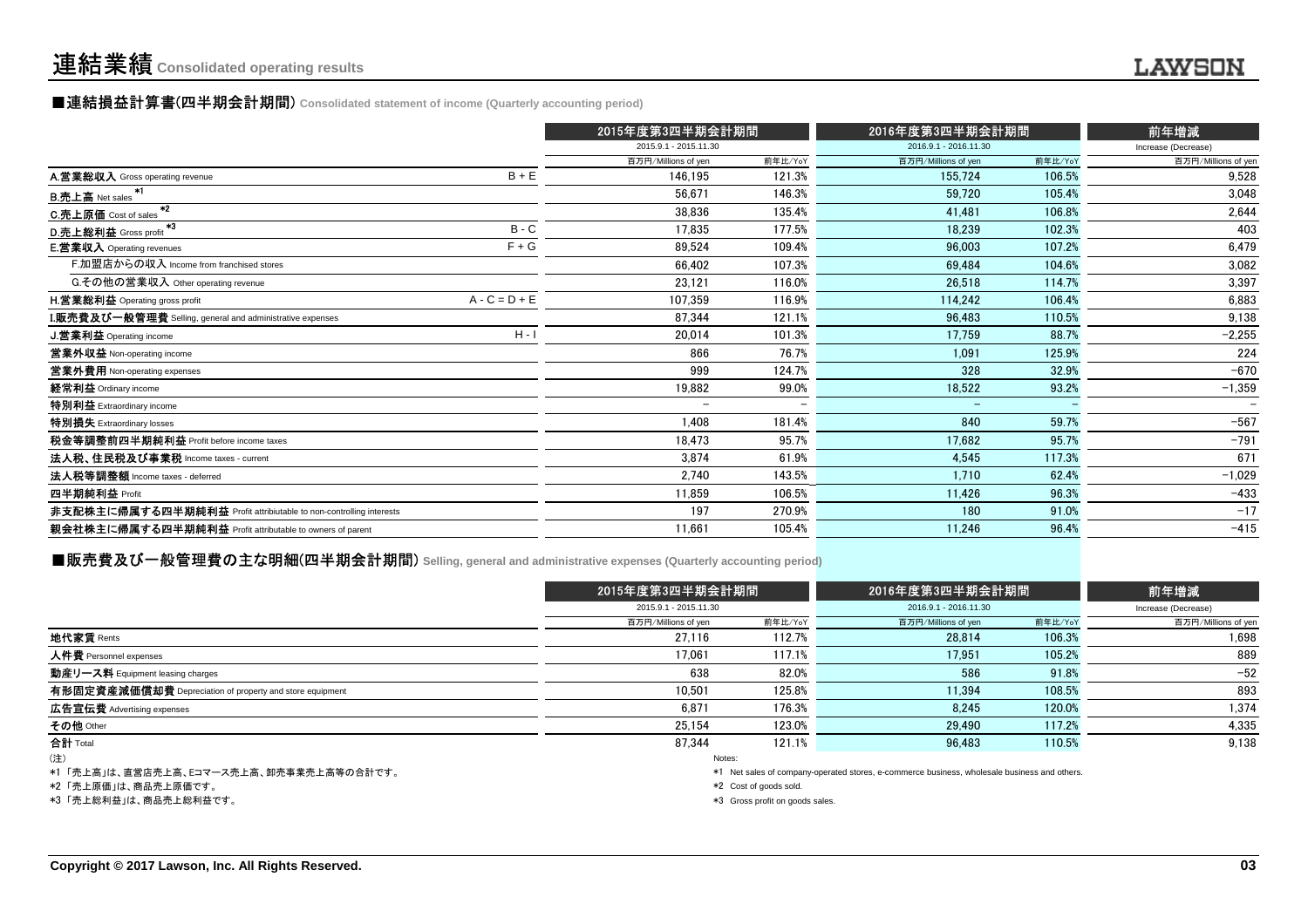#### **■連結損益計算書(四半期会計期間)** Consolidated statement of income (Quarterly accounting period)

|                                                                    |                          | 2015年度第3四半期会計期間          |                     | 2016年度第3四半期会計期間       |                     |  |
|--------------------------------------------------------------------|--------------------------|--------------------------|---------------------|-----------------------|---------------------|--|
|                                                                    | 2015.9.1 - 2015.11.30    |                          |                     | 2016.9.1 - 2016.11.30 |                     |  |
|                                                                    | 百万円/Millions of yen      | 前年比/YoY                  | 百万円/Millions of yen | 前年比/YoY               | 百万円/Millions of yen |  |
| $B + E$<br>A.営業総収入 Gross operating revenue                         | 146,195                  | 121.3%                   | 155,724             | 106.5%                | 9,528               |  |
| <b>B.売上高</b> Net sales                                             | 56.671                   | 146.3%                   | 59,720              | 105.4%                | 3,048               |  |
| $*2$<br>C.売上原価 Cost of sales                                       | 38.836                   | 135.4%                   | 41.481              | 106.8%                | 2,644               |  |
| $^{\ast 3}$<br>$B - C$<br>D.売上総利益 Gross profit                     | 17,835                   | 177.5%                   | 18.239              | 102.3%                | 403                 |  |
| $F + G$<br><b>E.営業収入</b> Operating revenues                        | 89,524                   | 109.4%                   | 96.003              | 107.2%                | 6,479               |  |
| F.加盟店からの収入 Income from franchised stores                           | 66.402                   | 107.3%                   | 69.484              | 104.6%                | 3,082               |  |
| G.その他の営業収入 Other operating revenue                                 | 23,121                   | 116.0%                   | 26.518              | 114.7%                | 3,397               |  |
| $A - C = D + E$<br><b>H.営業総利益</b> Operating gross profit           | 107,359                  | 116.9%                   | 114,242             | 106.4%                | 6,883               |  |
| <b>I.販売費及び一般管理費</b> Selling, general and administrative expenses   | 87,344                   | 121.1%                   | 96.483              | 110.5%                | 9,138               |  |
| $H - I$<br>J.営業利益 Operating income                                 | 20,014                   | 101.3%                   | 17,759              | 88.7%                 | $-2,255$            |  |
| 営業外収益 Non-operating income                                         | 866                      | 76.7%                    | 1.091               | 125.9%                | 224                 |  |
| 営業外費用 Non-operating expenses                                       | 999                      | 124.7%                   | 328                 | 32.9%                 | $-670$              |  |
| 経常利益 Ordinary income                                               | 19.882                   | 99.0%                    | 18,522              | 93.2%                 | $-1,359$            |  |
| 特別利益 Extraordinary income                                          | $\overline{\phantom{0}}$ | $\overline{\phantom{0}}$ | $\qquad \qquad$     |                       |                     |  |
| 特別損失 Extraordinary losses                                          | 1.408                    | 181.4%                   | 840                 | 59.7%                 | $-567$              |  |
| 税金等調整前四半期純利益 Profit before income taxes                            | 18.473                   | 95.7%                    | 17,682              | 95.7%                 | $-791$              |  |
| 法人税、住民税及び事業税 Income taxes - current                                | 3.874                    | 61.9%                    | 4.545               | 117.3%                | 671                 |  |
| 法人税等調整額 Income taxes - deferred                                    | 2,740                    | 143.5%                   | 1.710               | 62.4%                 | $-1,029$            |  |
| 四半期純利益 Profit                                                      | 11.859                   | 106.5%                   | 11,426              | 96.3%                 | $-433$              |  |
| 非支配株主に帰属する四半期純利益 Profit attribiutable to non-controlling interests | 197                      | 270.9%                   | 180                 | 91.0%                 | $-17$               |  |
| 親会社株主に帰属する四半期純利益 Profit attributable to owners of parent           | 11.661                   | 105.4%                   | 11,246              | 96.4%                 | $-415$              |  |
|                                                                    |                          |                          |                     |                       |                     |  |

#### **■販売費及び一般管理費の主な明細(四半期会計期間)** Selling, general and administrative expenses (Quarterly accounting period<mark>)</mark>

|                                                          |                       | 2015年度第3四半期会計期間 |                                                                                              | 2016年度第3四半期会計期間 |                     |
|----------------------------------------------------------|-----------------------|-----------------|----------------------------------------------------------------------------------------------|-----------------|---------------------|
|                                                          | 2015.9.1 - 2015.11.30 |                 | 2016.9.1 - 2016.11.30                                                                        |                 | Increase (Decrease) |
|                                                          | 百万円/Millions of yen   | 前年比/YoY         | 百万円/Millions of yen                                                                          | 前年比/YoY         | 百万円/Millions of yen |
| 地代家賃 Rents                                               | 27.116                | 112.7%          | 28,814                                                                                       | 106.3%          | 1,698               |
| 人件費 Personnel expenses                                   | 17.061                | 117.1%          | 17,951                                                                                       | 105.2%          | 889                 |
| 動産リース料 Equipment leasing charges                         | 638                   | 82.0%           | 586                                                                                          | 91.8%           | $-52$               |
| 有形固定資産減価償却費 Depreciation of property and store equipment | 10.501                | 125.8%          | 11,394                                                                                       | 108.5%          | 893                 |
| 広告宣伝費 Advertising expenses                               | 6.871                 | 176.3%          | 8.245                                                                                        | 120.0%          | 1,374               |
| その他 Other                                                | 25.154                | 123.0%          | 29.490                                                                                       | 117.2%          | 4,335               |
| 合計 Total                                                 | 87.344                | 121.1%          | 96.483                                                                                       | 110.5%          | 9,138               |
| (注)                                                      | Notes:                |                 |                                                                                              |                 |                     |
| ↓1 「主 ↓古 □+ 古巻亡主 ↓古 ┌¬フ ヮ主 ↓古 知主吏業主 ↓古笑のム科ネナ             |                       |                 | at - Mataalaa afaamaanu saaratadateena a sammarsa kuningaa ulkalaaala kuningaa and atkara. W |                 |                     |

\*1 「売上高」は、直営店売上高、Eコマース売上高、卸売事業売上高等の合計です。

\*2 「売上原価」は、商品売上原価です。

\*3 「売上総利益」は、商品売上総利益です。

\*1 Net sales of company-operated stores, e-commerce business, wholesale business and others.

\*2 Cost of goods sold.

\*3 Gross profit on goods sales.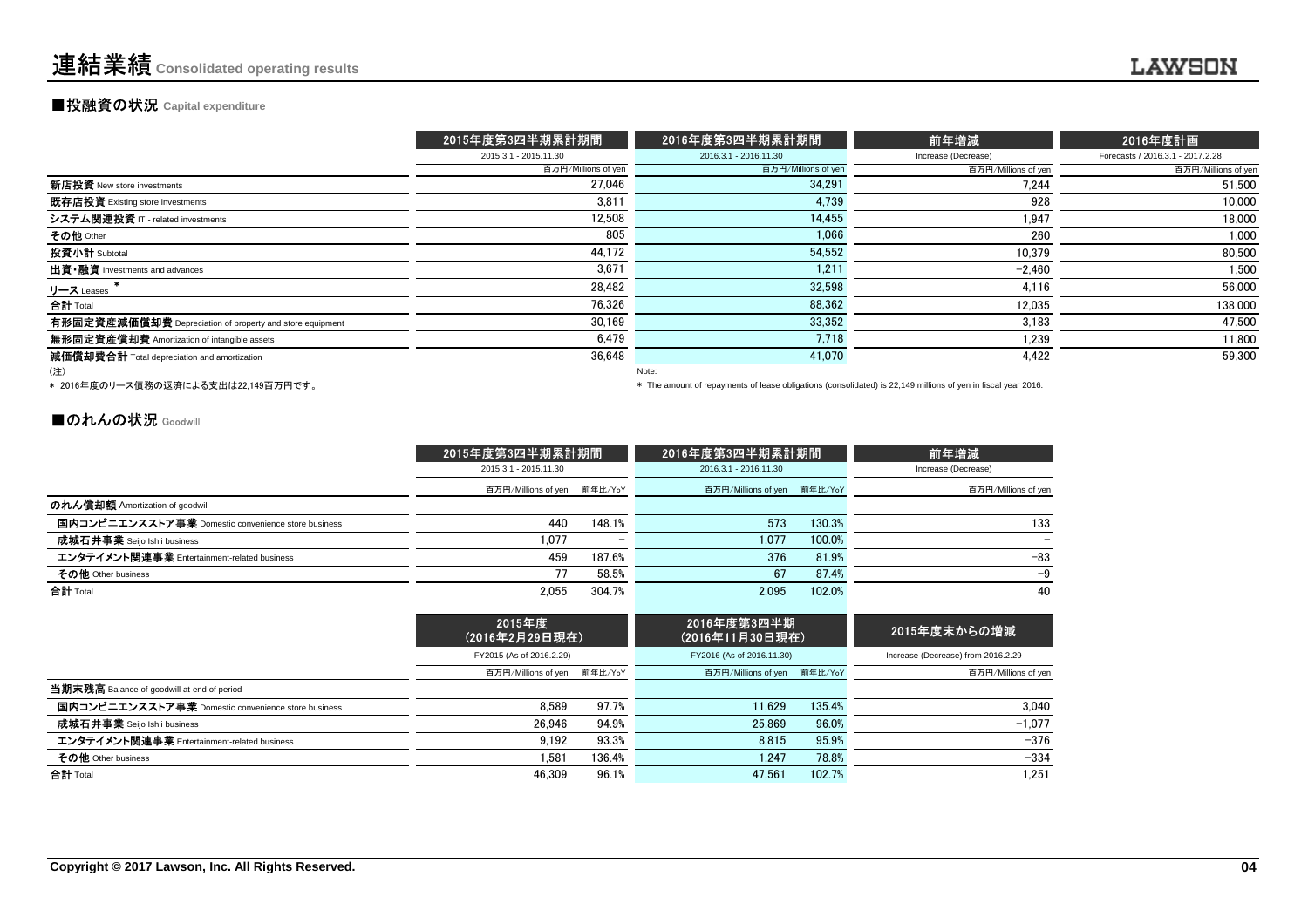#### **■投融資の状況 Capital expenditure**

|                                                          | 2015年度第3四半期累計期間       | 2016年度第3四半期累計期間       | 前年増減                | 2016年度計画                         |
|----------------------------------------------------------|-----------------------|-----------------------|---------------------|----------------------------------|
|                                                          | 2015.3.1 - 2015.11.30 | 2016.3.1 - 2016.11.30 | Increase (Decrease) | Forecasts / 2016.3.1 - 2017.2.28 |
|                                                          | 百万円/Millions of yen   | 百万円/Millions of yen   | 百万円/Millions of yen | 百万円/Millions of yen              |
| 新店投資 New store investments                               | 27.046                | 34.291                | 7.244               | 51,500                           |
| 既存店投資 Existing store investments                         | 3,811                 | 4,739                 | 928                 | 10.000                           |
| システム関連投資 IT - related investments                        | 12.508                | 14.455                | 1,947               | 18.000                           |
| その他 Other                                                | 805                   | 1.066                 | 260                 | 1,000                            |
| 投資小計 Subtotal                                            | 44,172                | 54,552                | 10,379              | 80,500                           |
| 出資 · 融資 Investments and advances                         | 3.671                 | 1.211                 | $-2.460$            | 1.500                            |
| リース Leases                                               | 28,482                | 32,598                | 4,116               | 56,000                           |
| 合計 Total                                                 | 76.326                | 88.362                | 12.035              | 138,000                          |
| 有形固定資産減価償却費 Depreciation of property and store equipment | 30,169                | 33.352                | 3,183               | 47.500                           |
| 無形固定資産償却費 Amortization of intangible assets              | 6.479                 | 7.718                 | 1,239               | 11,800                           |
| 減価償却費合計 Total depreciation and amortization              | 36,648                | 41.070                | 4.422               | 59.300                           |
| (注)                                                      |                       | Note:                 |                     |                                  |

\* 2016年度のリース債務の返済による支出は22,149百万円です。

\* The amount of repayments of lease obligations (consolidated) is 22,149 millions of yen in fiscal year 2016.

#### ■のれんの状況 Goodwill

|                                                    | 2015年度第3四半期累計期間             |        | 2016年度第3四半期累計期間             |        | 前年増減                |
|----------------------------------------------------|-----------------------------|--------|-----------------------------|--------|---------------------|
|                                                    | 2015.3.1 - 2015.11.30       |        | 2016.3.1 - 2016.11.30       |        | Increase (Decrease) |
|                                                    | 百万円/Millions of yen 前年比/YoY |        | 百万円/Millions of yen 前年比/YoY |        | 百万円/Millions of yen |
| のれん償却額 Amortization of goodwill                    |                             |        |                             |        |                     |
| 国内コンピニエンスストア事業 Domestic convenience store business | 440                         | 148.1% | 573                         | 130.3% | 133                 |
| <b>成城石井事業</b> Seijo Ishii business                 | 1.077                       | -      | 1.077                       | 100.0% | -                   |
| エンタテイメント関連事業 Entertainment-related business        | 459                         | 187.6% | 376                         | 81.9%  | $-83$               |
| その他 Other business                                 | 77                          | 58.5%  | 67                          | 87.4%  | -9                  |
| 合計 Total                                           | 2.055                       | 304.7% | 2.095                       | 102.0% | 40                  |

|                                                    | 2015年度<br>(2016年2月29日現在)    |        | 2016年度第3四半期<br>(2016年11月30日現在) |        | 2015年度末からの増減                       |
|----------------------------------------------------|-----------------------------|--------|--------------------------------|--------|------------------------------------|
|                                                    | FY2015 (As of 2016.2.29)    |        | FY2016 (As of 2016.11.30)      |        | Increase (Decrease) from 2016.2.29 |
|                                                    | 百万円/Millions of yen 前年比/YoY |        | 百万円/Millions of yen 前年比/YoY    |        | 百万円/Millions of yen                |
| 当期末残高 Balance of goodwill at end of period         |                             |        |                                |        |                                    |
| 国内コンビニエンスストア事業 Domestic convenience store business | 8.589                       | 97.7%  | 11.629                         | 135.4% | 3.040                              |
| 成城石井事業 Seijo Ishii business                        | 26.946                      | 94.9%  | 25.869                         | 96.0%  | $-1.077$                           |
| エンタテイメント関連事業 Entertainment-related business        | 9.192                       | 93.3%  | 8.815                          | 95.9%  | $-376$                             |
| その他 Other business                                 | .581                        | 136.4% | 1.247                          | 78.8%  | $-334$                             |
| 合計 Total                                           | 46.309                      | 96.1%  | 47.561                         | 102.7% | 1.251                              |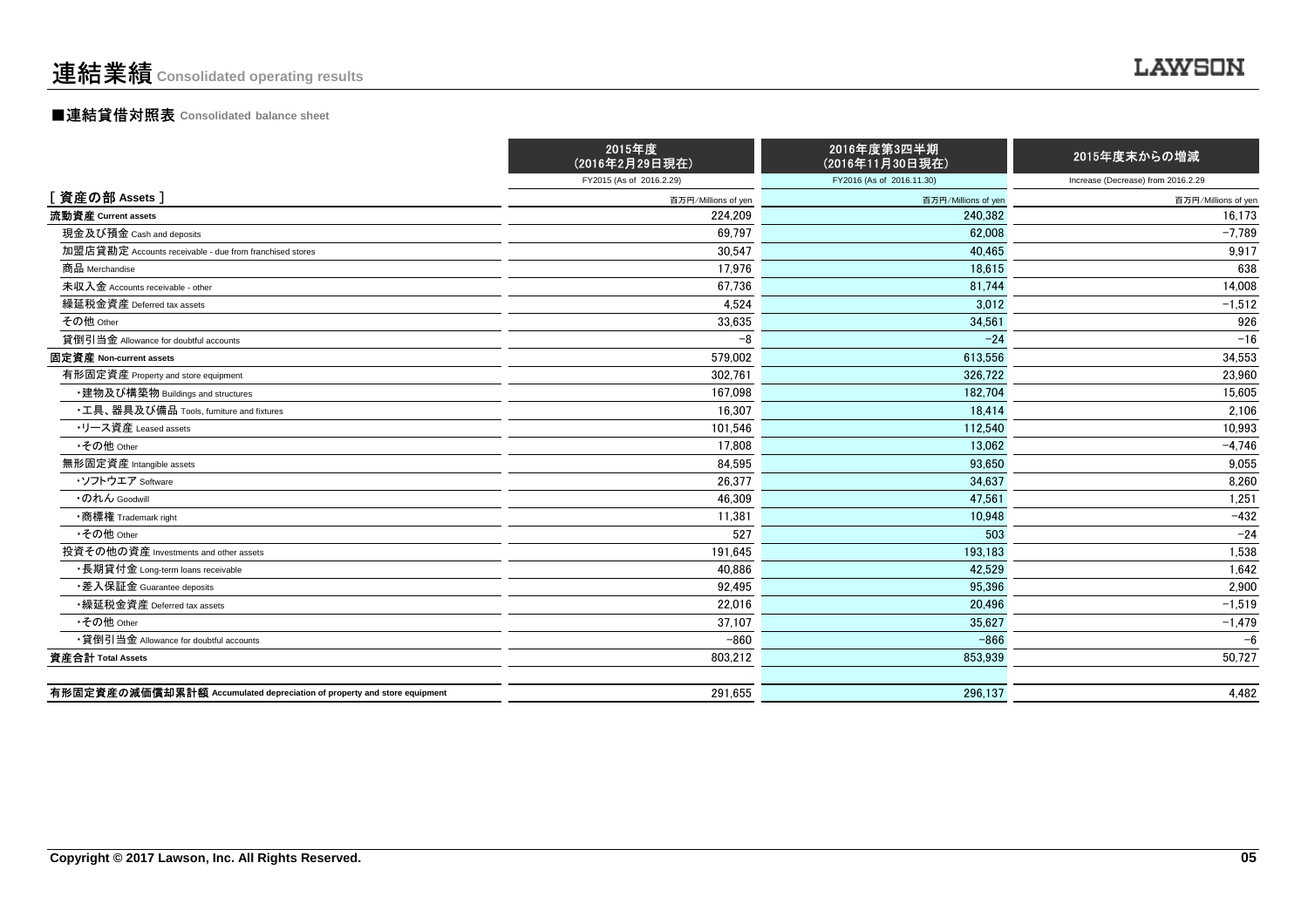#### ■連結貸借対照表 **Consolidated balance sheet**

|                                                                         | 2015年度<br>(2016年2月29日現在) | 2016年度第3四半期<br>(2016年11月30日現在) | 2015年度末からの増減                       |
|-------------------------------------------------------------------------|--------------------------|--------------------------------|------------------------------------|
|                                                                         | FY2015 (As of 2016.2.29) | FY2016 (As of 2016.11.30)      | Increase (Decrease) from 2016.2.29 |
| [ 資産の部 Assets ]                                                         | 百万円/Millions of yen      | 百万円/Millions of yen            | 百万円/Millions of yen                |
| 流動資産 Current assets                                                     | 224,209                  | 240.382                        | 16,173                             |
| 現金及び預金 Cash and deposits                                                | 69.797                   | 62.008                         | $-7.789$                           |
| 加盟店貸勘定 Accounts receivable - due from franchised stores                 | 30,547                   | 40.465                         | 9,917                              |
| 商品 Merchandise                                                          | 17,976                   | 18.615                         | 638                                |
| 未収入金 Accounts receivable - other                                        | 67,736                   | 81.744                         | 14,008                             |
| 繰延税金資産 Deferred tax assets                                              | 4,524                    | 3.012                          | $-1,512$                           |
| その他 Other                                                               | 33,635                   | 34,561                         | 926                                |
| 貸倒引当金 Allowance for doubtful accounts                                   | $-8$                     | $-24$                          | $-16$                              |
| 固定資産 Non-current assets                                                 | 579,002                  | 613,556                        | 34,553                             |
| 有形固定資産 Property and store equipment                                     | 302,761                  | 326,722                        | 23,960                             |
| ・建物及び構築物 Buildings and structures                                       | 167.098                  | 182.704                        | 15,605                             |
| •工具、器具及び備品 Tools, furniture and fixtures                                | 16,307                   | 18.414                         | 2,106                              |
| ・リース資産 Leased assets                                                    | 101,546                  | 112.540                        | 10,993                             |
| •その他 Other                                                              | 17,808                   | 13.062                         | $-4,746$                           |
| 無形固定資産 Intangible assets                                                | 84,595                   | 93,650                         | 9,055                              |
| ・ソフトウエア Software                                                        | 26,377                   | 34,637                         | 8,260                              |
| ・のれん Goodwill                                                           | 46,309                   | 47.561                         | 1,251                              |
| •商標権 Trademark right                                                    | 11,381                   | 10.948                         | $-432$                             |
| •その他 Other                                                              | 527                      | 503                            | $-24$                              |
| 投資その他の資産 Investments and other assets                                   | 191,645                  | 193,183                        | 1,538                              |
| •長期貸付金 Long-term loans receivable                                       | 40.886                   | 42.529                         | 1,642                              |
| ・差入保証金 Guarantee deposits                                               | 92,495                   | 95.396                         | 2,900                              |
| •繰延税金資産 Deferred tax assets                                             | 22.016                   | 20.496                         | $-1,519$                           |
| •その他 Other                                                              | 37,107                   | 35.627                         | $-1,479$                           |
| •貸倒引当金 Allowance for doubtful accounts                                  | $-860$                   | $-866$                         | $-6$                               |
| 資産合計 Total Assets                                                       | 803,212                  | 853,939                        | 50,727                             |
|                                                                         |                          |                                |                                    |
| 有形固定資産の減価償却累計額 Accumulated depreciation of property and store equipment | 291,655                  | 296.137                        | 4,482                              |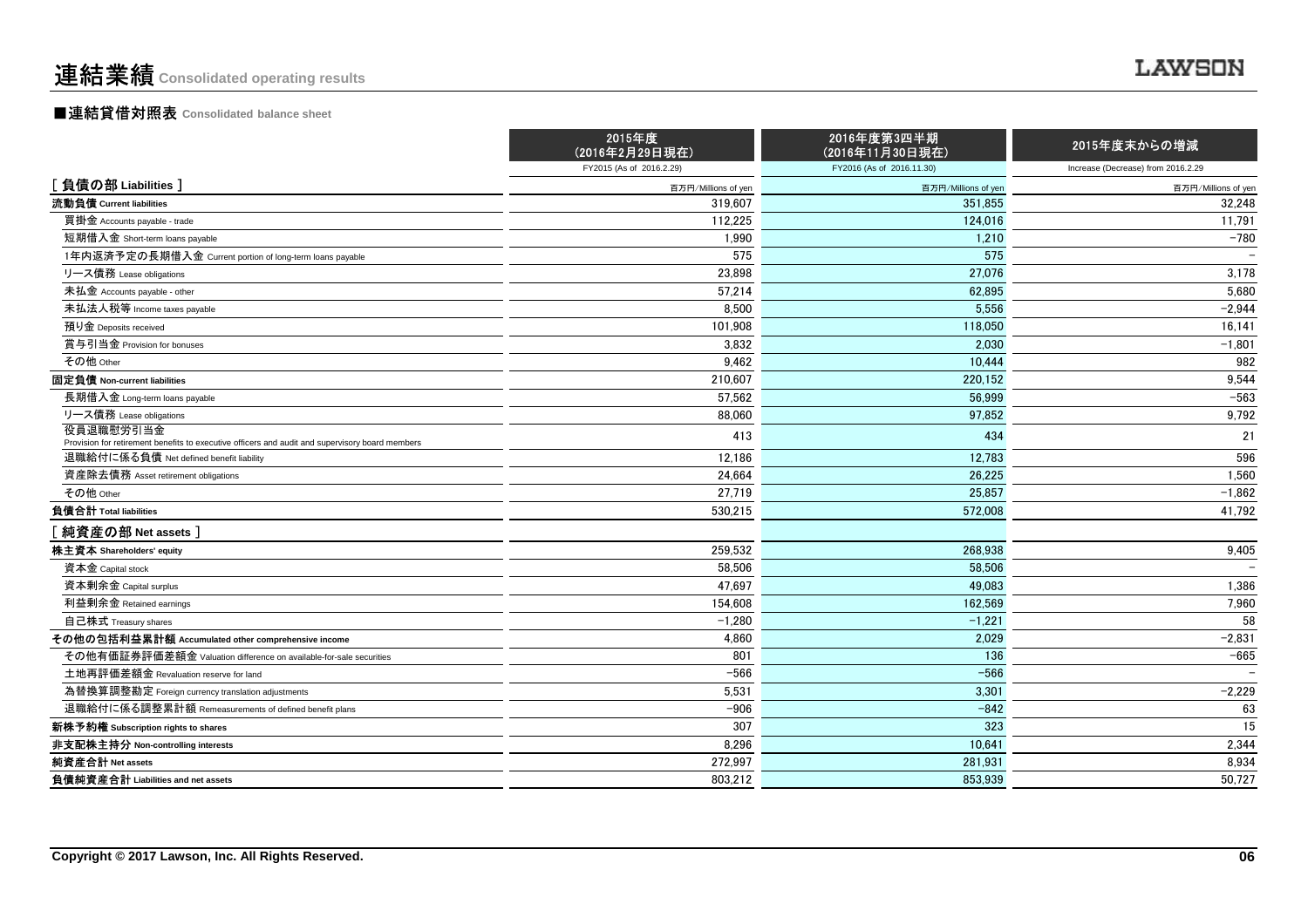#### ■連結貸借対照表 **Consolidated balance sheet**

|                                                                                                                                            | 2015年度<br>(2016年2月29日現在) | 2016年度第3四半期<br>(2016年11月30日現在) | 2015年度末からの増減                       |
|--------------------------------------------------------------------------------------------------------------------------------------------|--------------------------|--------------------------------|------------------------------------|
|                                                                                                                                            | FY2015 (As of 2016.2.29) | FY2016 (As of 2016.11.30)      | Increase (Decrease) from 2016.2.29 |
| [負債の部 Liabilities]                                                                                                                         | 百万円/Millions of yen      | 百万円/Millions of yen            | 百万円/Millions of yen                |
| 流動負債 Current liabilities                                                                                                                   | 319,607                  | 351,855                        | 32,248                             |
| 買掛金 Accounts payable - trade                                                                                                               | 112,225                  | 124,016                        | 11,791                             |
| 短期借入金 Short-term loans payable                                                                                                             | 1,990                    | 1,210                          | $-780$                             |
| 1年内返済予定の長期借入金 Current portion of long-term loans payable                                                                                   | 575                      | 575                            |                                    |
| リース債務 Lease obligations                                                                                                                    | 23,898                   | 27,076                         | 3,178                              |
| 未払金 Accounts payable - other                                                                                                               | 57.214                   | 62.895                         | 5,680                              |
| 未払法人税等 Income taxes payable                                                                                                                | 8,500                    | 5,556                          | $-2,944$                           |
| 預り金 Deposits received                                                                                                                      | 101,908                  | 118,050                        | 16,141                             |
| 賞与引当金 Provision for bonuses                                                                                                                | 3,832                    | 2.030                          | $-1,801$                           |
| その他 Other                                                                                                                                  | 9,462                    | 10.444                         | 982                                |
| 固定負債 Non-current liabilities                                                                                                               | 210,607                  | 220.152                        | 9,544                              |
| 長期借入金 Long-term loans payable                                                                                                              | 57,562                   | 56,999                         | $-563$                             |
| リース債務 Lease obligations                                                                                                                    | 88,060                   | 97,852                         | 9,792                              |
| 役員退職慰労引当金                                                                                                                                  | 413                      | 434                            | 21                                 |
| Provision for retirement benefits to executive officers and audit and supervisory board members<br>退職給付に係る負債 Net defined benefit liability | 12,186                   | 12,783                         | 596                                |
| 資産除去債務 Asset retirement obligations                                                                                                        | 24,664                   | 26.225                         | 1,560                              |
| その他 Other                                                                                                                                  |                          |                                |                                    |
| 負債合計 Total liabilities                                                                                                                     | 27,719                   | 25,857<br>572,008              | $-1,862$                           |
|                                                                                                                                            | 530,215                  |                                | 41,792                             |
| 純資産の部 Net assets]                                                                                                                          |                          |                                |                                    |
| 株主資本 Shareholders' equity                                                                                                                  | 259,532                  | 268,938                        | 9,405                              |
| 資本金 Capital stock                                                                                                                          | 58,506                   | 58.506                         |                                    |
| 資本剰余金 Capital surplus                                                                                                                      | 47.697                   | 49.083                         | 1,386                              |
| 利益剰余金 Retained earnings                                                                                                                    | 154,608                  | 162.569                        | 7,960                              |
| 自己株式 Treasury shares                                                                                                                       | $-1,280$                 | $-1.221$                       | 58                                 |
| その他の包括利益累計額 Accumulated other comprehensive income                                                                                         | 4,860                    | 2,029                          | $-2,831$                           |
| その他有価証券評価差額金 Valuation difference on available-for-sale securities                                                                         | 801                      | 136                            | $-665$                             |
| 土地再評価差額金 Revaluation reserve for land                                                                                                      | $-566$                   | $-566$                         |                                    |
| 為替換算調整勘定 Foreign currency translation adjustments                                                                                          | 5,531                    | 3,301                          | $-2,229$                           |
| 退職給付に係る調整累計額 Remeasurements of defined benefit plans                                                                                       | $-906$                   | $-842$                         | 63                                 |
| 新株予約権 Subscription rights to shares                                                                                                        | 307                      | 323                            | 15                                 |
| 非支配株主持分 Non-controlling interests                                                                                                          | 8,296                    | 10,641                         | 2,344                              |
| 純資産合計 Net assets                                                                                                                           | 272,997                  | 281,931                        | 8,934                              |
| 負債純資産合計 Liabilities and net assets                                                                                                         | 803.212                  | 853.939                        | 50,727                             |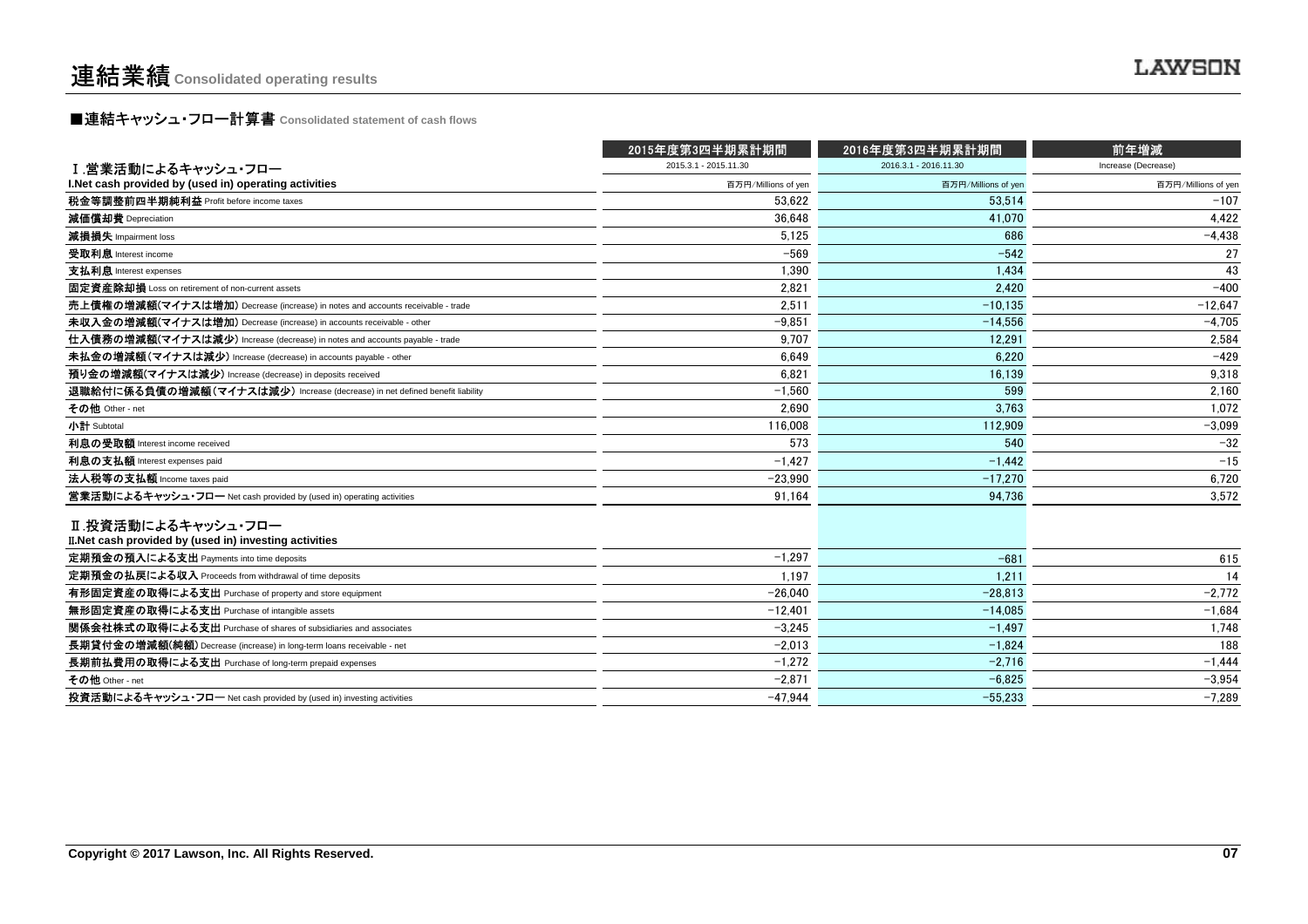**■連結キャッシュ・フロー計算書** Consolidated statement of cash flows<br>■

|                                                                                | 2015年度第3四半期累計期間       | 2016年度第3四半期累計期間       | 前年増減                |
|--------------------------------------------------------------------------------|-----------------------|-----------------------|---------------------|
| Ⅰ.営業活動によるキャッシュ・フロー                                                             | 2015.3.1 - 2015.11.30 | 2016.3.1 - 2016.11.30 | Increase (Decrease) |
| I.Net cash provided by (used in) operating activities                          | 百万円/Millions of yen   | 百万円/Millions of yer   | 百万円/Millions of yen |
| 税金等調整前四半期純利益 Profit before income taxes                                        | 53.622                | 53.514                | $-107$              |
| 減価償却費 Depreciation                                                             | 36,648                | 41,070                | 4,422               |
| 減損損失 Impairment loss                                                           | 5,125                 | 686                   | $-4,438$            |
| 受取利息 Interest income                                                           | $-569$                | $-542$                | 27                  |
| 支払利息 Interest expenses                                                         | 1,390                 | 1,434                 | 43                  |
| 固定資産除却損 Loss on retirement of non-current assets                               | 2.821                 | 2.420                 | $-400$              |
| 売上債権の増減額(マイナスは増加) Decrease (increase) in notes and accounts receivable - trade | 2,511                 | $-10.135$             | $-12,647$           |
| 未収入金の増減額(マイナスは増加) Decrease (increase) in accounts receivable - other           | $-9.851$              | $-14.556$             | $-4.705$            |
| 仕入債務の増減額(マイナスは減少) Increase (decrease) in notes and accounts payable - trade    | 9,707                 | 12,291                | 2,584               |
| 未払金の増減額(マイナスは減少) Increase (decrease) in accounts payable - other               | 6,649                 | 6,220                 | $-429$              |
| 預り金の増減額(マイナスは減少) Increase (decrease) in deposits received                      | 6.821                 | 16,139                | 9.318               |
| 退職給付に係る負債の増減額(マイナスは減少) Increase (decrease) in net defined benefit liability    | $-1.560$              | 599                   | 2.160               |
| その他 Other - net                                                                | 2.690                 | 3.763                 | 1,072               |
| 小計 Subtotal                                                                    | 116,008               | 112,909               | $-3,099$            |
| 利息の受取額 Interest income received                                                | 573                   | 540                   | $-32$               |
| 利息の支払額 Interest expenses paid                                                  | $-1.427$              | $-1.442$              | $-15$               |
| 法人税等の支払額 Income taxes paid                                                     | $-23,990$             | $-17.270$             | 6,720               |
| 営業活動によるキャッシュ・フロー Net cash provided by (used in) operating activities           | 91,164                | 94,736                | 3,572               |
| Ⅱ.投資活動によるキャッシュ・フロー<br>II. Net cash provided by (used in) investing activities  |                       |                       |                     |
| 定期預金の預入による支出 Payments into time deposits                                       | $-1,297$              | $-681$                | 615                 |
| 定期預金の払戻による収入 Proceeds from withdrawal of time deposits                         | 1,197                 | 1,211                 | 14                  |
| 有形固定資産の取得による支出 Purchase of property and store equipment                        | $-26.040$             | $-28.813$             | $-2,772$            |
| 無形固定資産の取得による支出 Purchase of intangible assets                                   | $-12,401$             | $-14,085$             | $-1,684$            |
| 関係会社株式の取得による支出 Purchase of shares of subsidiaries and associates               | $-3.245$              | $-1.497$              | 1,748               |
| 長期貸付金の増減額(純額) Decrease (increase) in long-term loans receivable - net          | $-2,013$              | $-1,824$              | 188                 |
| 長期前払費用の取得による支出 Purchase of long-term prepaid expenses                          | $-1,272$              | $-2.716$              | $-1.444$            |
| その他 Other - net                                                                | $-2,871$              | $-6,825$              | $-3,954$            |
| 投資活動によるキャッシュ・フロー Net cash provided by (used in) investing activities           | $-47.944$             | $-55.233$             | $-7.289$            |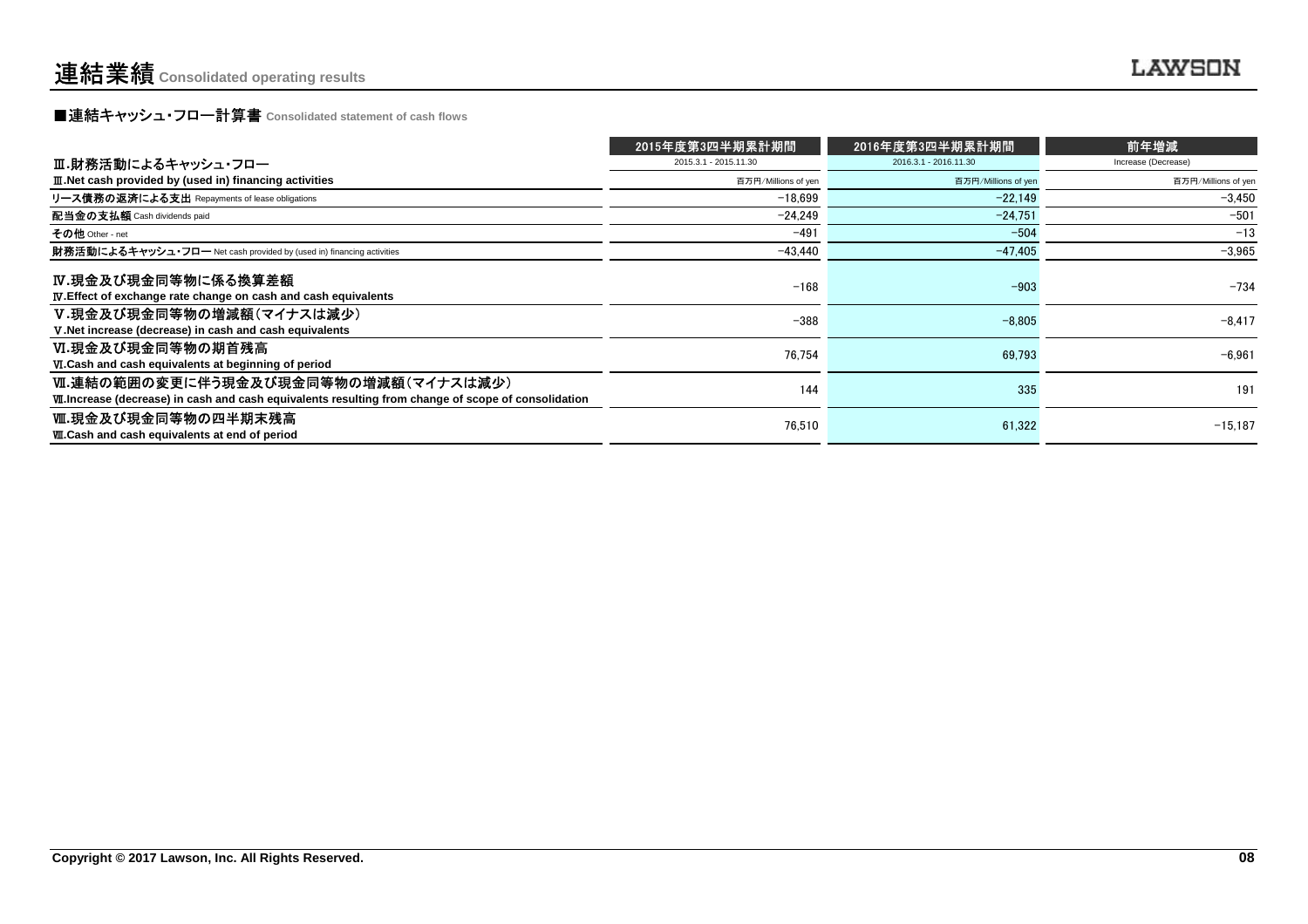**■連結キャッシュ・フロー計算書** Consolidated statement of cash flows<br>■

|                                                                                                                                                     | 2015年度第3四半期累計期間       | 2016年度第3四半期累計期間       | 前年増減                |
|-----------------------------------------------------------------------------------------------------------------------------------------------------|-----------------------|-----------------------|---------------------|
| Ⅲ.財務活動によるキャッシュ・フロー                                                                                                                                  | 2015.3.1 - 2015.11.30 | 2016.3.1 - 2016.11.30 | Increase (Decrease) |
| III. Net cash provided by (used in) financing activities                                                                                            | 百万円/Millions of yen   | 百万円/Millions of yen   | 百万円/Millions of yen |
| リース債務の返済による支出 Repayments of lease obligations                                                                                                       | $-18.699$             | $-22.149$             | $-3.450$            |
| 配当金の支払額 Cash dividends paid                                                                                                                         | -24.249               | $-24.751$             | $-501$              |
| その他 Other - net                                                                                                                                     | $-491$                | $-504$                | $-13$               |
| 財務活動によるキャッシュ・フロー Net cash provided by (used in) financing activities                                                                                | $-43,440$             | $-47.405$             | $-3,965$            |
| IV.現金及び現金同等物に係る換算差額<br><b>IV.</b> Effect of exchange rate change on cash and cash equivalents                                                       | $-168$                | $-903$                | $-734$              |
| V.現金及び現金同等物の増減額(マイナスは減少)<br>V. Net increase (decrease) in cash and cash equivalents                                                                 | $-388$                | $-8.805$              | $-8.417$            |
| Ⅵ.現金及び現金同等物の期首残高<br>VI.Cash and cash equivalents at beginning of period                                                                             | 76,754                | 69,793                | $-6,961$            |
| Ⅵ.連結の範囲の変更に伴う現金及び現金同等物の増減額(マイナスは減少)<br><b>VII.</b> Increase (decrease) in cash and cash equivalents resulting from change of scope of consolidation | 144                   | 335                   | 191                 |
| Ⅷ.現金及び現金同等物の四半期末残高<br><b>W.Cash and cash equivalents at end of period</b>                                                                           | 76,510                | 61,322                | $-15,187$           |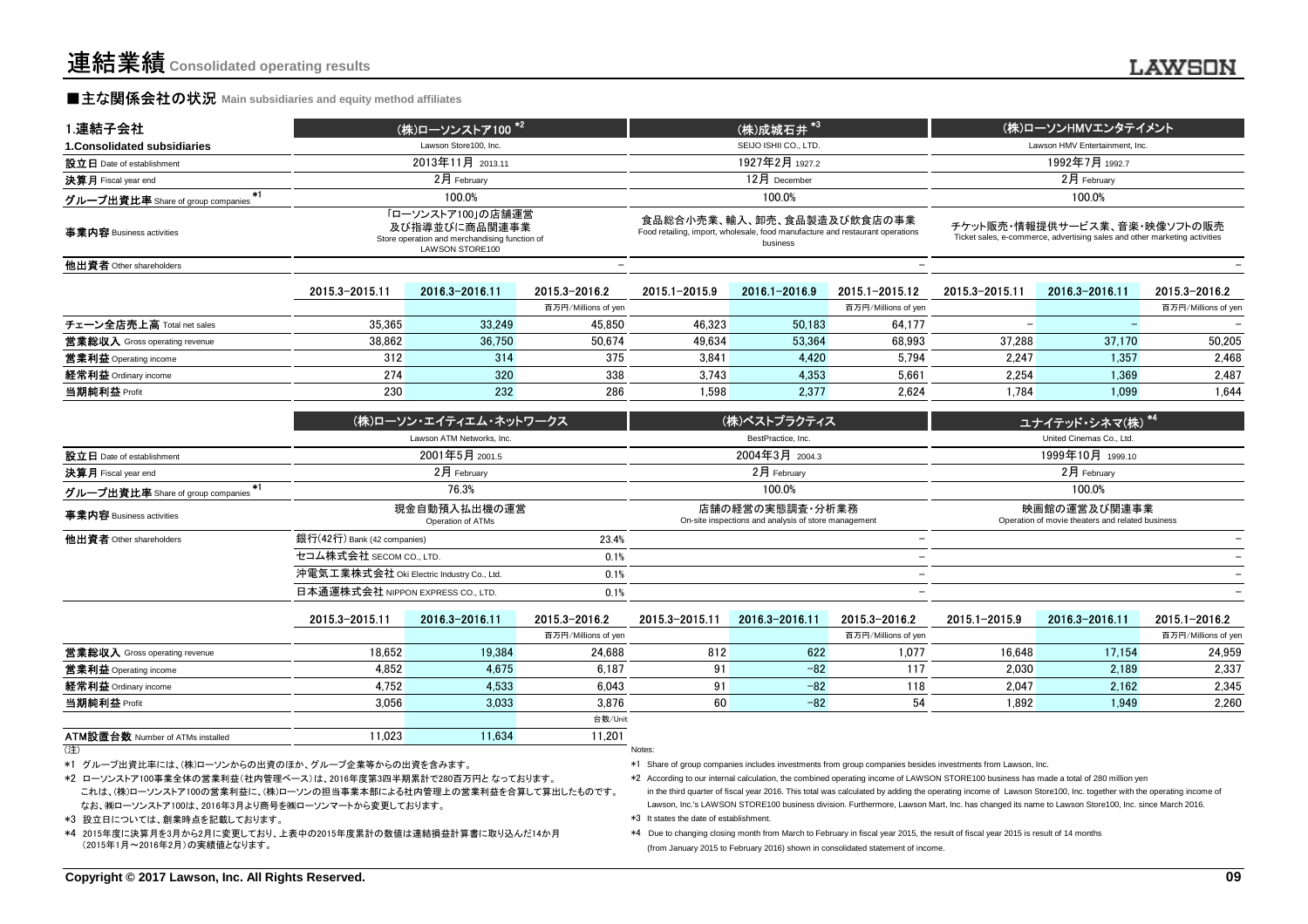1.連結子会社

#### **■主な関係会社の状況** Main subsidiaries and equity method affiliates

| 1.連結子会社                                   |                        | (株)ローソンストア100 <sup>*21</sup>                                                                                  |                     |                                                                                                                         | (株)成城石井*3             |                     |                                                                                                            | (株)ローソンHMVエンタテイメント |                     |  |
|-------------------------------------------|------------------------|---------------------------------------------------------------------------------------------------------------|---------------------|-------------------------------------------------------------------------------------------------------------------------|-----------------------|---------------------|------------------------------------------------------------------------------------------------------------|--------------------|---------------------|--|
| 1. Consolidated subsidiaries              |                        | Lawson Store100, Inc.                                                                                         |                     |                                                                                                                         | SEIJO ISHII CO., LTD. |                     | Lawson HMV Entertainment. Inc.                                                                             |                    |                     |  |
| 設立日 Date of establishment                 |                        | 2013年11月 2013.11                                                                                              |                     |                                                                                                                         | 1927年2月 1927.2        |                     | 1992年7月 1992.7                                                                                             |                    |                     |  |
| 決算月 Fiscal year end                       |                        | $2月$ February                                                                                                 |                     | 12月 December                                                                                                            |                       |                     |                                                                                                            | 2月 February        |                     |  |
| $*1$<br>グループ出資比率 Share of group companies | 100.0%                 |                                                                                                               |                     |                                                                                                                         | 100.0%                |                     |                                                                                                            | 100.0%             |                     |  |
| 事業内容 Business activities                  |                        | 「ローソンストア100」の店舗運営<br>及び指導並びに商品関連事業<br>Store operation and merchandising function of<br><b>LAWSON STORE100</b> |                     | 食品総合小売業、輸入、卸売、食品製造及び飲食店の事業<br>Food retailing, import, wholesale, food manufacture and restaurant operations<br>business |                       |                     | チケット販売・情報提供サービス業、音楽・映像ソフトの販売<br>Ticket sales, e-commerce, advertising sales and other marketing activities |                    |                     |  |
| 他出資者 Other shareholders                   |                        |                                                                                                               |                     |                                                                                                                         |                       |                     |                                                                                                            |                    |                     |  |
|                                           | 2015.3-2015.11         | 2016 3-2016 11                                                                                                | 2015 3-2016 2       | 2015.1-2015.9                                                                                                           | 2016.1-2016.9         | 2015 1-2015 12      | 2015.3-2015.11                                                                                             | 2016.3-2016.11     | 2015.3-2016.2       |  |
|                                           |                        |                                                                                                               | 百万円/Millions of yen |                                                                                                                         |                       | 百万円/Millions of yen |                                                                                                            |                    | 百万円/Millions of yen |  |
| チェーン全店売上高 Total net sales                 | 35,365                 | 33,249                                                                                                        | 45.850              | 46,323                                                                                                                  | 50,183                | 64,177              | $\overline{\phantom{0}}$                                                                                   |                    |                     |  |
| 営業総収入 Gross operating revenue             | 38,862                 | 36,750                                                                                                        | 50.674              | 49,634                                                                                                                  | 53,364                | 68,993              | 37,288                                                                                                     | 37,170             | 50,205              |  |
| 営業利益 Operating income                     | 312                    | 314                                                                                                           | 375                 | 3,841                                                                                                                   | 4,420                 | 5,794               | 2.247                                                                                                      | 1.357              | 2,468               |  |
| 経常利益 Ordinary income                      | 274                    | 320                                                                                                           | 338                 | 3.743                                                                                                                   | 4.353                 | 5.661               | 2.254                                                                                                      | 1.369              | 2,487               |  |
| 当期純利益 Profit                              | 230                    | 232                                                                                                           | 286                 | 1,598                                                                                                                   | 2,377                 | 2,624               | 1,784                                                                                                      | 1,099              | 1,644               |  |
|                                           | (株)ローソン・エイティエム・ネットワークス |                                                                                                               | (株)ベストプラクティス        |                                                                                                                         |                       | ユナイテッド・シネマ(株) *4    |                                                                                                            |                    |                     |  |
|                                           |                        | Lawson ATM Networks, Inc.                                                                                     |                     | BestPractice, Inc.                                                                                                      |                       |                     | United Cinemas Co., Ltd.                                                                                   |                    |                     |  |
| 設立日 Date of establishment                 |                        | 2001年5月 2001.5                                                                                                |                     |                                                                                                                         | 2004年3月 2004.3        |                     |                                                                                                            | 1999年10月 1999.10   |                     |  |

| $\mathbf{X} \mathbf{\mathbf{\Pi}}$ Date of establishment | $2001 + 37 + 2001.5$                      |       | ZUU4年3月 2004.3                                                          | 1999年10月 1999.10                                                 |
|----------------------------------------------------------|-------------------------------------------|-------|-------------------------------------------------------------------------|------------------------------------------------------------------|
| <b>決算月</b> Fiscal year end                               | $2月$ February                             |       | $2月$ February                                                           | $2月$ February                                                    |
| グループ出資比率 Share of group companies                        | 76.3%                                     |       | 100.0%                                                                  | 100.0%                                                           |
| 事業内容 Business activities                                 | 現金自動預入払出機の運営<br>Operation of ATMs         |       | 店舗の経営の実態調査・分析業務<br>On-site inspections and analysis of store management | 映画館の運営及び関連事業<br>Operation of movie theaters and related business |
| 他出資者 Other shareholders                                  | 銀行(42行) Bank (42 companies)               | 23.4% |                                                                         |                                                                  |
|                                                          | セコム株式会社 SECOM CO., LTD.                   | 0.1%  | $\overline{\phantom{0}}$                                                |                                                                  |
|                                                          | 沖電気工業株式会社 Oki Electric Industry Co., Ltd. | 0.1%  |                                                                         |                                                                  |
|                                                          | 日本通運株式会社 NIPPON EXPRESS CO., LTD.         | 0.1%  |                                                                         |                                                                  |
|                                                          |                                           |       |                                                                         |                                                                  |

|                                         | 2015.3-2015.11 | 2016.3-2016.11 | 2015.3-2016.2       | 2015.3-2015.11 | 2016.3-2016.11 | 2015.3-2016.2       | 2015.1-2015.9 | 2016.3-2016.11 | 2015.1-2016.2       |
|-----------------------------------------|----------------|----------------|---------------------|----------------|----------------|---------------------|---------------|----------------|---------------------|
|                                         |                |                | 百万円/Millions of yen |                |                | 百万円/Millions of yen |               |                | 百万円/Millions of yen |
| <b>営業総収入</b> Gross operating revenue    | 18.652         | 19.384         | 24,688              | 812            | 622            | 1,077               | 16.648        | 17.154         | 24.959              |
| 営業利益 Operating income                   | 4,852          | 4.675          | 6,187               | 91             | $-82$          | 117                 | 2.030         | 2,189          | 2,337               |
| 経常利益 Ordinary income                    | 4.752          | 4.533          | 6,043               | 91             | $-82$          | 118                 | 2.047         | 2.162          | 2,345               |
| 当期純利益 Profit                            | 3.056          | 3.033          | 3.876               | 60             | $-82$          | 54                  | 1.892         | 1,949          | 2,260               |
|                                         |                |                | 台数/Unit             |                |                |                     |               |                |                     |
| <b>ATM設置台数 Number of ATMs installed</b> | 1.023          | 1.634          | 11.201              |                |                |                     |               |                |                     |

<sup>(</sup>注)Notes:

\*1 グループ出資比率には、(株)ローソンからの出資のほか、グループ企業等からの出資を含みます。

これは、(株)ローソンストア100の営業利益に、(株)ローソンの担当事業本部による社内管理上の営業利益を合算して算出したものです。 なお、㈱ローソンストア100は、2016年3月より商号を㈱ローソンマートから変更しております。\*2 ローソンストア100事業全体の営業利益(社内管理ベース)は、2016年度第3四半期累計で280百万円と なっております。

Number of ATMs installed 11,023 11,634 11,201

\*3 設立日については、創業時点を記載しております。

\*4 2015年度に決算月を3月から2月に変更しており、上表中の2015年度累計の数値は連結損益計算書に取り込んだ14か月 (2015年1月~2016年2月)の実績値となります。

\*1 Share of group companies includes investments from group companies besides investments from Lawson, Inc.

\*2 According to our internal calculation, the combined operating income of LAWSON STORE100 business has made a total of 280 million yen

 in the third quarter of fiscal year 2016. This total was calculated by adding the operating income of Lawson Store100, Inc. together with the operating income of Lawson, Inc.'s LAWSON STORE100 business division. Furthermore, Lawson Mart, Inc. has changed its name to Lawson Store100, Inc. since March 2016.\*3 It states the date of establishment.

 \*4 Due to changing closing month from March to February in fiscal year 2015, the result of fiscal year 2015 is result of 14 months (from January 2015 to February 2016) shown in consolidated statement of income.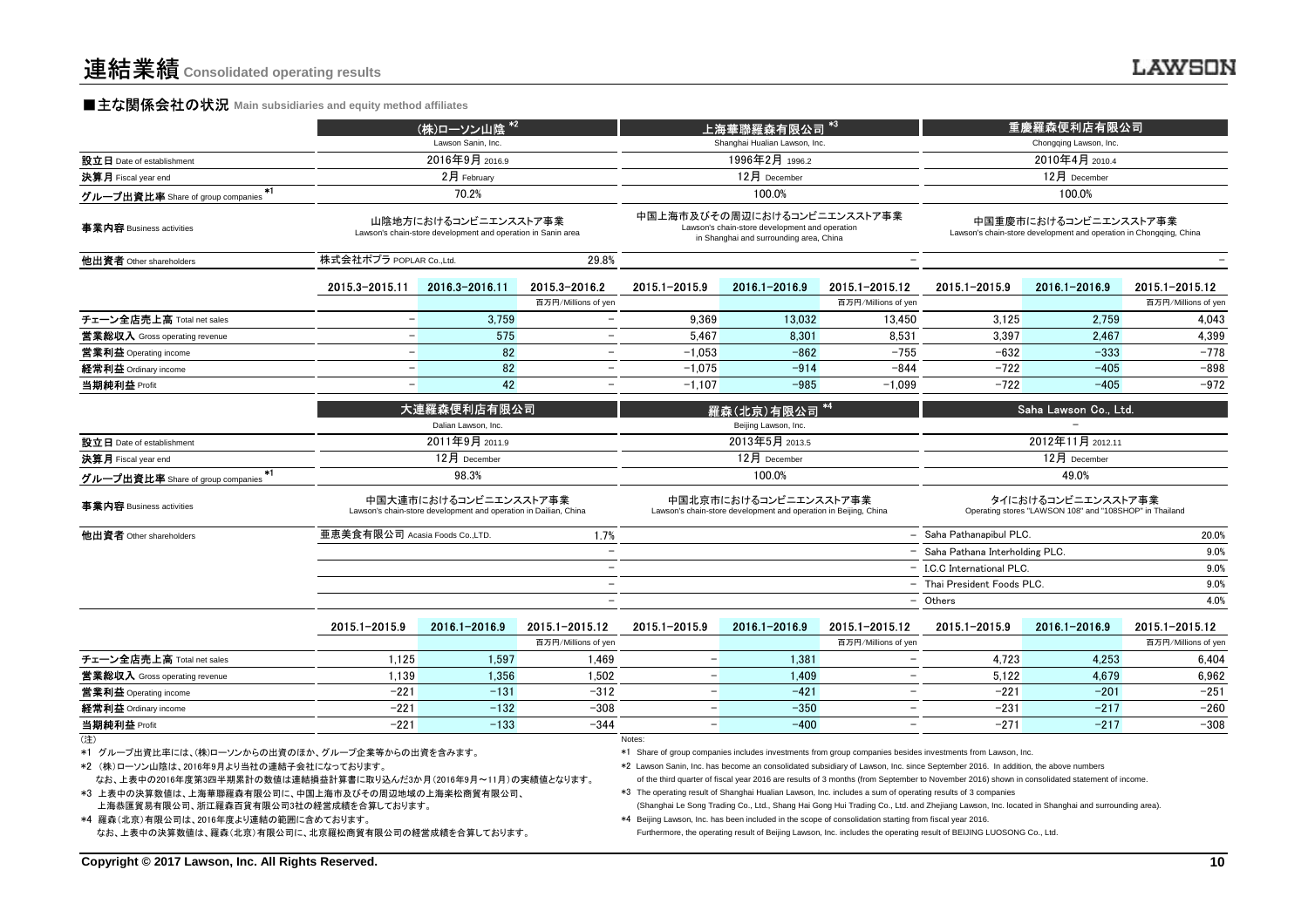#### **■主な関係会社の状況** Main subsidiaries and equity method affiliates

|                                                                                                                                                                                                                                                                                                                 |                                | (株)ローソン山陰 *2                                                                              |                                                 |                                                                                           | 上海華聯羅森有限公司                                                                                                                                                                                                             |                               |                                                                                                                                                                                                                                                                                                                                                                                                                                                                                                                                                    | 重慶羅森便利店有限公司                                                                   |                     |
|-----------------------------------------------------------------------------------------------------------------------------------------------------------------------------------------------------------------------------------------------------------------------------------------------------------------|--------------------------------|-------------------------------------------------------------------------------------------|-------------------------------------------------|-------------------------------------------------------------------------------------------|------------------------------------------------------------------------------------------------------------------------------------------------------------------------------------------------------------------------|-------------------------------|----------------------------------------------------------------------------------------------------------------------------------------------------------------------------------------------------------------------------------------------------------------------------------------------------------------------------------------------------------------------------------------------------------------------------------------------------------------------------------------------------------------------------------------------------|-------------------------------------------------------------------------------|---------------------|
|                                                                                                                                                                                                                                                                                                                 |                                | Lawson Sanin, Inc.                                                                        |                                                 |                                                                                           | Shanghai Hualian Lawson, Inc.                                                                                                                                                                                          |                               |                                                                                                                                                                                                                                                                                                                                                                                                                                                                                                                                                    | Chongqing Lawson, Inc.                                                        |                     |
| 設立日 Date of establishment                                                                                                                                                                                                                                                                                       |                                | 2016年9月 2016.9                                                                            |                                                 |                                                                                           | 1996年2月 1996.2                                                                                                                                                                                                         |                               |                                                                                                                                                                                                                                                                                                                                                                                                                                                                                                                                                    | 2010年4月 2010.4                                                                |                     |
| 決算月 Fiscal year end                                                                                                                                                                                                                                                                                             |                                | 2月 February                                                                               |                                                 |                                                                                           | 12月 December                                                                                                                                                                                                           |                               | 12月 December                                                                                                                                                                                                                                                                                                                                                                                                                                                                                                                                       |                                                                               |                     |
| グループ出資比率 Share of group companies *1                                                                                                                                                                                                                                                                            |                                | 70.2%                                                                                     |                                                 |                                                                                           | 100.0%                                                                                                                                                                                                                 |                               |                                                                                                                                                                                                                                                                                                                                                                                                                                                                                                                                                    | 100.0%                                                                        |                     |
| 事業内容 Business activities                                                                                                                                                                                                                                                                                        |                                | 山陰地方におけるコンビニエンスストア事業<br>Lawson's chain-store development and operation in Sanin area      |                                                 |                                                                                           | 中国上海市及びその周辺におけるコンビニエンスストア事業<br>Lawson's chain-store development and operation<br>in Shanghai and surrounding area, China                                                                                               |                               | 中国重慶市におけるコンビニエンスストア事業<br>Lawson's chain-store development and operation in Chongqing, China                                                                                                                                                                                                                                                                                                                                                                                                                                                        |                                                                               |                     |
| 他出資者 Other shareholders                                                                                                                                                                                                                                                                                         | 株式会社ポプラ POPLAR Co.,Ltd.        |                                                                                           | 29.8%                                           |                                                                                           |                                                                                                                                                                                                                        | $\overline{\phantom{m}}$      |                                                                                                                                                                                                                                                                                                                                                                                                                                                                                                                                                    |                                                                               |                     |
|                                                                                                                                                                                                                                                                                                                 | 2015.3-2015.11                 | 2016.3-2016.11                                                                            | 2015.3-2016.2                                   | 2015.1-2015.9                                                                             | 2016.1-2016.9                                                                                                                                                                                                          | 2015.1-2015.12                | 2015.1-2015.9                                                                                                                                                                                                                                                                                                                                                                                                                                                                                                                                      | 2016.1-2016.9                                                                 | 2015.1-2015.12      |
| チェーン全店売上高 Total net sales                                                                                                                                                                                                                                                                                       | $\overline{\phantom{0}}$       | 3.759                                                                                     | 百万円/Millions of yen<br>$\overline{\phantom{a}}$ | 9.369                                                                                     | 13.032                                                                                                                                                                                                                 | 百万円/Millions of yen<br>13.450 | 3.125                                                                                                                                                                                                                                                                                                                                                                                                                                                                                                                                              | 2.759                                                                         | 百万円/Millions of yen |
|                                                                                                                                                                                                                                                                                                                 | $\qquad \qquad -$              | 575                                                                                       | $\overline{\phantom{0}}$                        | 5,467                                                                                     | 8,301                                                                                                                                                                                                                  | 8,531                         | 3,397                                                                                                                                                                                                                                                                                                                                                                                                                                                                                                                                              | 2,467                                                                         | 4,043<br>4,399      |
| <b>営業総収入</b> Gross operating revenue<br>営業利益 Operating income                                                                                                                                                                                                                                                   | $\equiv$                       | 82                                                                                        |                                                 | $-1.053$                                                                                  | $-862$                                                                                                                                                                                                                 | $-755$                        | $-632$                                                                                                                                                                                                                                                                                                                                                                                                                                                                                                                                             | $-333$                                                                        | $-778$              |
| 経常利益 Ordinary income                                                                                                                                                                                                                                                                                            |                                | 82                                                                                        |                                                 | $-1.075$                                                                                  | $-914$                                                                                                                                                                                                                 | $-844$                        | $-722$                                                                                                                                                                                                                                                                                                                                                                                                                                                                                                                                             | $-405$                                                                        | $-898$              |
| 当期純利益 Profit                                                                                                                                                                                                                                                                                                    | $\equiv$                       | 42                                                                                        | $\equiv$                                        | $-1.107$                                                                                  | $-985$                                                                                                                                                                                                                 | $-1.099$                      | $-722$                                                                                                                                                                                                                                                                                                                                                                                                                                                                                                                                             | $-405$                                                                        | $-972$              |
|                                                                                                                                                                                                                                                                                                                 |                                |                                                                                           |                                                 |                                                                                           |                                                                                                                                                                                                                        |                               |                                                                                                                                                                                                                                                                                                                                                                                                                                                                                                                                                    |                                                                               |                     |
|                                                                                                                                                                                                                                                                                                                 |                                | 大連羅森便利店有限公司                                                                               |                                                 |                                                                                           | 羅森(北京)有限公司                                                                                                                                                                                                             |                               |                                                                                                                                                                                                                                                                                                                                                                                                                                                                                                                                                    | Saha Lawson Co., Ltd.                                                         |                     |
|                                                                                                                                                                                                                                                                                                                 |                                | Dalian Lawson, Inc.<br>2011年9月 2011.9                                                     |                                                 |                                                                                           | Beijing Lawson, Inc.<br>2013年5月 2013.5                                                                                                                                                                                 |                               |                                                                                                                                                                                                                                                                                                                                                                                                                                                                                                                                                    | 2012年11月 2012.11                                                              |                     |
| 設立日 Date of establishment<br>決算月 Fiscal year end                                                                                                                                                                                                                                                                |                                | 12月 December                                                                              |                                                 |                                                                                           | 12月 December                                                                                                                                                                                                           |                               |                                                                                                                                                                                                                                                                                                                                                                                                                                                                                                                                                    | 12月 December                                                                  |                     |
| $*1$                                                                                                                                                                                                                                                                                                            |                                | 98.3%                                                                                     |                                                 |                                                                                           | 100.0%                                                                                                                                                                                                                 |                               |                                                                                                                                                                                                                                                                                                                                                                                                                                                                                                                                                    | 49.0%                                                                         |                     |
| グループ出資比率 Share of group companies                                                                                                                                                                                                                                                                               |                                |                                                                                           |                                                 |                                                                                           |                                                                                                                                                                                                                        |                               |                                                                                                                                                                                                                                                                                                                                                                                                                                                                                                                                                    |                                                                               |                     |
| 事業内容 Business activities                                                                                                                                                                                                                                                                                        |                                | 中国大連市におけるコンビニエンスストア事業<br>Lawson's chain-store development and operation in Dailian, China |                                                 | 中国北京市におけるコンビニエンスストア事業<br>Lawson's chain-store development and operation in Beijing, China |                                                                                                                                                                                                                        |                               |                                                                                                                                                                                                                                                                                                                                                                                                                                                                                                                                                    | タイにおけるコンビニエンスストア事業<br>Operating stores "LAWSON 108" and "108SHOP" in Thailand |                     |
| 他出資者 Other shareholders                                                                                                                                                                                                                                                                                         | 亜恵美食有限公司 Acasia Foods Co.,LTD. |                                                                                           | 1.7%                                            |                                                                                           |                                                                                                                                                                                                                        |                               | - Saha Pathanapibul PLC.                                                                                                                                                                                                                                                                                                                                                                                                                                                                                                                           | 20.0%                                                                         |                     |
|                                                                                                                                                                                                                                                                                                                 |                                |                                                                                           | $\overline{\phantom{0}}$                        |                                                                                           |                                                                                                                                                                                                                        |                               | - Saha Pathana Interholding PLC.                                                                                                                                                                                                                                                                                                                                                                                                                                                                                                                   |                                                                               | 9.0%                |
|                                                                                                                                                                                                                                                                                                                 |                                |                                                                                           | $\overline{\phantom{0}}$                        |                                                                                           |                                                                                                                                                                                                                        |                               | - I.C.C International PLC.                                                                                                                                                                                                                                                                                                                                                                                                                                                                                                                         |                                                                               | 9.0%                |
|                                                                                                                                                                                                                                                                                                                 |                                |                                                                                           | $\overline{\phantom{0}}$                        |                                                                                           |                                                                                                                                                                                                                        |                               | - Thai President Foods PLC.                                                                                                                                                                                                                                                                                                                                                                                                                                                                                                                        |                                                                               | 9.0%                |
|                                                                                                                                                                                                                                                                                                                 |                                |                                                                                           |                                                 |                                                                                           |                                                                                                                                                                                                                        |                               | - Others                                                                                                                                                                                                                                                                                                                                                                                                                                                                                                                                           |                                                                               | 4.0%                |
|                                                                                                                                                                                                                                                                                                                 | 2015.1-2015.9                  | 2016.1-2016.9                                                                             | 2015.1-2015.12                                  | 2015.1-2015.9                                                                             | 2016.1-2016.9                                                                                                                                                                                                          | 2015.1-2015.12                | 2015.1-2015.9                                                                                                                                                                                                                                                                                                                                                                                                                                                                                                                                      | 2016.1-2016.9                                                                 | 2015.1-2015.12      |
|                                                                                                                                                                                                                                                                                                                 |                                |                                                                                           | 百万円/Millions of yen                             |                                                                                           |                                                                                                                                                                                                                        | 百万円/Millions of yen           |                                                                                                                                                                                                                                                                                                                                                                                                                                                                                                                                                    |                                                                               | 百万円/Millions of yen |
| チェーン全店売上高 Total net sales                                                                                                                                                                                                                                                                                       | 1,125                          | 1,597                                                                                     | 1,469                                           | $\qquad \qquad -$                                                                         | 1,381                                                                                                                                                                                                                  | $\overline{\phantom{m}}$      | 4,723                                                                                                                                                                                                                                                                                                                                                                                                                                                                                                                                              | 4,253                                                                         | 6,404               |
| 営業総収入 Gross operating revenue                                                                                                                                                                                                                                                                                   | 1.139                          | 1,356                                                                                     | 1.502                                           |                                                                                           | 1.409                                                                                                                                                                                                                  | $\overline{\phantom{0}}$      | 5.122                                                                                                                                                                                                                                                                                                                                                                                                                                                                                                                                              | 4.679                                                                         | 6,962               |
| 営業利益 Operating income                                                                                                                                                                                                                                                                                           | $-221$                         | $-131$                                                                                    | $-312$                                          |                                                                                           | $-421$                                                                                                                                                                                                                 |                               | $-221$                                                                                                                                                                                                                                                                                                                                                                                                                                                                                                                                             | $-201$                                                                        | $-251$              |
| 経常利益 Ordinary income                                                                                                                                                                                                                                                                                            | $-221$                         | $-132$                                                                                    | $-308$                                          | $\frac{1}{2}$                                                                             | $-350$                                                                                                                                                                                                                 | $\overline{\phantom{0}}$      | $-231$                                                                                                                                                                                                                                                                                                                                                                                                                                                                                                                                             | $-217$                                                                        | $-260$              |
| 当期純利益 Profit                                                                                                                                                                                                                                                                                                    | $-221$                         | $-133$                                                                                    | $-344$                                          | $\overline{\phantom{0}}$                                                                  | $-400$                                                                                                                                                                                                                 | $\overline{\phantom{0}}$      | $-271$                                                                                                                                                                                                                                                                                                                                                                                                                                                                                                                                             | $-217$                                                                        | $-308$              |
| (注)<br>*1 グループ出資比率には、(株)ローソンからの出資のほか、グループ企業等からの出資を含みます。<br>*2 (株)ローソン山陰は、2016年9月より当社の連結子会社になっております。<br>なお、上表中の2016年度第3四半期累計の数値は連結損益計算書に取り込んだ3か月(2016年9月~11月)の実績値となります。<br>*3 上表中の決算数値は、上海華聯羅森有限公司に、中国上海市及びその周辺地域の上海楽松商貿有限公司、<br>上海恭匯貿易有限公司、浙江羅森百貨有限公司3社の経営成績を合算しております。<br>*4 羅森(北京)有限公司は、2016年度より連結の範囲に含めております。 |                                |                                                                                           |                                                 | Notes:                                                                                    | *3 The operating result of Shanghai Hualian Lawson, Inc. includes a sum of operating results of 3 companies<br>*4 Beijing Lawson, Inc. has been included in the scope of consolidation starting from fiscal year 2016. |                               | *1 Share of group companies includes investments from group companies besides investments from Lawson, Inc.<br>*2 Lawson Sanin, Inc. has become an consolidated subsidiary of Lawson, Inc. since September 2016. In addition, the above numbers<br>of the third quarter of fiscal year 2016 are results of 3 months (from September to November 2016) shown in consolidated statement of income.<br>(Shanghai Le Song Trading Co., Ltd., Shang Hai Gong Hui Trading Co., Ltd. and Zhejiang Lawson, Inc. located in Shanghai and surrounding area). |                                                                               |                     |

\*4 Beijing Lawson, Inc. has been included in the scope of consolidation starting from fiscal year 2016.

なお、上表中の決算数値は、羅森(北京)有限公司に、北京羅松商貿有限公司の経営成績を合算しております。 Furthermore, the operating result of Beijing Lawson, Inc. includes the operating result of BEIJING LUOSONG Co., Ltd.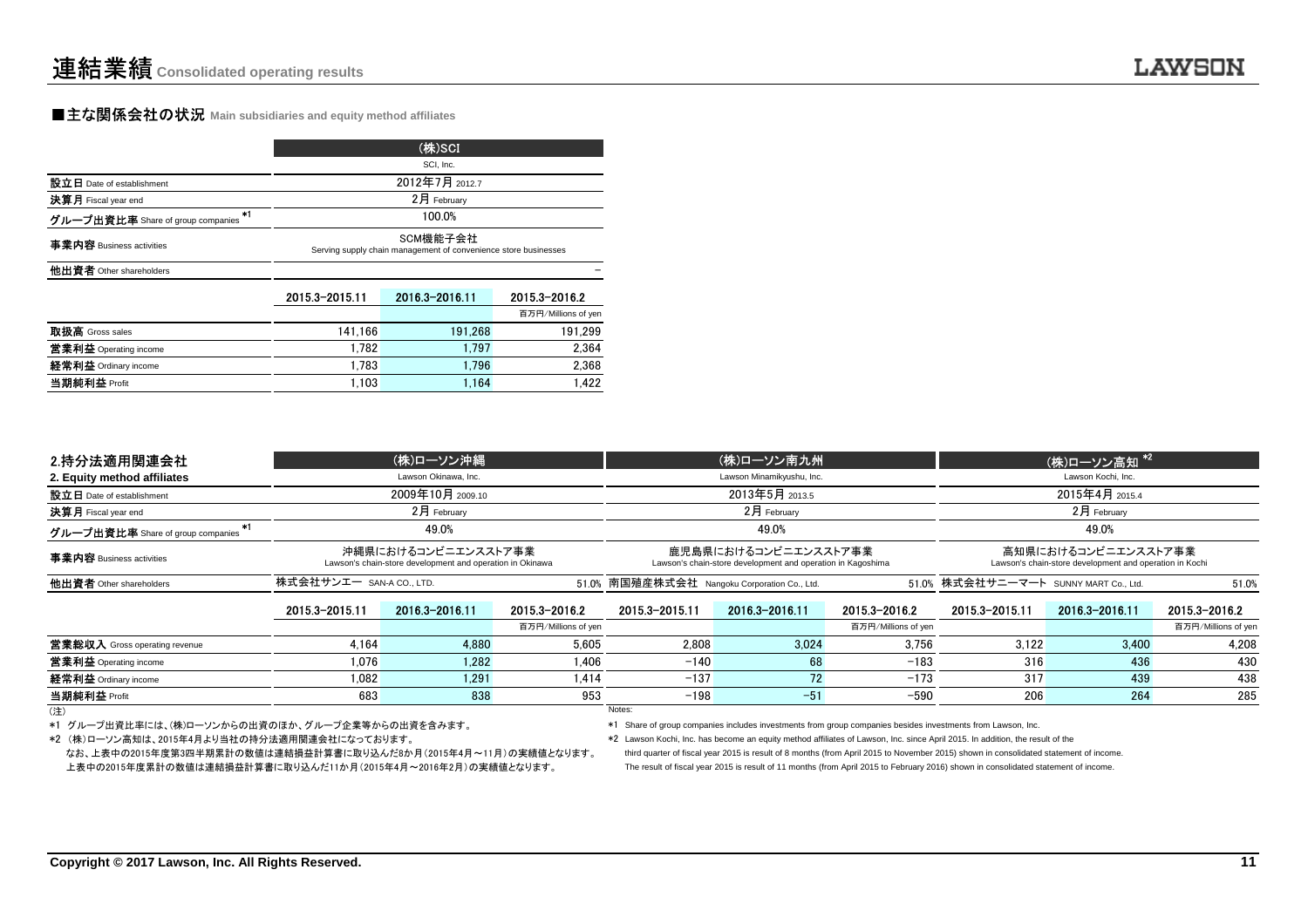#### **■主な関係会社の状況** Main subsidiaries and equity method affiliates

|                                         | (株)SCI                                                                      |                |                     |  |  |  |  |  |
|-----------------------------------------|-----------------------------------------------------------------------------|----------------|---------------------|--|--|--|--|--|
|                                         |                                                                             | SCI, Inc.      |                     |  |  |  |  |  |
| 設立日 Date of establishment               | 2012年7月 2012.7                                                              |                |                     |  |  |  |  |  |
| 決算月 Fiscal year end                     | 2月 February                                                                 |                |                     |  |  |  |  |  |
| *1<br>グループ出資比率 Share of group companies | 100.0%                                                                      |                |                     |  |  |  |  |  |
| 事業内容 Business activities                | SCM機能子会社<br>Serving supply chain management of convenience store businesses |                |                     |  |  |  |  |  |
| 他出資者 Other shareholders                 |                                                                             |                |                     |  |  |  |  |  |
|                                         | 2015.3-2015.11                                                              | 2016.3-2016.11 | 2015.3-2016.2       |  |  |  |  |  |
|                                         |                                                                             |                | 百万円/Millions of yen |  |  |  |  |  |
| 取扱高 Gross sales                         | 141.166                                                                     | 191.268        | 191.299             |  |  |  |  |  |
| 営業利益 Operating income                   | 1.782                                                                       | 1.797          | 2.364               |  |  |  |  |  |
| $42$ db $21 + 4$                        | 1.700                                                                       | 1.70c          | n non               |  |  |  |  |  |

e 1,783 1,796 2,368<br>1,102 1,164 1,164 1,162

t 1,103 1,164 1,422

| 2.持分法適用関連会社                             |                | (株)ローソン沖縄                                                                        |                     |                                                                                     | (株)ローソン南九州                                   |                     | (株)ローソン高知*2                                                                    |                                       |                     |  |
|-----------------------------------------|----------------|----------------------------------------------------------------------------------|---------------------|-------------------------------------------------------------------------------------|----------------------------------------------|---------------------|--------------------------------------------------------------------------------|---------------------------------------|---------------------|--|
| 2. Equity method affiliates             |                | Lawson Okinawa, Inc.                                                             |                     |                                                                                     | Lawson Minamikyushu, Inc.                    |                     |                                                                                | Lawson Kochi, Inc.                    |                     |  |
| 設立日 Date of establishment               |                | 2009年10月 2009.10                                                                 |                     |                                                                                     | 2013年5月 2013.5                               |                     | 2015年4月 2015.4                                                                 |                                       |                     |  |
| 決算月 Fiscal year end                     | $2月$ February  |                                                                                  |                     |                                                                                     | $2$ 月 February                               |                     |                                                                                | $2$ 月 February                        |                     |  |
| *1<br>グループ出資比率 Share of group companies | 49.0%          |                                                                                  |                     |                                                                                     | 49.0%                                        |                     |                                                                                | 49.0%                                 |                     |  |
| 事業内容 Business activities                |                | 沖縄県におけるコンビニエンスストア事業<br>Lawson's chain-store development and operation in Okinawa |                     | 鹿児島県におけるコンビニエンスストア事業<br>Lawson's chain-store development and operation in Kagoshima |                                              |                     | 高知県におけるコンビニエンスストア事業<br>Lawson's chain-store development and operation in Kochi |                                       |                     |  |
| 他出資者 Other shareholders                 |                | 株式会社サンエー san-a coLTD.                                                            |                     |                                                                                     | 51.0% 南国殖産株式会社 Nangoku Corporation Co., Ltd. |                     |                                                                                | 51.0% 株式会社サニーマート SUNNY MART Co., Ltd. | 51.0%               |  |
|                                         | 2015.3-2015.11 | 2016.3-2016.11                                                                   | 2015.3-2016.2       | 2015.3-2015.11                                                                      | 2016.3-2016.11                               | 2015.3-2016.2       | 2015.3-2015.11                                                                 | 2016.3-2016.11                        | 2015.3-2016.2       |  |
|                                         |                |                                                                                  | 百万円/Millions of yen |                                                                                     |                                              | 百万円/Millions of yen |                                                                                |                                       | 百万円/Millions of yen |  |
| 営業総収入 Gross operating revenue           | 4.164          | 4.880                                                                            | 5.605               | 2.808                                                                               | 3.024                                        | 3.756               | 3.122                                                                          | 3.400                                 | 4.208               |  |
| 営業利益 Operating income                   | 1.076          | 1.282                                                                            | 1.406               | $-140$                                                                              | 68                                           | $-183$              | 316                                                                            | 436                                   | 430                 |  |
| 経常利益 Ordinary income                    | 1.082          | 1.291                                                                            | 1.414               | $-137$                                                                              | 72                                           | $-173$              | 317                                                                            | 439                                   | 438                 |  |
| 当期純利益 Profit                            | 683            | 838                                                                              | 953                 | $-198$                                                                              | $-51$                                        | $-590$              | 206                                                                            | 264                                   | 285                 |  |
| (注)                                     |                |                                                                                  |                     | Notes:                                                                              |                                              |                     |                                                                                |                                       |                     |  |

(注)

**経常利益** Ordinary income

当期純利益 Profit

\*1 グループ出資比率には、(株)ローソンからの出資のほか、グループ企業等からの出資を含みます。

\*1 Share of group companies includes investments from group companies besides investments from Lawson, Inc.

\*2 (株)ローソン高知は、2015年4月より当社の持分法適用関連会社になっております。

なお、上表中の2015年度第3四半期累計の数値は連結損益計算書に取り込んだ8か月(2015年4月~11月)の実績値となります。 上表中の2015年度累計の数値は連結損益計算書に取り込んだ11か月(2015年4月~2016年2月)の実績値となります。 The result of fiscal year 2015 is result of 11 months (from April 2015 to February 2016) shown in consolidated statement of income.

\*2 Lawson Kochi, Inc. has become an equity method affiliates of Lawson, Inc. since April 2015. In addition, the result of the

third quarter of fiscal year 2015 is result of 8 months (from April 2015 to November 2015) shown in consolidated statement of income.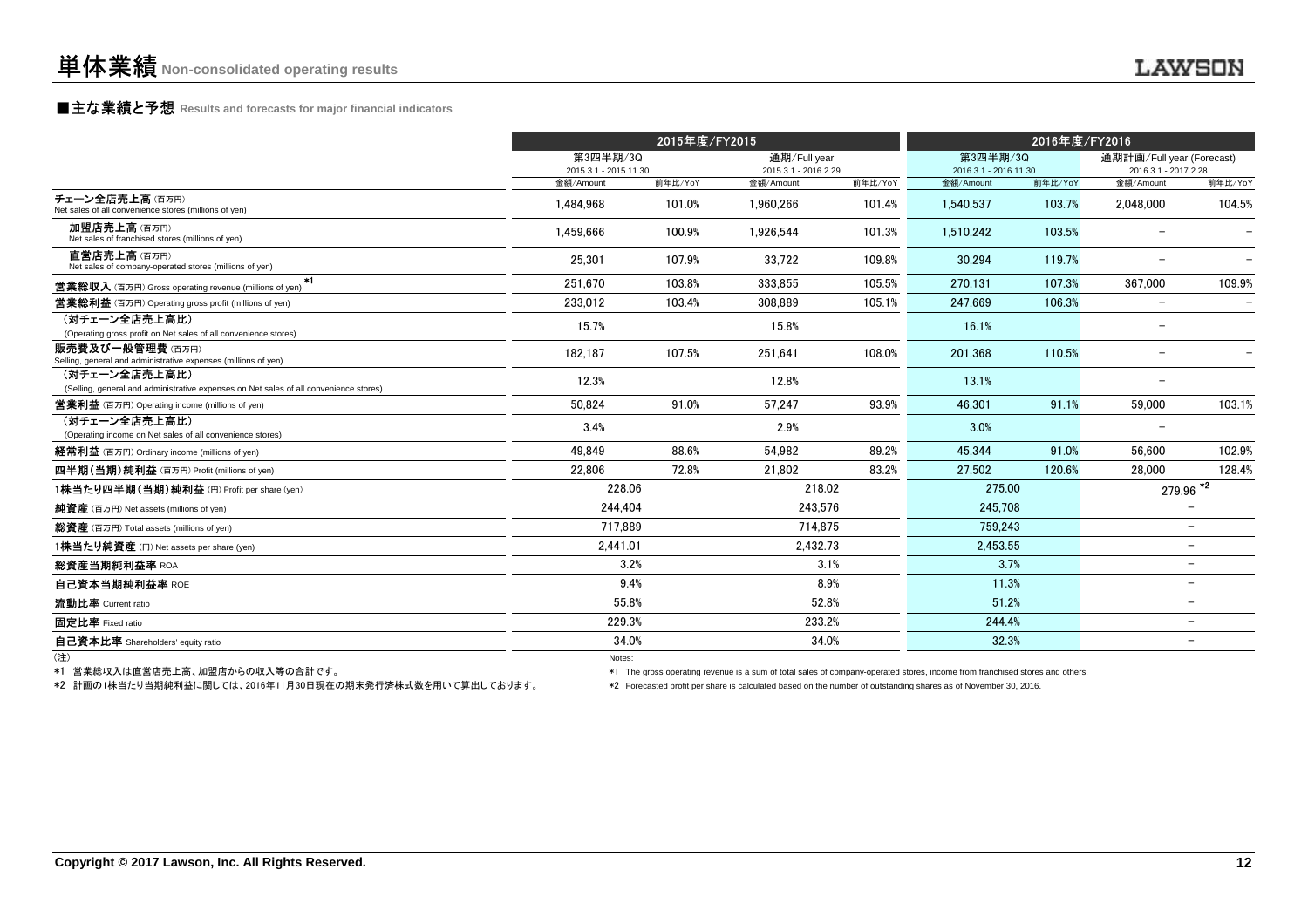### **■主な業績と予想** Results and forecasts for major financial indicators<br>
————————————————————

|                                                                                                        |                                   | 2015年度/FY2015 |                                      |         | 2016年度/FY2016                     |         |                                                   |                          |
|--------------------------------------------------------------------------------------------------------|-----------------------------------|---------------|--------------------------------------|---------|-----------------------------------|---------|---------------------------------------------------|--------------------------|
|                                                                                                        | 第3四半期/3Q<br>2015.3.1 - 2015.11.30 |               | 通期/Full year<br>2015.3.1 - 2016.2.29 |         | 第3四半期/3Q<br>2016.3.1 - 2016.11.30 |         | 通期計画/Full year (Forecast)<br>2016.3.1 - 2017.2.28 |                          |
|                                                                                                        | 金額/Amount                         | 前年比/YoY       | 金額/Amount                            | 前年比/YoY | 金額/Amount                         | 前年比/YoY | 金額/Amount                                         | 前年比/YoY                  |
| チェーン全店売上高(百万円)<br>Net sales of all convenience stores (millions of yen)                                | 1.484.968                         | 101.0%        | 1.960.266                            | 101.4%  | 1.540.537                         | 103.7%  | 2.048.000                                         | 104.5%                   |
| 加盟店売上高(百万円)<br>Net sales of franchised stores (millions of yen)                                        | 1,459,666                         | 100.9%        | 1,926,544                            | 101.3%  | 1,510,242                         | 103.5%  |                                                   |                          |
| 直営店売上高(百万円)<br>Net sales of company-operated stores (millions of yen)                                  | 25.301                            | 107.9%        | 33.722                               | 109.8%  | 30.294                            | 119.7%  |                                                   |                          |
| $*1$<br><b>営業総収入</b> (百万円) Gross operating revenue (millions of yen)                                   | 251.670                           | 103.8%        | 333.855                              | 105.5%  | 270.131                           | 107.3%  | 367.000                                           | 109.9%                   |
| <b>営業総利益</b> (百万円) Operating gross profit (millions of yen)                                            | 233.012                           | 103.4%        | 308.889                              | 105.1%  | 247.669                           | 106.3%  | $\overline{\phantom{m}}$                          |                          |
| (対チェーン全店売上高比)<br>(Operating gross profit on Net sales of all convenience stores)                       | 15.7%                             |               | 15.8%                                |         | 16.1%                             |         | $\overline{\phantom{m}}$                          |                          |
| 販売費及び一般管理費(百万円)<br>Selling, general and administrative expenses (millions of yen)                      | 182,187                           | 107.5%        | 251,641                              | 108.0%  | 201,368                           | 110.5%  |                                                   |                          |
| (対チェーン全店売上高比)<br>(Selling, general and administrative expenses on Net sales of all convenience stores) | 12.3%                             |               | 12.8%                                |         | 13.1%                             |         | $\overline{\phantom{0}}$                          |                          |
| <b>営業利益</b> (百万円) Operating income (millions of yen)                                                   | 50.824                            | 91.0%         | 57.247                               | 93.9%   | 46.301                            | 91.1%   | 59,000                                            | 103.1%                   |
| (対チェーン全店売上高比)<br>(Operating income on Net sales of all convenience stores)                             | 3.4%                              |               | 2.9%                                 |         | 3.0%                              |         |                                                   |                          |
| 経常利益 (百万円) Ordinary income (millions of yen)                                                           | 49.849                            | 88.6%         | 54.982                               | 89.2%   | 45.344                            | 91.0%   | 56.600                                            | 102.9%                   |
| 四半期(当期)純利益(百万円) Profit (millions of yen)                                                               | 22.806                            | 72.8%         | 21.802                               | 83.2%   | 27.502                            | 120.6%  | 28.000                                            | 128.4%                   |
| 1株当たり四半期(当期)純利益 (円) Profit per share (yen)                                                             | 228.06                            |               | 218.02                               |         | 275.00                            |         |                                                   | $\frac{279.96}{42}$      |
| 純資産 (百万円) Net assets (millions of yen)                                                                 | 244.404                           |               | 243.576                              |         | 245.708                           |         |                                                   |                          |
| 総資産 (百万円) Total assets (millions of yen)                                                               | 717.889                           |               | 714.875                              |         | 759.243                           |         |                                                   |                          |
| 1株当たり純資産 (円) Net assets per share (yen)                                                                | 2,441.01                          |               | 2,432.73                             |         | 2,453.55                          |         |                                                   | $\overline{\phantom{0}}$ |
| 総資産当期純利益率 ROA                                                                                          |                                   | 3.2%          |                                      | 3.1%    | 3.7%                              |         |                                                   | $\overline{\phantom{0}}$ |
| 自己資本当期純利益率 ROE                                                                                         |                                   | 9.4%          |                                      | 8.9%    | 11.3%                             |         |                                                   | $\overline{\phantom{0}}$ |
| 流動比率 Current ratio                                                                                     | 55.8%                             |               |                                      | 52.8%   | 51.2%                             |         |                                                   | $\overline{\phantom{0}}$ |
| 固定比率 Fixed ratio                                                                                       | 229.3%                            |               | 233.2%                               |         | 244.4%                            |         |                                                   | $\equiv$                 |
| 自己資本比率 Shareholders' equity ratio                                                                      | 34.0%                             |               |                                      | 34.0%   | 32.3%                             |         |                                                   | $\equiv$                 |
| (注)                                                                                                    | Notes:                            |               |                                      |         |                                   |         |                                                   |                          |

\*1 営業総収入は直営店売上高、加盟店からの収入等の合計です。

\*2 計画の1株当たり当期純利益に関しては、2016年11月30日現在の期末発行済株式数を用いて算出しております。

\*1 The gross operating revenue is a sum of total sales of company-operated stores, income from franchised stores and others.

\*2 Forecasted profit per share is calculated based on the number of outstanding shares as of November 30, 2016.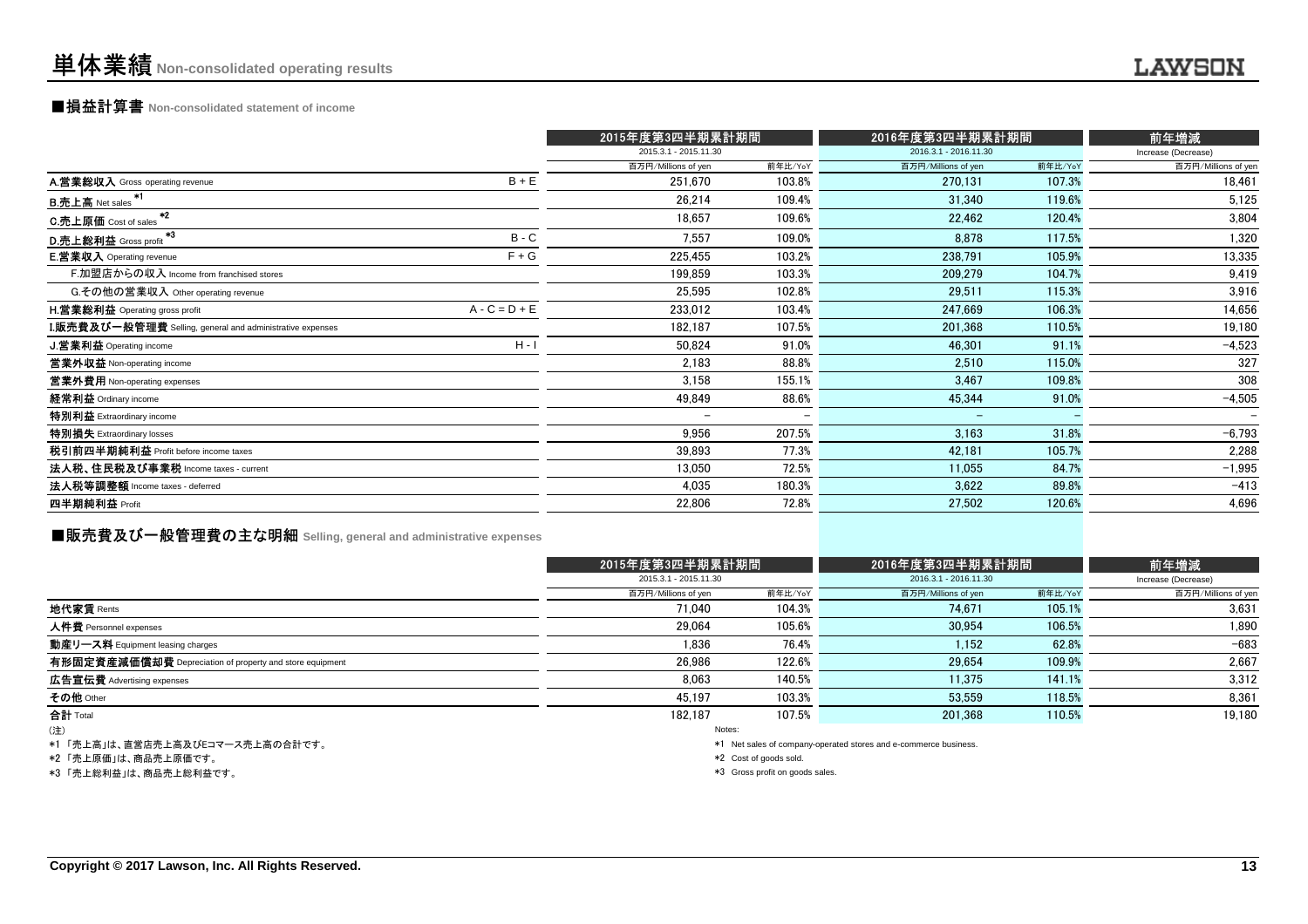### ■損益計算書 **Non-consolidated statement of income**

|                                                                  |                 | 2015年度第3四半期累計期間          |         | 2016年度第3四半期累計期間       |         | 前年増減                |
|------------------------------------------------------------------|-----------------|--------------------------|---------|-----------------------|---------|---------------------|
|                                                                  |                 | 2015.3.1 - 2015.11.30    |         | 2016.3.1 - 2016.11.30 |         | Increase (Decrease) |
|                                                                  |                 | 百万円/Millions of yen      | 前年比/YoY | 百万円/Millions of yen   | 前年比/YoY | 百万円/Millions of yen |
| A.営業総収入 Gross operating revenue                                  | $B + E$         | 251,670                  | 103.8%  | 270,131               | 107.3%  | 18,461              |
| <u>B.売上高 Net sale</u> s <sup>*1</sup>                            |                 | 26,214                   | 109.4%  | 31,340                | 119.6%  | 5,125               |
| $*2$<br>C.売上原価 Cost of sales                                     |                 | 18,657                   | 109.6%  | 22,462                | 120.4%  | 3,804               |
| - 3<br>D.売上総利益 Gross profit                                      | $B - C$         | 7,557                    | 109.0%  | 8,878                 | 117.5%  | 1,320               |
| <b>E.営業収入</b> Operating revenue                                  | $F + G$         | 225,455                  | 103.2%  | 238,791               | 105.9%  | 13,335              |
| F.加盟店からの収入 Income from franchised stores                         |                 | 199,859                  | 103.3%  | 209,279               | 104.7%  | 9,419               |
| G.その他の営業収入 Other operating revenue                               |                 | 25,595                   | 102.8%  | 29,511                | 115.3%  | 3,916               |
| <b>H.営業総利益</b> Operating gross profit                            | $A - C = D + E$ | 233.012                  | 103.4%  | 247,669               | 106.3%  | 14,656              |
| <b>I.販売費及び一般管理費</b> Selling, general and administrative expenses |                 | 182,187                  | 107.5%  | 201,368               | 110.5%  | 19,180              |
| J.営業利益 Operating income                                          | $H - I$         | 50.824                   | 91.0%   | 46,301                | 91.1%   | $-4,523$            |
| 営業外収益 Non-operating income                                       |                 | 2,183                    | 88.8%   | 2,510                 | 115.0%  | 327                 |
| 営業外費用 Non-operating expenses                                     |                 | 3,158                    | 155.1%  | 3,467                 | 109.8%  | 308                 |
| 経常利益 Ordinary income                                             |                 | 49,849                   | 88.6%   | 45,344                | 91.0%   | $-4,505$            |
| 特別利益 Extraordinary income                                        |                 | $\overline{\phantom{0}}$ |         |                       |         |                     |
| 特別損失 Extraordinary losses                                        |                 | 9,956                    | 207.5%  | 3,163                 | 31.8%   | $-6,793$            |
| 税引前四半期純利益 Profit before income taxes                             |                 | 39,893                   | 77.3%   | 42,181                | 105.7%  | 2,288               |
| 法人税、住民税及び事業税 Income taxes - current                              |                 | 13,050                   | 72.5%   | 11,055                | 84.7%   | $-1,995$            |
| 法人税等調整額 Income taxes - deferred                                  |                 | 4,035                    | 180.3%  | 3,622                 | 89.8%   | $-413$              |
| 四半期純利益 Profit                                                    |                 | 22,806                   | 72.8%   | 27,502                | 120.6%  | 4,696               |
|                                                                  |                 |                          |         |                       |         |                     |

### **■販売費及び一般管理費の主な明細** Selling, general and administrative expenses

|                                                          | 2015年度第3四半期累計期間       |         | 2016年度第3四半期累計期間                                                 | 前年増減    |                     |  |  |
|----------------------------------------------------------|-----------------------|---------|-----------------------------------------------------------------|---------|---------------------|--|--|
|                                                          | 2015.3.1 - 2015.11.30 |         | 2016.3.1 - 2016.11.30                                           |         | Increase (Decrease) |  |  |
|                                                          | 百万円/Millions of yen   | 前年比/YoY | 百万円/Millions of yen                                             | 前年比/YoY | 百万円/Millions of yen |  |  |
| 地代家賃 Rents                                               | 71.040                | 104.3%  | 74.671                                                          | 105.1%  | 3,631               |  |  |
| 人件費 Personnel expenses                                   | 29.064                | 105.6%  | 30.954                                                          | 106.5%  | 1.890               |  |  |
| 動産リース料 Equipment leasing charges                         | 1.836                 | 76.4%   | 1,152                                                           | 62.8%   | $-683$              |  |  |
| 有形固定資産減価償却費 Depreciation of property and store equipment | 26.986                | 122.6%  | 29.654                                                          | 109.9%  | 2.667               |  |  |
| 広告宣伝費 Advertising expenses                               | 8.063                 | 140.5%  | 11.375                                                          | 141.1%  | 3.312               |  |  |
| その他 Other                                                | 45.197                | 103.3%  | 53.559                                                          | 118.5%  | 8,361               |  |  |
| 合計 Total                                                 | 182.187               | 107.5%  | 201.368                                                         | 110.5%  | 19,180              |  |  |
| (注)                                                      |                       | Notes:  |                                                                 |         |                     |  |  |
| *1「売上享」け 直覚店売上享及びにコマース売上享の会計です                           |                       |         | *1 Net sales of company-operated stores and e-commerce business |         |                     |  |  |

\*1 「売上高」は、直営店売上高及びEコマース売上高の合計です。

\*2 「売上原価」は、商品売上原価です。

\*3 「売上総利益」は、商品売上総利益です。

company-oper

\*2 Cost of goods sold.

\*3 Gross profit on goods sales.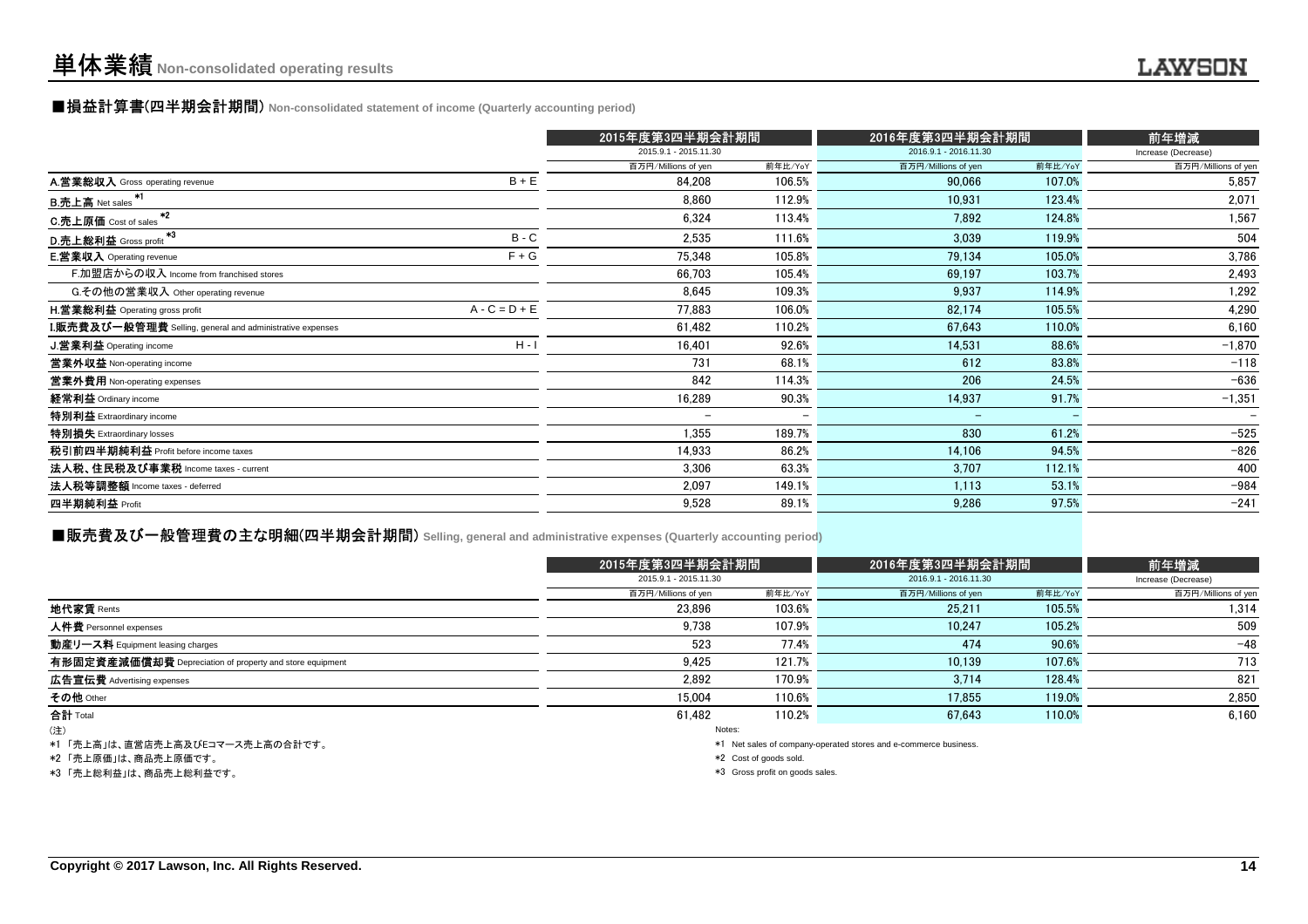#### ■損益計算書(四半期会計期間) **Non-consolidated statement of income (Quarterly accounting period)**

|                                                                  |                 | 2015年度第3四半期会計期間          |                          | 2016年度第3四半期会計期間          | 前年増減    |                     |
|------------------------------------------------------------------|-----------------|--------------------------|--------------------------|--------------------------|---------|---------------------|
|                                                                  |                 | 2015.9.1 - 2015.11.30    |                          | 2016.9.1 - 2016.11.30    |         | Increase (Decrease) |
|                                                                  |                 | 百万円/Millions of yen      | 前年比/YoY                  | 百万円/Millions of yen      | 前年比/YoY | 百万円/Millions of yen |
| A.営業総収入 Gross operating revenue                                  | $B + E$         | 84,208                   | 106.5%                   | 90,066                   | 107.0%  | 5,857               |
| B.売上高 Net sales <sup>*1</sup>                                    |                 | 8.860                    | 112.9%                   | 10,931                   | 123.4%  | 2,071               |
| $*2$<br>C.売上原価 Cost of sales                                     |                 | 6,324                    | 113.4%                   | 7,892                    | 124.8%  | 1,567               |
| -43<br>D.売上総利益 Gross profit                                      | $B - C$         | 2,535                    | 111.6%                   | 3,039                    | 119.9%  | 504                 |
| <b>E.営業収入</b> Operating revenue                                  | $F + G$         | 75,348                   | 105.8%                   | 79,134                   | 105.0%  | 3,786               |
| F.加盟店からの収入 Income from franchised stores                         |                 | 66,703                   | 105.4%                   | 69,197                   | 103.7%  | 2,493               |
| G.その他の営業収入 Other operating revenue                               |                 | 8,645                    | 109.3%                   | 9,937                    | 114.9%  | 1,292               |
| <b>H.営業総利益</b> Operating gross profit                            | $A - C = D + E$ | 77.883                   | 106.0%                   | 82,174                   | 105.5%  | 4,290               |
| <b>I.販売費及び一般管理費</b> Selling, general and administrative expenses |                 | 61,482                   | 110.2%                   | 67,643                   | 110.0%  | 6,160               |
| J.営業利益 Operating income                                          | $H - I$         | 16,401                   | 92.6%                    | 14,531                   | 88.6%   | $-1,870$            |
| 営業外収益 Non-operating income                                       |                 | 731                      | 68.1%                    | 612                      | 83.8%   | $-118$              |
| 當業外費用 Non-operating expenses                                     |                 | 842                      | 114.3%                   | 206                      | 24.5%   | $-636$              |
| 経常利益 Ordinary income                                             |                 | 16,289                   | 90.3%                    | 14,937                   | 91.7%   | $-1,351$            |
| <b>特別利益</b> Extraordinary income                                 |                 | $\overline{\phantom{0}}$ | $\overline{\phantom{0}}$ | $\overline{\phantom{0}}$ |         |                     |
| 特別損失 Extraordinary losses                                        |                 | 1,355                    | 189.7%                   | 830                      | 61.2%   | $-525$              |
| 税引前四半期純利益 Profit before income taxes                             |                 | 14,933                   | 86.2%                    | 14,106                   | 94.5%   | $-826$              |
| 法人税、住民税及び事業税 Income taxes - current                              |                 | 3,306                    | 63.3%                    | 3,707                    | 112.1%  | 400                 |
| 法人税等調整額 Income taxes - deferred                                  |                 | 2,097                    | 149.1%                   | 1,113                    | 53.1%   | $-984$              |
| 四半期純利益 Profit                                                    |                 | 9,528                    | 89.1%                    | 9,286                    | 97.5%   | $-241$              |
|                                                                  |                 |                          |                          |                          |         |                     |

#### ■販売費及び一般管理費の主な明細(四半期会計期間) **Selling, general and administrative expenses (Quarterly accounting period)**

|                                                          | 2015年度第3四半期会計期間       |                                                                  | 2016年度第3四半期会計期間       | 前年増減    |                     |  |  |  |
|----------------------------------------------------------|-----------------------|------------------------------------------------------------------|-----------------------|---------|---------------------|--|--|--|
|                                                          | 2015.9.1 - 2015.11.30 |                                                                  | 2016.9.1 - 2016.11.30 |         | Increase (Decrease) |  |  |  |
|                                                          | 百万円/Millions of yen   | 前年比/YoY                                                          | 百万円/Millions of yen   | 前年比/YoY | 百万円/Millions of yen |  |  |  |
| 地代家賃 Rents                                               | 23.896                | 103.6%                                                           | 25.211                | 105.5%  | 1.314               |  |  |  |
| 人件費 Personnel expenses                                   | 9.738                 | 107.9%                                                           | 10.247                | 105.2%  | 509                 |  |  |  |
| 動産リース料 Equipment leasing charges                         | 523                   | 77.4%                                                            | 474                   | 90.6%   | $-48$               |  |  |  |
| 有形固定資産減価償却費 Depreciation of property and store equipment | 9.425                 | 121.7%                                                           | 10.139                | 107.6%  | 713                 |  |  |  |
| 広告宣伝費 Advertising expenses                               | 2.892                 | 170.9%                                                           | 3.714                 | 128.4%  | 821                 |  |  |  |
| その他 Other                                                | 15.004                | 110.6%                                                           | 17.855                | 119.0%  | 2.850               |  |  |  |
| <b>合計</b> Total                                          | 61.482                | 110.2%                                                           | 67.643                | 110.0%  | 6.160               |  |  |  |
| (注)                                                      |                       | Notes:                                                           |                       |         |                     |  |  |  |
| *1 「売上高」は、直営店売上高及びEコマース売上高の合計です。                         |                       | *1 Net sales of company-operated stores and e-commerce business. |                       |         |                     |  |  |  |
|                                                          |                       |                                                                  |                       |         |                     |  |  |  |

\*2 「売上原価」は、商品売上原価です。

\*3 「売上総利益」は、商品売上総利益です。

 $*2$  Cost of goods sold.

\*3 Gross profit on goods sales.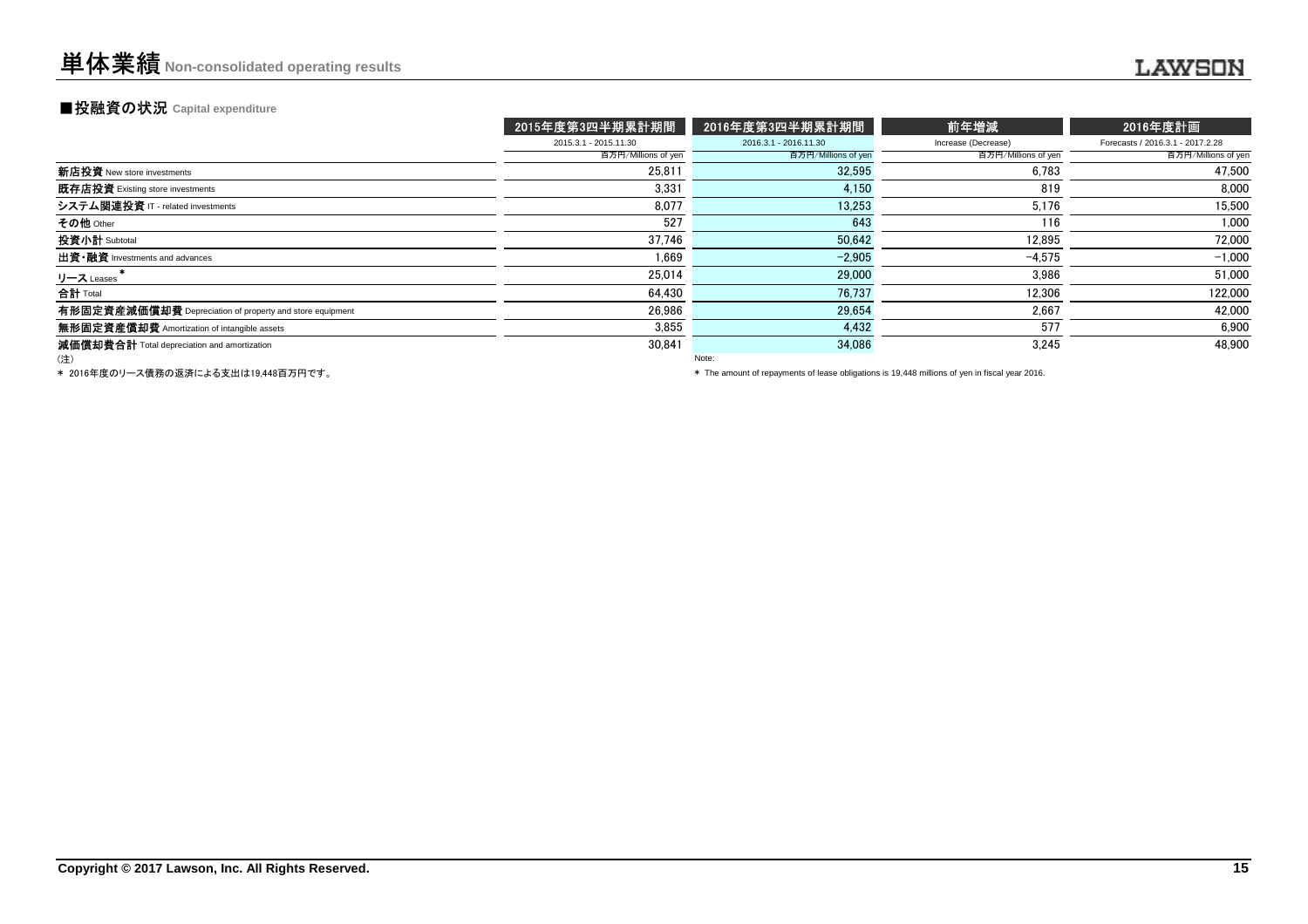#### **■投融資の状況 Capital expenditure**

|                                                          | 2015年度第3四半期累計期間       | 2016年度第3四半期累計期間       | 前年増減                | 2016年度計画                         |
|----------------------------------------------------------|-----------------------|-----------------------|---------------------|----------------------------------|
|                                                          | 2015.3.1 - 2015.11.30 | 2016.3.1 - 2016.11.30 | Increase (Decrease) | Forecasts / 2016.3.1 - 2017.2.28 |
|                                                          | 百万円/Millions of yen   | 百万円/Millions of yen   | 百万円/Millions of yen | 百万円/Millions of yen              |
| 新店投資 New store investments                               | 25,811                | 32,595                | 6.783               | 47,500                           |
| 既存店投資 Existing store investments                         | 3.331                 | 4.150                 | 819                 | 8,000                            |
| システム関連投資 IT - related investments                        | 8.077                 | 13.253                | 5.176               | 15,500                           |
| その他 Other                                                | 527                   | 643                   | 116                 | 1,000                            |
| 投資小計 Subtotal                                            | 37,746                | 50,642                | 12,895              | 72,000                           |
| 出資·融資 Investments and advances                           | 1.669                 | $-2.905$              | $-4.575$            | $-1,000$                         |
| リース Leases                                               | 25.014                | 29,000                | 3,986               | 51,000                           |
| 合計 Total                                                 | 64,430                | 76,737                | 12,306              | 122,000                          |
| 有形固定資産減価償却費 Depreciation of property and store equipment | 26.986                | 29.654                | 2,667               | 42,000                           |
| 無形固定資産備却費 Amortization of intangible assets              | 3.855                 | 4,432                 | 577                 | 6.900                            |
| 減価償却費合計 Total depreciation and amortization              | 30,841                | 34,086                | 3,245               | 48.900                           |
| (注)                                                      |                       | Note:                 |                     |                                  |

\* 2016年度のリース債務の返済による支出は19,448百万円です。

\* The amount of repayments of lease obligations is 19,448 millions of yen in fiscal year 2016.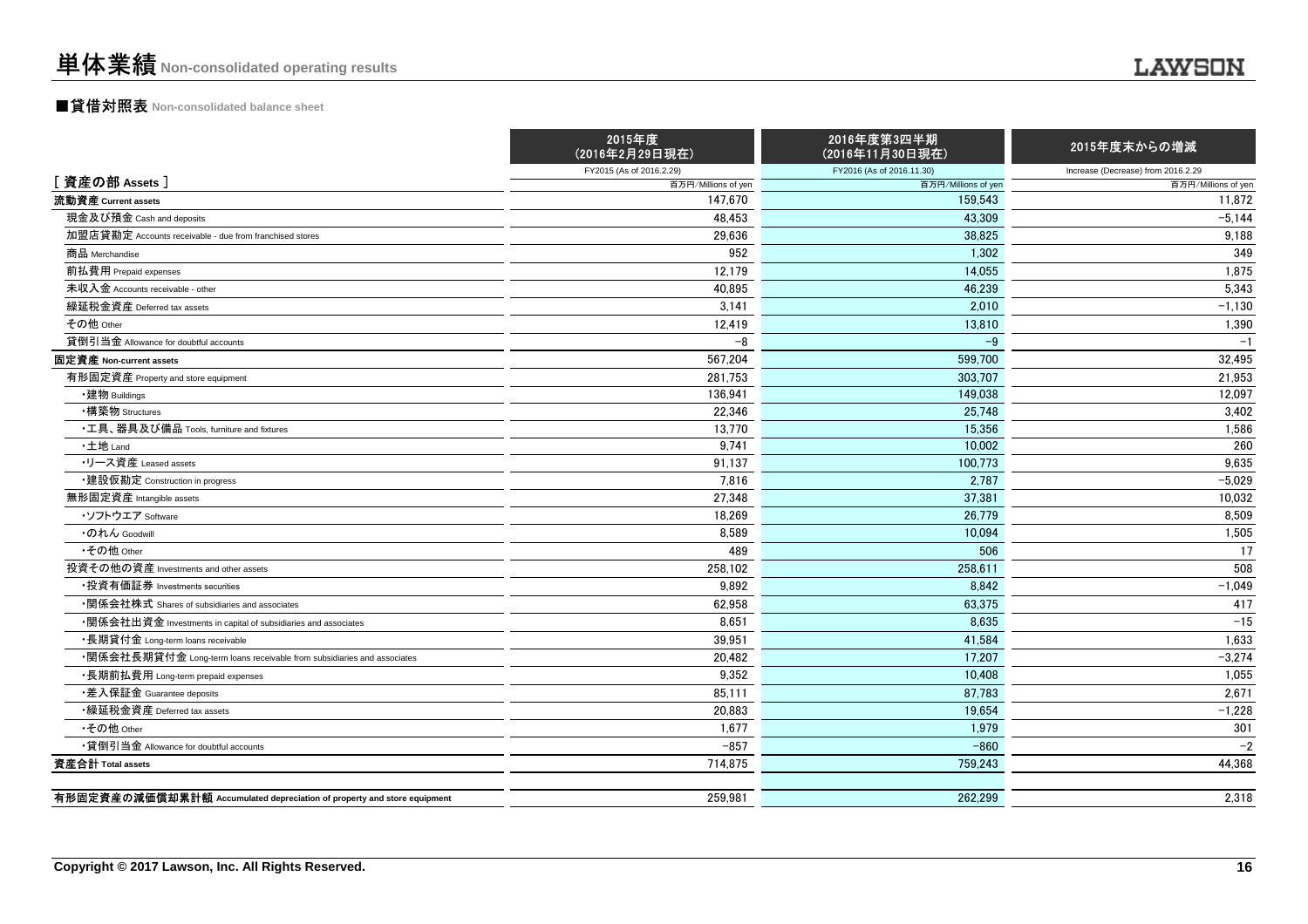### ■貸借対照表 **Non-consolidated balance sheet**

|                                                                         | 2015年度<br>(2016年2月29日現在) | 2016年度第3四半期<br>(2016年11月30日現在) | 2015年度末からの増減                       |
|-------------------------------------------------------------------------|--------------------------|--------------------------------|------------------------------------|
|                                                                         | FY2015 (As of 2016.2.29) | FY2016 (As of 2016.11.30)      | Increase (Decrease) from 2016.2.29 |
| [資産の部 Assets]                                                           | 百万円/Millions of yen      | 百万円/Millions of yen            | 百万円/Millions of yen                |
| 流動資産 Current assets                                                     | 147,670                  | 159.543                        | 11,872                             |
| 現金及び預金 Cash and deposits                                                | 48,453                   | 43.309                         | $-5,144$                           |
| 加盟店貸勘定 Accounts receivable - due from franchised stores                 | 29.636                   | 38.825                         | 9,188                              |
| 商品 Merchandise                                                          | 952                      | 1,302                          | 349                                |
| 前払費用 Prepaid expenses                                                   | 12,179                   | 14.055                         | 1,875                              |
| 未収入金 Accounts receivable - other                                        | 40,895                   | 46,239                         | 5,343                              |
| 繰延税金資産 Deferred tax assets                                              | 3,141                    | 2.010                          | $-1,130$                           |
| その他 Other                                                               | 12,419                   | 13,810                         | 1,390                              |
| 貸倒引当金 Allowance for doubtful accounts                                   | $-8$                     | $-9$                           | $-1$                               |
| 固定資産 Non-current assets                                                 | 567,204                  | 599.700                        | 32,495                             |
| 有形固定資産 Property and store equipment                                     | 281,753                  | 303,707                        | 21,953                             |
| ・建物 Buildings                                                           | 136,941                  | 149,038                        | 12,097                             |
| ・構築物 Structures                                                         | 22,346                   | 25,748                         | 3,402                              |
| ・工具、器具及び備品 Tools, furniture and fixtures                                | 13,770                   | 15,356                         | 1,586                              |
| ·土地 Land                                                                | 9,741                    | 10,002                         | 260                                |
| ・リース資産 Leased assets                                                    | 91,137                   | 100,773                        | 9,635                              |
| ・建設仮勘定 Construction in progress                                         | 7.816                    | 2.787                          | $-5,029$                           |
| 無形固定資産 Intangible assets                                                | 27.348                   | 37.381                         | 10.032                             |
| ・ソフトウエア Software                                                        | 18,269                   | 26.779                         | 8.509                              |
| ・のれん Goodwill                                                           | 8,589                    | 10.094                         | 1,505                              |
| •その他 Other                                                              | 489                      | 506                            | 17                                 |
| 投資その他の資産 Investments and other assets                                   | 258,102                  | 258,611                        | 508                                |
| ・投資有価証券 Investments securities                                          | 9,892                    | 8.842                          | $-1,049$                           |
| ・関係会社株式 Shares of subsidiaries and associates                           | 62,958                   | 63,375                         | 417                                |
| •関係会社出資金 Investments in capital of subsidiaries and associates          | 8,651                    | 8,635                          | $-15$                              |
| ・長期貸付金 Long-term loans receivable                                       | 39,951                   | 41,584                         | 1,633                              |
| •関係会社長期貸付金 Long-term loans receivable from subsidiaries and associates  | 20,482                   | 17,207                         | $-3,274$                           |
| ・長期前払費用 Long-term prepaid expenses                                      | 9,352                    | 10,408                         | 1,055                              |
| •差入保証金 Guarantee deposits                                               | 85,111                   | 87.783                         | 2,671                              |
| •繰延税金資産 Deferred tax assets                                             | 20.883                   | 19.654                         | $-1,228$                           |
| •その他 Other                                                              | 1.677                    | 1,979                          | 301                                |
| •貸倒引当金 Allowance for doubtful accounts                                  | $-857$                   | $-860$                         | $-2$                               |
| 資産合計 Total assets                                                       | 714,875                  | 759,243                        | 44,368                             |
|                                                                         |                          |                                |                                    |
| 有形固定資産の減価償却累計額 Accumulated depreciation of property and store equipment | 259,981                  | 262,299                        | 2,318                              |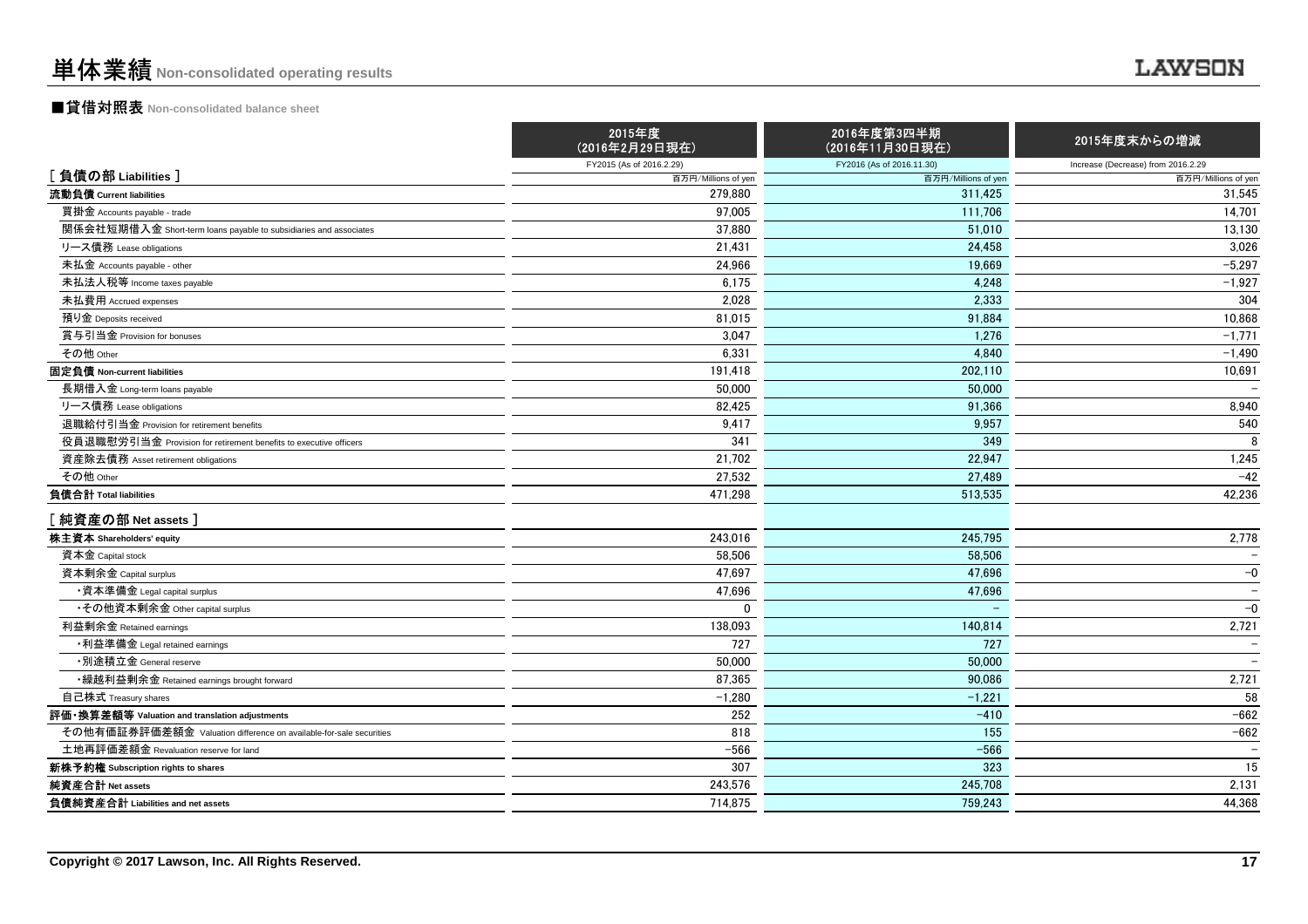## ■貸借対照表 **Non-consolidated balance sheet**

|                                                                    | 2015年度<br>(2016年2月29日現在) | 2016年度第3四半期<br>(2016年11月30日現在) | 2015年度末からの増減                       |
|--------------------------------------------------------------------|--------------------------|--------------------------------|------------------------------------|
|                                                                    | FY2015 (As of 2016.2.29) | FY2016 (As of 2016.11.30)      | Increase (Decrease) from 2016.2.29 |
| [負債の部 Liabilities]                                                 | 百万円/Millions of yen      | 百万円/Millions of yen            | 百万円/Millions of yen                |
| 流動負債 Current liabilities                                           | 279.880                  | 311,425                        | 31,545                             |
| 買掛金 Accounts payable - trade                                       | 97,005                   | 111,706                        | 14,701                             |
| 関係会社短期借入金 Short-term loans payable to subsidiaries and associates  | 37.880                   | 51.010                         | 13,130                             |
| リース債務 Lease obligations                                            | 21,431                   | 24,458                         | 3,026                              |
| 未払金 Accounts payable - other                                       | 24,966                   | 19.669                         | $-5,297$                           |
| 未払法人税等 Income taxes payable                                        | 6.175                    | 4.248                          | $-1,927$                           |
| 未払費用 Accrued expenses                                              | 2,028                    | 2,333                          | 304                                |
| 預り金 Deposits received                                              | 81,015                   | 91,884                         | 10,868                             |
| 賞与引当金 Provision for bonuses                                        | 3.047                    | 1.276                          | $-1,771$                           |
| その他 Other                                                          | 6,331                    | 4,840                          | $-1,490$                           |
| 固定負債 Non-current liabilities                                       | 191,418                  | 202,110                        | 10,691                             |
| 長期借入金 Long-term loans payable                                      | 50,000                   | 50,000                         |                                    |
| リース債務 Lease obligations                                            | 82,425                   | 91,366                         | 8,940                              |
| 退職給付引当金 Provision for retirement benefits                          | 9,417                    | 9,957                          | 540                                |
| 役員退職慰労引当金 Provision for retirement benefits to executive officers  | 341                      | 349                            | 8                                  |
| 資産除去債務 Asset retirement obligations                                | 21,702                   | 22.947                         | 1,245                              |
| その他 Other                                                          | 27,532                   | 27,489                         | $-42$                              |
| 負債合計 Total liabilities                                             | 471.298                  | 513.535                        | 42,236                             |
| 【純資産の部 Net assets】                                                 |                          |                                |                                    |
| 株主資本 Shareholders' equity                                          | 243,016                  | 245,795                        | 2,778                              |
| 資本金 Capital stock                                                  | 58.506                   | 58.506                         |                                    |
| 資本剰余金 Capital surplus                                              | 47,697                   | 47,696                         | $-0$                               |
| •資本準備金 Legal capital surplus                                       | 47,696                   | 47,696                         | $\overline{\phantom{a}}$           |
| ・その他資本剰余金 Other capital surplus                                    | $\mathbf 0$              |                                | $-0$                               |
| 利益剰余金 Retained earnings                                            | 138,093                  | 140,814                        | 2,721                              |
| •利益準備金 Legal retained earnings                                     | 727                      | 727                            | $\overline{\phantom{0}}$           |
| ・別途積立金 General reserve                                             | 50,000                   | 50.000                         |                                    |
| •繰越利益剰余金 Retained earnings brought forward                         | 87,365                   | 90.086                         | 2,721                              |
| 自己株式 Treasury shares                                               | $-1,280$                 | $-1,221$                       | 58                                 |
| 評価・換算差額等 Valuation and translation adjustments                     | 252                      | $-410$                         | $-662$                             |
| その他有価証券評価差額金 Valuation difference on available-for-sale securities | 818                      | 155                            | $-662$                             |
| 土地再評価差額金 Revaluation reserve for land                              | $-566$                   | $-566$                         | $\overline{\phantom{a}}$           |
| 新株予約権 Subscription rights to shares                                | 307                      | 323                            | 15                                 |
| 純資産合計 Net assets                                                   | 243,576                  | 245,708                        | 2,131                              |
| 負債純資産合計 Liabilities and net assets                                 | 714,875                  | 759,243                        | 44,368                             |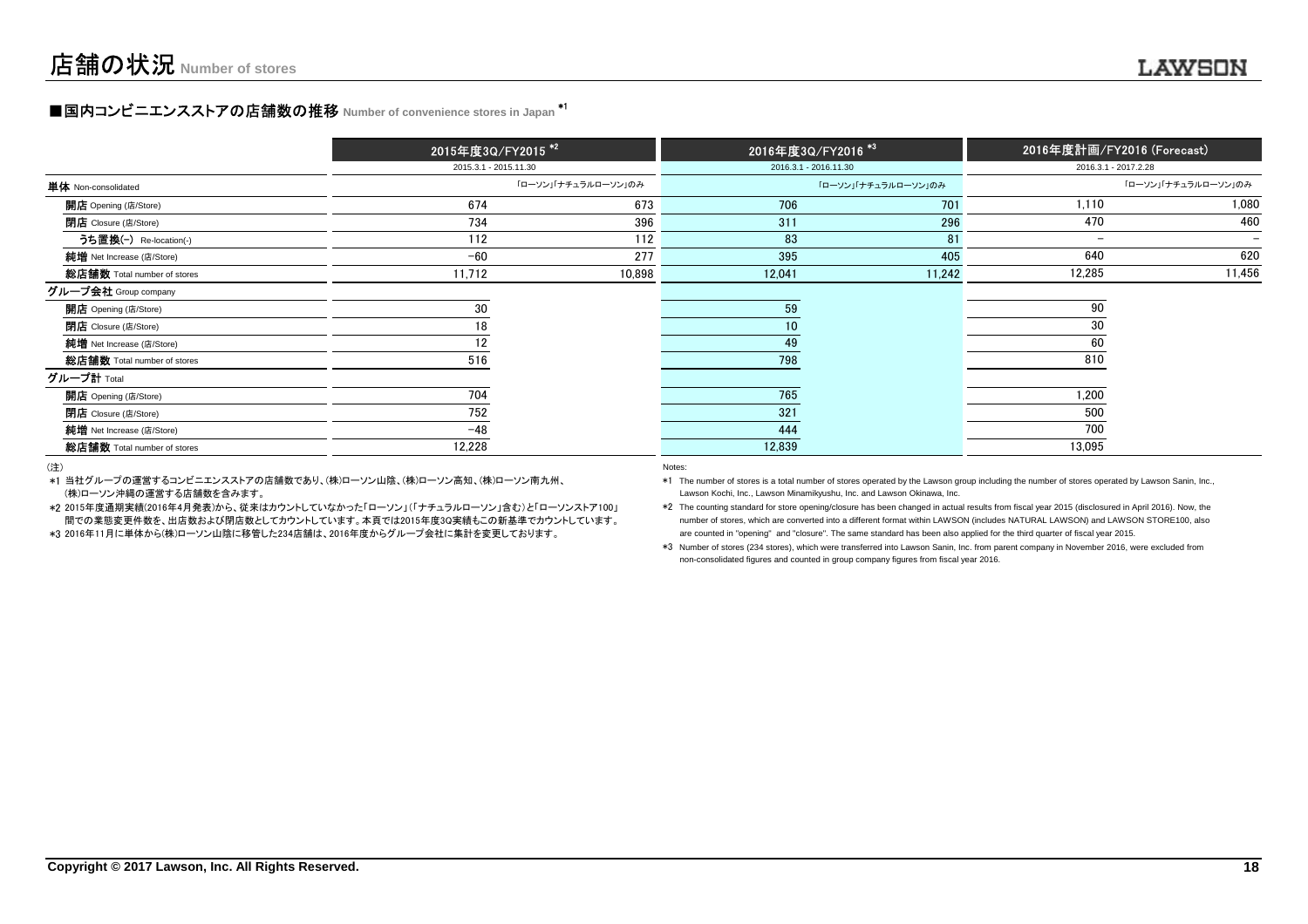### **■国内コンビニエンスストアの店舗数の推移** Number of convenience stores in Japan <sup>\*1</sup>

|                             | 2015年度3Q/FY2015 <sup>*2</sup> |                     |                       | 2016年度3Q/FY2016 <sup>*3</sup> |                          | 2016年度計画/FY2016 (Forecast) |
|-----------------------------|-------------------------------|---------------------|-----------------------|-------------------------------|--------------------------|----------------------------|
|                             | 2015.3.1 - 2015.11.30         |                     | 2016.3.1 - 2016.11.30 |                               | 2016.3.1 - 2017.2.28     |                            |
| <b>単体</b> Non-consolidated  |                               | 「ローソン」「ナチュラルローソン」のみ |                       | 「ローソン」「ナチュラルローソン」のみ           |                          | 「ローソン」「ナチュラルローソン」のみ        |
| <b>開店</b> Opening (店/Store) | 674                           | 673                 | 706                   | 701                           | 1,110                    | 1,080                      |
| 閉店 Closure (店/Store)        | 734                           | 396                 | 311                   | 296                           | 470                      | 460                        |
| うち置換(-) Re-location(-)      | 112                           | 112                 | 83                    | 81                            | $\overline{\phantom{a}}$ | $\overline{\phantom{0}}$   |
| 純增 Net Increase (店/Store)   | $-60$                         | 277                 | 395                   | 405                           | 640                      | 620                        |
| 総店舗数 Total number of stores | 11,712                        | 10,898              | 12,041                | 11,242                        | 12,285                   | 11,456                     |
| グループ会社 Group company        |                               |                     |                       |                               |                          |                            |
| 開店 Opening (店/Store)        | 30                            |                     | 59                    |                               | 90                       |                            |
| <b>閉店</b> Closure (店/Store) | 18                            |                     | 10 <sup>°</sup>       |                               | 30                       |                            |
| 純增 Net Increase (店/Store)   | 12                            |                     | 49                    |                               | 60                       |                            |
| 総店舗数 Total number of stores | 516                           |                     | 798                   |                               | 810                      |                            |
| グループ計 Total                 |                               |                     |                       |                               |                          |                            |
| <b>開店</b> Opening (店/Store) | 704                           |                     | 765                   |                               | 1,200                    |                            |
| 閉店 Closure (店/Store)        | 752                           |                     | 321                   |                               | 500                      |                            |
| 純增 Net Increase (店/Store)   | $-48$                         |                     | 444                   |                               | 700                      |                            |
| 総店舗数 Total number of stores | 12,228                        |                     | 12,839                |                               | 13,095                   |                            |

(注)

- \*1当社グループの運営するコンビニエンスストアの店舗数であり、(株)ローソン山陰、(株)ローソン高知、(株)ローソン南九州、(株)ローソン沖縄の運営する店舗数を含みます。 Lawson Minamikyushu, Inc. and Lawson Cokinawa, Inc. and Lawson Okinawa, Inc.
- \*22015年度通期実績(2016年4月発表)から、従来はカウントしていなかった「ローソン」(「ナチュラルローソン」含む)と「ローソンストア100」間での業態変更件数を、出店数および閉店数としてカウントしています。本頁では2015年度3Q実績もこの新基準でカウントしています。
- \*3 2016年11月に単体から(株)ローソン山陰に移管した234店舗は、2016年度からグループ会社に集計を変更しております。 are counted in "opening" and "closure". The same standard has been also applied for the third quarter of fiscal year 2015.

#### Notes:

- \*1 The number of stores is a total number of stores operated by the Lawson group including the number of stores operated by Lawson Sanin, Inc.,
	- \*2 The counting standard for store opening/closure has been changed in actual results from fiscal year 2015 (disclosured in April 2016). Now, the
	- \*3 Number of stores (234 stores), which were transferred into Lawson Sanin, Inc. from parent company in November 2016, were excluded fromnon-consolidated figures and counted in group company figures from fiscal year 2016.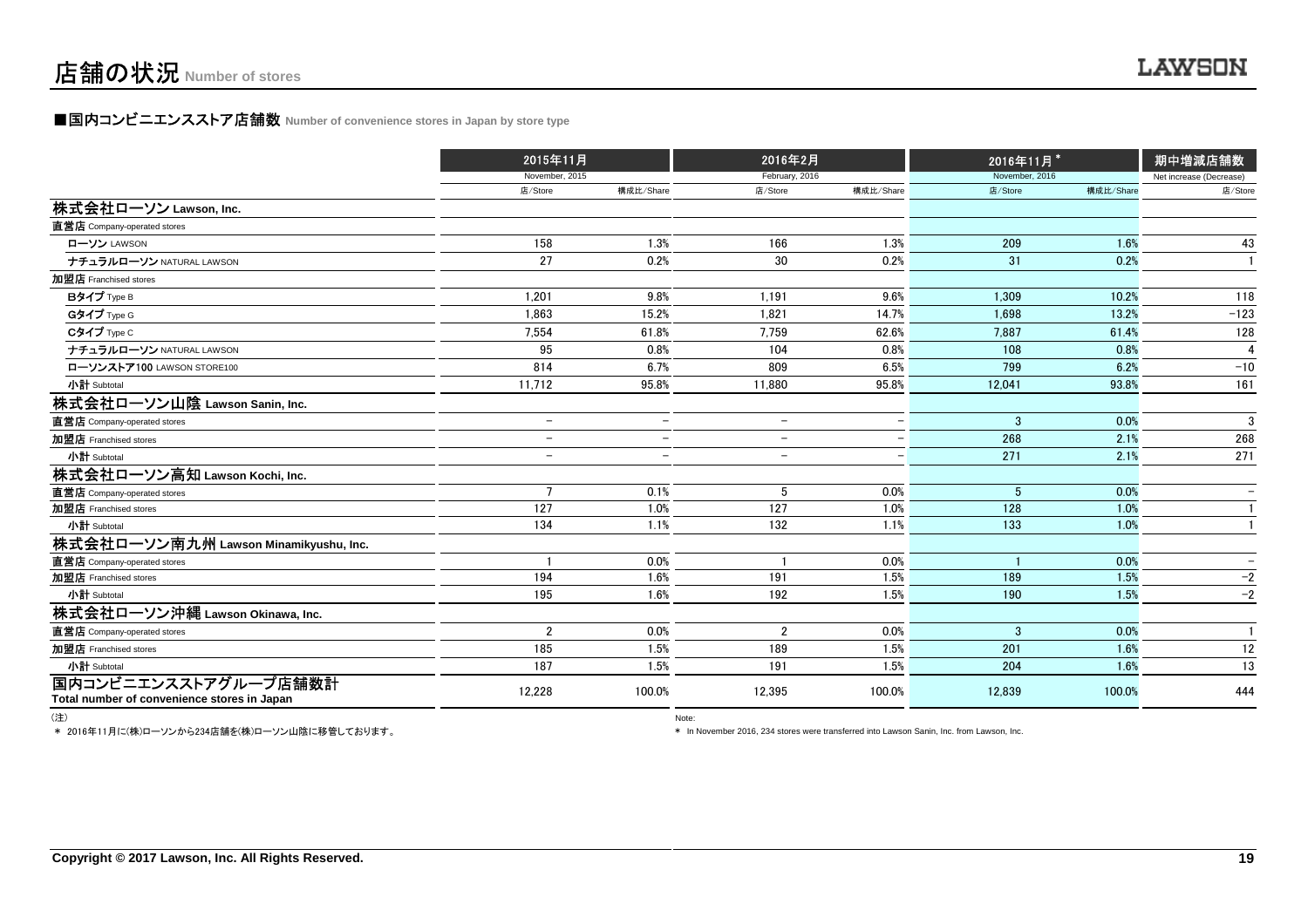### **■国内コンビニエンスストア店舗数 Number of convenience stores in Japan by store type**

|                                             |                          | 2015年11月                 |                          | 2016年2月                  |                | 2016年11月* | 期中増減店舗数                 |
|---------------------------------------------|--------------------------|--------------------------|--------------------------|--------------------------|----------------|-----------|-------------------------|
|                                             | November, 2015           |                          | February, 2016           |                          | November, 2016 |           | Net increase (Decrease) |
|                                             | 店/Store                  | 構成比/Share                | 店/Store                  | 構成比/Share                | 店/Store        | 構成比/Share | 店/Store                 |
| 株式会社ローソン Lawson, Inc.                       |                          |                          |                          |                          |                |           |                         |
| 直営店 Company-operated stores                 |                          |                          |                          |                          |                |           |                         |
| ローソン LAWSON                                 | 158                      | 1.3%                     | 166                      | 1.3%                     | 209            | 1.6%      | 43                      |
| ナチュラルローソン NATURAL LAWSON                    | 27                       | 0.2%                     | 30                       | 0.2%                     | 31             | 0.2%      | $\mathbf{1}$            |
| 加盟店 Franchised stores                       |                          |                          |                          |                          |                |           |                         |
| Bタイプ Type B                                 | 1.201                    | 9.8%                     | 1,191                    | 9.6%                     | 1.309          | 10.2%     | 118                     |
| Gタイプ Type G                                 | 1.863                    | 15.2%                    | 1.821                    | 14.7%                    | 1.698          | 13.2%     | $-123$                  |
| Cタイプ Type C                                 | 7,554                    | 61.8%                    | 7,759                    | 62.6%                    | 7.887          | 61.4%     | 128                     |
| ナチュラルローソン NATURAL LAWSON                    | 95                       | 0.8%                     | 104                      | 0.8%                     | 108            | 0.8%      | Δ                       |
| ローソンストア100 LAWSON STORE100                  | 814                      | 6.7%                     | 809                      | 6.5%                     | 799            | 6.2%      | $-10$                   |
| 小計 Subtotal                                 | 11,712                   | 95.8%                    | 11,880                   | 95.8%                    | 12,041         | 93.8%     | 161                     |
| 株式会社ローソン山陰 Lawson Sanin, Inc.               |                          |                          |                          |                          |                |           |                         |
| 直営店 Company-operated stores                 | $\overline{\phantom{a}}$ | $\overline{\phantom{m}}$ | $\overline{\phantom{0}}$ | $\overline{\phantom{0}}$ | $\mathbf{3}$   | 0.0%      | 3                       |
| 加盟店 Franchised stores                       | $\overline{\phantom{m}}$ | $\overline{\phantom{0}}$ | $\overline{\phantom{0}}$ |                          | 268            | 2.1%      | 268                     |
| 小計 Subtotal                                 |                          | $\overline{\phantom{a}}$ |                          |                          | 271            | 2.1%      | 271                     |
| 株式会社ローソン高知 Lawson Kochi, Inc.               |                          |                          |                          |                          |                |           |                         |
| 直営店 Company-operated stores                 | $\overline{7}$           | 0.1%                     | 5                        | 0.0%                     | 5              | 0.0%      |                         |
| 加盟店 Franchised stores                       | 127                      | 1.0%                     | 127                      | 1.0%                     | 128            | 1.0%      |                         |
| 小計 Subtotal                                 | 134                      | 1.1%                     | 132                      | 1.1%                     | 133            | 1.0%      |                         |
| 株式会社ローソン南九州 Lawson Minamikyushu, Inc.       |                          |                          |                          |                          |                |           |                         |
| 直営店 Company-operated stores                 |                          | 0.0%                     |                          | 0.0%                     |                | 0.0%      |                         |
| 加盟店 Franchised stores                       | 194                      | 1.6%                     | 191                      | 1.5%                     | 189            | 1.5%      | $-2$                    |
| 小計 Subtotal                                 | 195                      | 1.6%                     | 192                      | 1.5%                     | 190            | 1.5%      | $-2$                    |
| 株式会社ローソン沖縄 Lawson Okinawa, Inc.             |                          |                          |                          |                          |                |           |                         |
| 直営店 Company-operated stores                 | $\overline{2}$           | 0.0%                     | $\overline{2}$           | 0.0%                     | 3              | 0.0%      | $\mathbf{1}$            |
| 加盟店 Franchised stores                       | 185                      | 1.5%                     | 189                      | 1.5%                     | 201            | 1.6%      | 12                      |
| 小計 Subtotal                                 | 187                      | 1.5%                     | 191                      | 1.5%                     | 204            | 1.6%      | 13                      |
| 国内コンビニエンスストアグループ店舗数計                        | 12,228                   | 100.0%                   | 12,395                   | 100.0%                   | 12,839         | 100.0%    | 444                     |
| Total number of convenience stores in Japan |                          |                          |                          |                          |                |           |                         |

(注)

\* 2016年11月に(株)ローソンから234店舗を(株)ローソン山陰に移管しております。

where the contract of the contract of the contract of the contract of the contract of the contract of the contract of the contract of the contract of the contract of the contract of the contract of the contract of the cont

\* In November 2016, 234 stores were transferred into Lawson Sanin, Inc. from Lawson, Inc.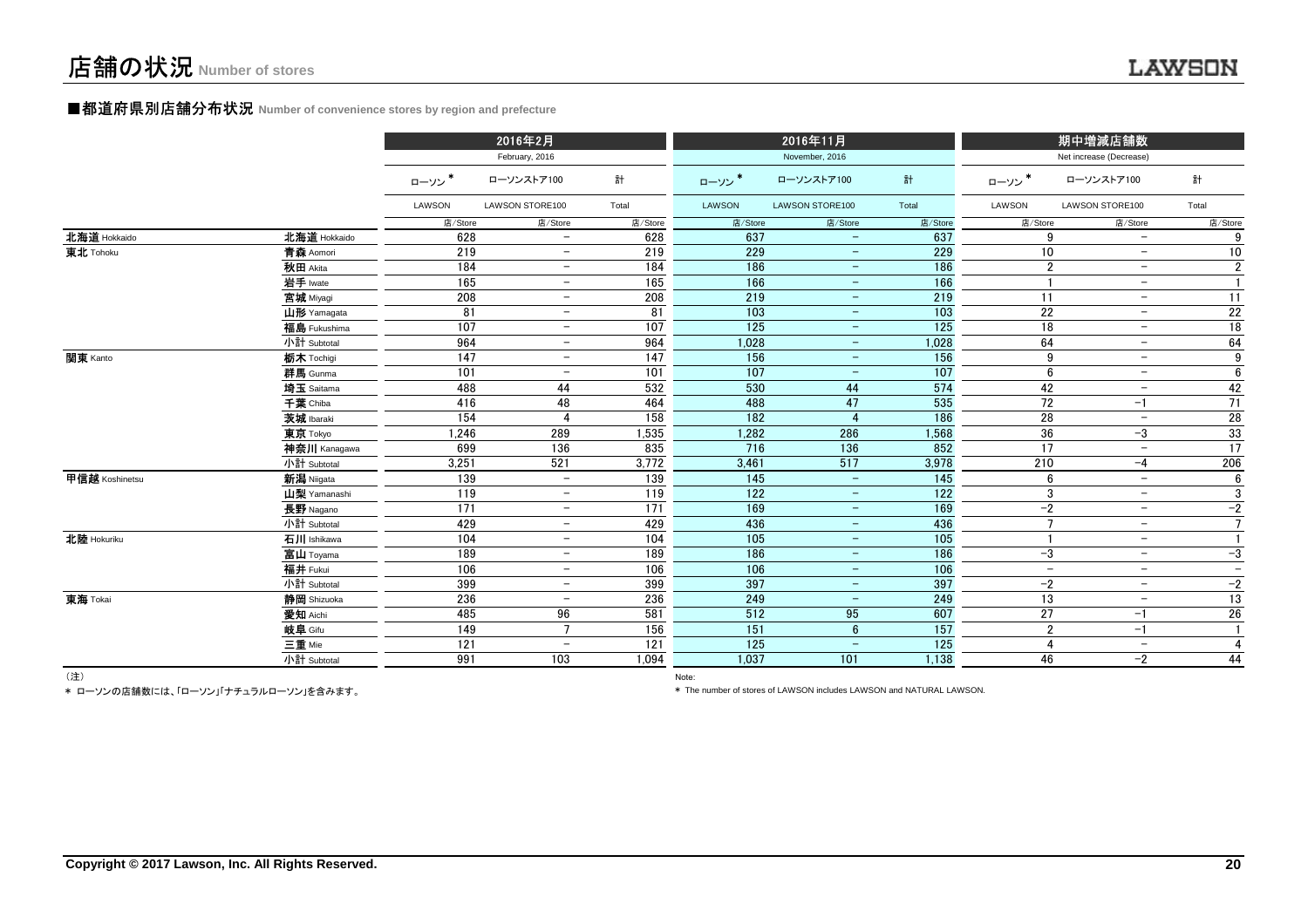### **■都道府県別店舗分布状況** Number of convenience stores by region and prefecture

|                |              |         | 2016年2月                  |         |                  | 2016年11月                 |         |                          | 期中増減店舗数                  |                 |
|----------------|--------------|---------|--------------------------|---------|------------------|--------------------------|---------|--------------------------|--------------------------|-----------------|
|                |              |         | February, 2016           |         |                  | November, 2016           |         |                          | Net increase (Decrease)  |                 |
|                |              | ローソン*   | ローソンストア100               | 計       | ローソン*            | ローソンストア100               | 計       | ローソン                     | ローソンストア100               | 計               |
|                |              | LAWSON  | LAWSON STORE100          | Total   | LAWSON           | LAWSON STORE100          | Total   | LAWSON                   | LAWSON STORE100          | Total           |
|                |              | 店/Store | 店/Store                  | 店/Store | 店/Store          | 店/Store                  | 店/Store | 店/Store                  | 店/Store                  | 店/Store         |
| 北海道 Hokkaido   | 北海道 Hokkaido | 628     | $\overline{\phantom{0}}$ | 628     | 637              | $\overline{\phantom{0}}$ | 637     | 9                        | $\overline{\phantom{a}}$ | 9               |
| 東北 Tohoku      | 青森 Aomori    | 219     |                          | 219     | 229              | $\overline{\phantom{m}}$ | 229     | 10                       | $-$                      | 10              |
|                | 秋田 Akita     | 184     | $\overline{\phantom{m}}$ | 184     | 186              | $\overline{\phantom{m}}$ | 186     | $\overline{2}$           | $\overline{\phantom{m}}$ | $\overline{2}$  |
|                | 岩手 Iwate     | 165     | $\overline{\phantom{m}}$ | 165     | 166              | $\overline{\phantom{m}}$ | 166     |                          | $\overline{\phantom{m}}$ | $\mathbf{1}$    |
|                | 宮城 Miyagi    | 208     | $\overline{\phantom{0}}$ | 208     | 219              | $-$                      | 219     | 11                       | $-$                      | 11              |
|                | 山形 Yamagata  | 81      | $\overline{\phantom{m}}$ | 81      | 103              | $\overline{\phantom{a}}$ | 103     | 22                       | $-$                      | $\overline{22}$ |
|                | 福島 Fukushima | 107     | $\overline{\phantom{m}}$ | 107     | 125              | $\equiv$                 | 125     | 18                       | $\overline{\phantom{m}}$ | 18              |
|                | 小計 Subtotal  | 964     | $\overline{\phantom{0}}$ | 964     | 1,028            | $\equiv$                 | 1,028   | 64                       | $-$                      | 64              |
| 関東 Kanto       | 栃木 Tochigi   | 147     | $\overline{\phantom{0}}$ | 147     | 156              | $-$                      | 156     | 9                        | $-$                      | 9               |
|                | 群馬 Gunma     | 101     | $\overline{\phantom{a}}$ | 101     | 107              | $\overline{\phantom{a}}$ | 107     | 6                        | $\overline{\phantom{m}}$ | 6               |
|                | 埼玉 Saitama   | 488     | 44                       | 532     | 530              | 44                       | 574     | 42                       | $\overline{\phantom{m}}$ | 42              |
|                | 千葉 Chiba     | 416     | 48                       | 464     | 488              | 47                       | 535     | 72                       | $-1$                     | 71              |
|                | 茨城 Ibaraki   | 154     | 4                        | 158     | 182              | $\overline{4}$           | 186     | 28                       | $\overline{\phantom{m}}$ | 28              |
|                | 東京 Tokyo     | 1,246   | 289                      | 1,535   | 1,282            | 286                      | 1,568   | 36                       | -3                       | 33              |
|                | 神奈川 Kanagawa | 699     | 136                      | 835     | 716              | 136                      | 852     | 17                       | $\equiv$                 | 17              |
|                | 小計 Subtotal  | 3,251   | 521                      | 3,772   | 3,461            | 517                      | 3,978   | 210                      | $-4$                     | 206             |
| 甲信越 Koshinetsu | 新潟 Niigata   | 139     | $\overline{\phantom{a}}$ | 139     | 145              | $\qquad \qquad -$        | 145     | 6                        | $\overline{\phantom{m}}$ | 6               |
|                | 山梨 Yamanashi | 119     | $\overline{\phantom{m}}$ | 119     | $\overline{122}$ | $\overline{\phantom{m}}$ | 122     | 3                        | $\overline{\phantom{m}}$ | 3               |
|                | 長野 Nagano    | 171     | $\overline{\phantom{0}}$ | 171     | 169              | $\overline{\phantom{a}}$ | 169     | $-2$                     | $\overline{\phantom{m}}$ | $-2$            |
|                | 小計 Subtotal  | 429     | $\overline{\phantom{m}}$ | 429     | 436              | $\overline{\phantom{a}}$ | 436     | $\overline{7}$           | $\overline{\phantom{m}}$ | $\overline{7}$  |
| 北陸 Hokuriku    | 石川 Ishikawa  | 104     | $\overline{\phantom{a}}$ | 104     | $\frac{105}{2}$  | $\qquad \qquad -$        | 105     |                          | $\overline{\phantom{m}}$ | $\mathbf{1}$    |
|                | 富山 Toyama    | 189     | $\overline{\phantom{m}}$ | 189     | 186              | $\overline{\phantom{m}}$ | 186     | $-3$                     | $\overline{\phantom{m}}$ | $-3$            |
|                | 福井 Fukui     | 106     | $\overline{\phantom{0}}$ | 106     | 106              | $\overline{\phantom{m}}$ | 106     | $\overline{\phantom{a}}$ | $\overline{\phantom{a}}$ | $\equiv$        |
|                | 小計 Subtotal  | 399     | $\overline{\phantom{m}}$ | 399     | 397              | $\qquad \qquad -$        | 397     | $-2$                     | $\overline{\phantom{a}}$ | $-2$            |
| 東海 Tokai       | 静岡 Shizuoka  | 236     | $\overline{\phantom{m}}$ | 236     | 249              | $\overline{\phantom{a}}$ | 249     | $\overline{13}$          | $\overline{\phantom{m}}$ | 13              |
|                | 愛知 Aichi     | 485     | 96                       | 581     | 512              | 95                       | 607     | 27                       | $-1$                     | $26\,$          |
|                | 岐阜 Gifu      | 149     | $\overline{7}$           | 156     | 151              | $6\phantom{.}$           | 157     | $\overline{2}$           | $-1$                     | $\mathbf{1}$    |
|                | 三重 Mie       | 121     | $\overline{\phantom{a}}$ | 121     | 125              | $\equiv$                 | 125     | $\overline{4}$           | $\equiv$                 | $\overline{4}$  |
|                | 小計 Subtotal  | 991     | 103                      | 1,094   | 1,037            | 101                      | 1,138   | 46                       | $-2$                     | 44              |
| $(3+1)$        |              |         |                          |         |                  |                          |         |                          |                          |                 |

(注)

Note: and the contract of the contract of the contract of the contract of the contract of the contract of the contract of the contract of the contract of the contract of the contract of the contract of the contract of the \* ローソンの店舗数には、「ローソン」「ナチュラルローソン」を含みます。

\* The number of stores of LAWSON includes LAWSON and NATURAL LAWSON.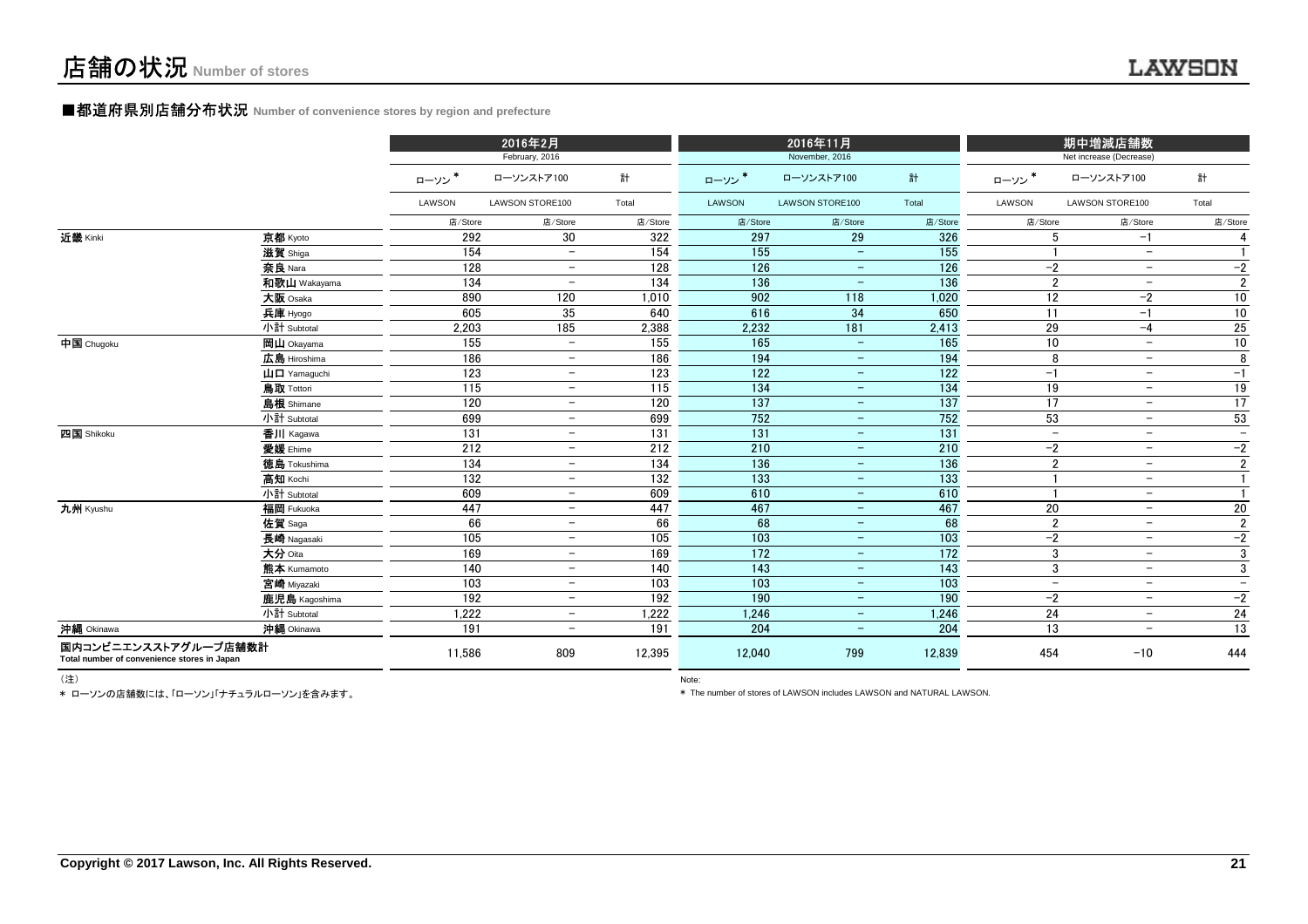#### ■都道府県別店舗分布状況 **Number of convenience stores by region and prefecture**

|                                                                     |                                                      |                  | 2016年2月                  |         |         | 2016年11月                 |                  |                          | 期中増減店舗数                  |                          |
|---------------------------------------------------------------------|------------------------------------------------------|------------------|--------------------------|---------|---------|--------------------------|------------------|--------------------------|--------------------------|--------------------------|
|                                                                     |                                                      |                  | February, 2016           |         |         | November, 2016           |                  |                          | Net increase (Decrease)  |                          |
|                                                                     |                                                      | ローソン             | ローソンストア100               | 計       | ローソン*   | ローソンストア100               | 計                | ローソン*                    | ローソンストア100               | 計                        |
|                                                                     |                                                      | LAWSON           | <b>LAWSON STORE100</b>   | Total   | LAWSON  | <b>LAWSON STORE100</b>   | Total            | LAWSON                   | <b>LAWSON STORE100</b>   | Total                    |
|                                                                     |                                                      | 店/Store          | 店/Store                  | 店/Store | 店/Store | 店/Store                  | 店/Store          | 店/Store                  | 店/Store                  | 店/Store                  |
| 近畿 Kinki                                                            | 京都 Kyoto                                             | 292              | 30                       | 322     | 297     | 29                       | 326              | 5                        | $-1$                     | 4                        |
|                                                                     | 滋賀 Shiga                                             | 154              | $\overline{\phantom{a}}$ | 154     | 155     |                          | 155              |                          | $\qquad \qquad -$        | $\mathbf{1}$             |
|                                                                     | 奈良 Nara                                              | 128              | $\overline{\phantom{m}}$ | 128     | 126     | $\qquad \qquad -$        | 126              | $-2$                     | $\overline{\phantom{a}}$ | $-2$                     |
|                                                                     | 和歌山 Wakayama                                         | 134              | $\overline{\phantom{m}}$ | 134     | 136     | $\qquad \qquad -$        | 136              | $\overline{2}$           | $\overline{\phantom{m}}$ | $\overline{2}$           |
|                                                                     | 大阪 Osaka                                             | 890              | 120                      | 1.010   | 902     | 118                      | 1,020            | 12                       | $-2$                     | 10                       |
|                                                                     | 兵庫 Hyogo                                             | 605              | 35                       | 640     | 616     | 34                       | 650              | 11                       | $-1$                     | $10\,$                   |
|                                                                     | 小計 Subtotal                                          | 2,203            | 185                      | 2,388   | 2,232   | 181                      | 2,413            | 29                       | $-4$                     | 25                       |
| 中国 Chugoku                                                          | 岡山 Okayama                                           | 155              | $\sim$                   | 155     | 165     | $\equiv$                 | 165              | 10                       | $\overline{a}$           | 10                       |
|                                                                     | 広島 Hiroshima                                         | 186              | $\qquad \qquad -$        | 186     | 194     | $\overline{\phantom{0}}$ | 194              | 8                        | $\overline{\phantom{a}}$ | 8                        |
|                                                                     | $\mathbf{\dot{\mathsf{H}}}$ $\mathbf{\Pi}$ Yamaquchi | 123              | $\overline{\phantom{m}}$ | 123     | 122     | $\qquad \qquad -$        | 122              | $-1$                     | $\overline{\phantom{m}}$ | $-1$                     |
|                                                                     | 鳥取 Tottori                                           | 115              | $\overline{\phantom{a}}$ | 115     | 134     | $\overline{\phantom{0}}$ | 134              | 19                       | $\overline{\phantom{a}}$ | 19                       |
|                                                                     | 島根 Shimane                                           | 120              | $-$                      | 120     | 137     | $\overline{\phantom{0}}$ | $\overline{137}$ | $\overline{17}$          | $\overline{\phantom{a}}$ | 17                       |
|                                                                     | 小計 Subtotal                                          | 699              | $\overline{\phantom{a}}$ | 699     | 752     | $\qquad \qquad -$        | 752              | 53                       | $\overline{\phantom{m}}$ | 53                       |
| 四国 Shikoku                                                          | 香川 Kagawa                                            | $\overline{131}$ | $\overline{\phantom{a}}$ | 131     | 131     | $\overline{\phantom{0}}$ | 131              | $\overline{\phantom{a}}$ | $\overline{\phantom{a}}$ | $-$                      |
|                                                                     | 愛媛 Ehime                                             | 212              | $\overline{\phantom{a}}$ | 212     | 210     | $\equiv$                 | 210              | $-2$                     | $\overline{\phantom{m}}$ | $-2$                     |
|                                                                     | 徳島 Tokushima                                         | 134              | $\equiv$                 | 134     | 136     | $\equiv$                 | 136              | $\overline{2}$           | $\overline{\phantom{a}}$ | $\overline{2}$           |
|                                                                     | 高知 Kochi                                             | 132              | $-$                      | 132     | 133     | $\qquad \qquad -$        | 133              | $\overline{1}$           | $\overline{\phantom{m}}$ | $\mathbf{1}$             |
|                                                                     | 小計 Subtotal                                          | 609              | $\qquad \qquad -$        | 609     | 610     | $\overline{\phantom{m}}$ | 610              | -1                       | $\overline{\phantom{m}}$ | $\mathbf{1}$             |
| 九州 Kyushu                                                           | 福岡 Fukuoka                                           | 447              | $\sim$                   | 447     | 467     | $ \,$                    | 467              | 20                       | $\equiv$                 | 20                       |
|                                                                     | 佐賀 Saga                                              | 66               | $-$                      | 66      | 68      | $\equiv$                 | 68               | $\overline{2}$           | $\qquad \qquad -$        | $\overline{2}$           |
|                                                                     | 長崎 Nagasaki                                          | 105              | $-$                      | 105     | 103     | $\overline{\phantom{0}}$ | 103              | $-2$                     | $\overline{\phantom{m}}$ | $-2$                     |
|                                                                     | 大分 Oita                                              | 169              | $\overline{\phantom{a}}$ | 169     | 172     | $\overline{\phantom{0}}$ | 172              | 3                        | $\overline{\phantom{m}}$ | 3                        |
|                                                                     | 熊本 Kumamoto                                          | 140              | $\equiv$                 | 140     | 143     | $\overline{\phantom{0}}$ | 143              | 3                        | $\qquad \qquad -$        | 3                        |
|                                                                     | 宮崎 Miyazaki                                          | 103              | $\overline{\phantom{m}}$ | 103     | 103     | $\overline{\phantom{0}}$ | 103              | $\qquad \qquad -$        | $\overline{\phantom{a}}$ | $\overline{\phantom{m}}$ |
|                                                                     | 鹿児島 Kagoshima                                        | 192              | $\overline{\phantom{m}}$ | 192     | 190     | $\overline{\phantom{0}}$ | 190              | $-2$                     | $\overline{\phantom{a}}$ | $-2$                     |
|                                                                     | 小計 Subtotal                                          | 1,222            | $\overline{\phantom{m}}$ | 1,222   | 1,246   | $\qquad \qquad -$        | 1,246            | 24                       | $\overline{\phantom{a}}$ | $\overline{24}$          |
| 沖縄 Okinawa                                                          | 沖縄 Okinawa                                           | 191              | $\overline{\phantom{0}}$ | 191     | 204     | $\overline{\phantom{0}}$ | 204              | 13                       | $\overline{\phantom{0}}$ | 13                       |
| 国内コンビニエンスストアグループ店舗数計<br>Total number of convenience stores in Japan |                                                      | 11.586           | 809                      | 12,395  | 12.040  | 799                      | 12,839           | 454                      | $-10$                    | 444                      |

(注)

\* ローソンの店舗数には、「ローソン」「ナチュラルローソン」を含みます。

Note: and the contract of the contract of the contract of the contract of the contract of the contract of the contract of the contract of the contract of the contract of the contract of the contract of the contract of the

\* The number of stores of LAWSON includes LAWSON and NATURAL LAWSON.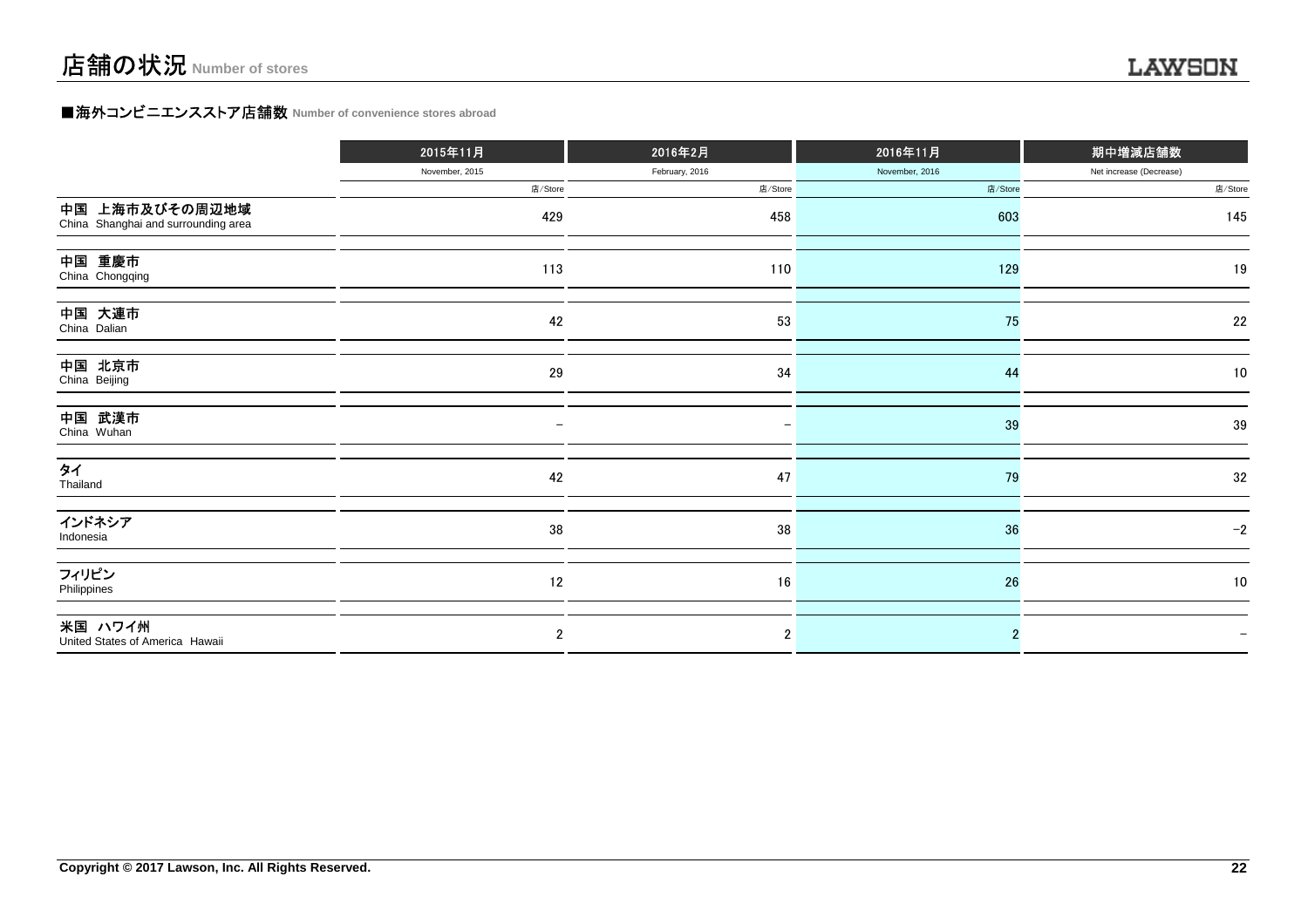### **■海外コンビニエンスストア店舗数 Number of convenience stores abroad**

|                                                       | 2015年11月       | 2016年2月        | 2016年11月       | 期中増減店舗数                 |
|-------------------------------------------------------|----------------|----------------|----------------|-------------------------|
|                                                       | November, 2015 | February, 2016 | November, 2016 | Net increase (Decrease) |
|                                                       | 店/Store        | 店/Store        | 店/Store        | 店/Store                 |
| 中国 上海市及びその周辺地域<br>China Shanghai and surrounding area | 429            | 458            | 603            | 145                     |
| 中国 重慶市<br>China Chongqing                             | 113            | 110            | 129            | 19                      |
| 中国 大連市<br>China Dalian                                | 42             | 53             | 75             | 22                      |
| 中国 北京市<br>China Beijing                               | 29             | 34             | 44             | 10                      |
| 中国 武漢市<br>China Wuhan                                 |                |                | 39             | 39                      |
| タイ<br>Thailand                                        | 42             | 47             | 79             | $32\,$                  |
| インドネシア<br>Indonesia                                   | $38\,$         | 38             | 36             | $-2$                    |
| フィリピン<br>Philippines                                  | 12             | 16             | 26             | 10                      |
| 米国 ハワイ州<br>United States of America Hawaii            | $\mathbf{2}$   | $\overline{2}$ |                |                         |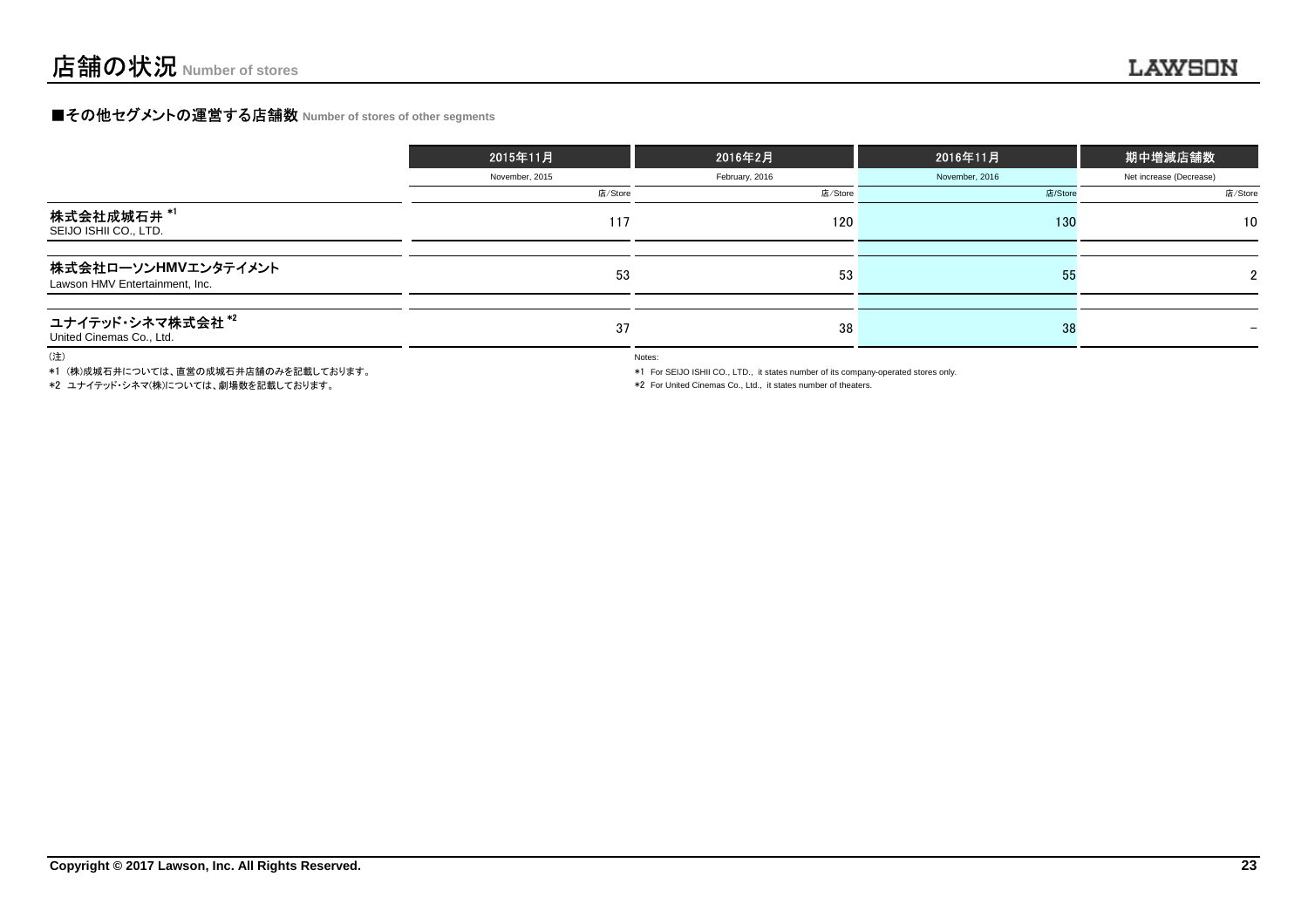### **■その他セグメントの運営する店舗数 Number of stores of other segments**

|                                                       | 2015年11月       | 2016年2月        | 2016年11月       | 期中増減店舗数                 |
|-------------------------------------------------------|----------------|----------------|----------------|-------------------------|
|                                                       | November, 2015 | February, 2016 | November, 2016 | Net increase (Decrease) |
|                                                       | 店/Store        | 店/Store        | 店/Store        | 店/Store                 |
| 株式会社成城石井 *1<br>SEIJO ISHII CO., LTD.                  | 117            | 120            | 130            | 10 <sup>°</sup>         |
| 株式会社ローソンHMVエンタテイメント<br>Lawson HMV Entertainment, Inc. | 53             | 53             | 55             |                         |
| ユナイテッド・シネマ株式会社*2<br>United Cinemas Co., Ltd.          | 37             | 38             | 38             |                         |

(注)

\*1 (株)成城石井については、直営の成城石井店舗のみを記載しております。

\*2 ユナイテッド・シネマ(株)については、劇場数を記載しております。

Notes:

\*1 For SEIJO ISHII CO., LTD., it states number of its company-operated stores only.

\*2 For United Cinemas Co., Ltd., it states number of theaters.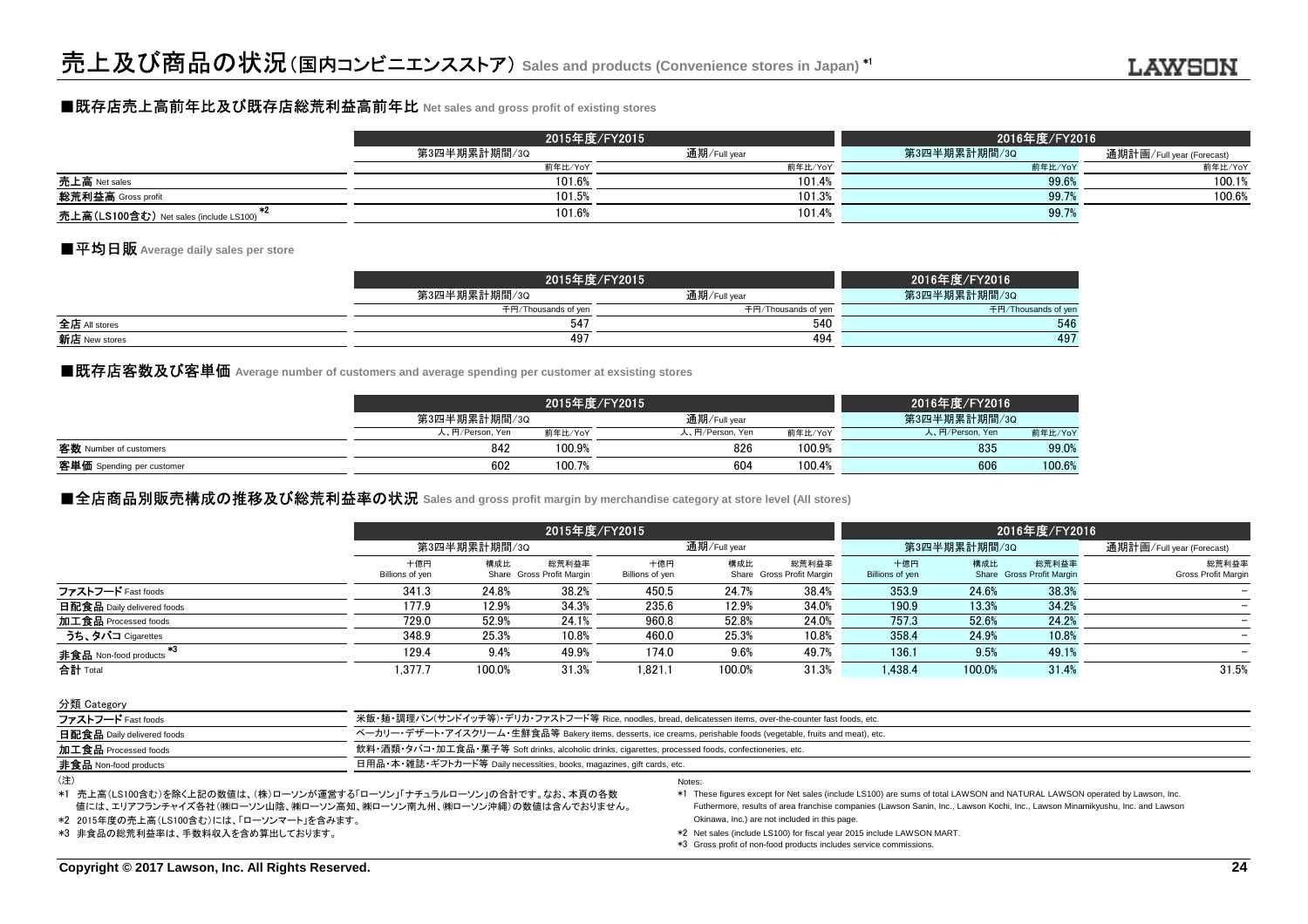### ■既存店売上高前年比及び既存店総荒利益高前年比 **Net sales and gross profit of existing stores**

|                                        | 2015年度/FY2015 |              | 2016年度/FY2016 |                           |  |  |
|----------------------------------------|---------------|--------------|---------------|---------------------------|--|--|
|                                        | 第3四半期累計期間/3Q  | 通期/Full year | 第3四半期累計期間/3Q  | 通期計画/Full year (Forecast) |  |  |
|                                        | 前年比/YoY       | 前年比/YoY      | 前年比/YoY       | 前年比/YoY                   |  |  |
| 売上高 Net sales                          | 101.6%        | 101.4%       | 99.6%         | 100.1%                    |  |  |
| 総荒利益高 Gross profit                     | 101.5%        | 101.3%       | 99.7%         | 100.6%                    |  |  |
| 売上高(LS100含む) Net sales (include LS100) | 101.6%        | 101.4%       | 99.7%         |                           |  |  |

### ■平均日販 **Average daily sales per store**

|               | 2015年度/FY2015       |                     | 2016年度/FY2016       |
|---------------|---------------------|---------------------|---------------------|
|               | 第3四半期累計期間/3Q        | 通期/Full year        | 第3四半期累計期間/3Q        |
|               | 千円/Thousands of yen | 千円/Thousands of yen | 千円/Thousands of yer |
| 全店 All stores | 547                 | 540                 | 546                 |
| 新店 New stores | 497                 | 494                 | 497                 |
|               |                     |                     |                     |

■既存店客数及び客単価 Average number of customers and average spending per customer at exsisting stores<br>→

|                           |                 | 2015年度/FY2015 |                 |         |                 |         |
|---------------------------|-----------------|---------------|-----------------|---------|-----------------|---------|
|                           | 第3四半期累計期間/3Q    |               | 通期/Full vear    |         | 第3四半期累計期間/3Q    |         |
|                           | 人、円/Person, Yen | 前年比/YoY       | 人、円/Person, Yen | 前年比/YoY | 人、円/Person, Yen | 前年比/YoY |
| 客数 Number of customers    | 842             | 100.9%        | 826             | 100.9%  | 835             | 99.0%   |
| 客単価 Spending per customer | 602             | 100.7%        | 604             | 100.4%  | 606             | 100.6%  |
|                           |                 |               |                 |         |                 |         |

### **■全店商品別販売構成の推移及び総荒利益率の状況** Sales and gross profit margin by merchandise category at store level (All stores)<br>→

|                                |                        | 2015年度/FY2015 |                                    |                        |              |                                    | 2016年度/FY2016          |              |                                    |                                     |
|--------------------------------|------------------------|---------------|------------------------------------|------------------------|--------------|------------------------------------|------------------------|--------------|------------------------------------|-------------------------------------|
|                                |                        | 第3四半期累計期間/3Q  |                                    |                        | 通期/Full year |                                    |                        | 第3四半期累計期間/3Q | 通期計画/Full year (Forecast)          |                                     |
|                                | 十億円<br>Billions of yen | 構成比           | 総荒利益率<br>Share Gross Profit Margin | 十億円<br>Billions of yen | 構成比          | 総荒利益率<br>Share Gross Profit Margin | 十億円<br>Billions of yen | 構成比          | 総荒利益率<br>Share Gross Profit Margin | 総荒利益率<br><b>Gross Profit Margin</b> |
| ファストフード Fast foods             | 341.3                  | 24.8%         | 38.2%                              | 450.5                  | 24.7%        | 38.4%                              | 353.9                  | 24.6%        | 38.3%                              |                                     |
| 日配食品 Daily delivered foods     | 177.9                  | 12.9%         | 34.3%                              | 235.6                  | 12.9%        | 34.0%                              | 190.9                  | 13.3%        | 34.2%                              |                                     |
| 加工食品 Processed foods           | 729.0                  | 52.9%         | 24.1%                              | 960.8                  | 52.8%        | 24.0%                              | 757.3                  | 52.6%        | 24.2%                              |                                     |
| うち、タバコ Cigarettes              | 348.9                  | 25.3%         | 10.8%                              | 460.0                  | 25.3%        | 10.8%                              | 358.4                  | 24.9%        | 10.8%                              |                                     |
| - * 3<br>非食品 Non-food products | 129.4                  | 9.4%          | 49.9%                              | 174.0                  | 9.6%         | 49.7%                              | 136.1                  | 9.5%         | 49.1%                              |                                     |
| 合計 Total                       | 1,377.7                | 100.0%        | 31.3%                              | 1.821.1                | 100.0%       | 31.3%                              | 1.438.4                | 100.0%       | 31.4%                              | 31.5%                               |

分類 Category

| $\frac{1}{2}$                |                                                                                                                  |  |  |  |  |
|------------------------------|------------------------------------------------------------------------------------------------------------------|--|--|--|--|
| ファストフード Fast foods           | 米飯・麺・調理パン(サンドイッチ等)・デリカ・ファストフード等 Rice, noodles, bread, delicatessen items, over-the-counter fast foods, etc.      |  |  |  |  |
| 日配食品 Daily delivered foods   | ベーカリー・デザート・アイスクリーム・生鮮食品等 Bakery items, desserts, ice creams, perishable foods (vegetable, fruits and meat), etc. |  |  |  |  |
| 加工食品 Processed foods         | 飲料・酒類・タバコ・加工食品・菓子等 Soft drinks, alcoholic drinks, cigarettes, processed foods, confectioneries, etc.             |  |  |  |  |
| <b>非食品</b> Non-food products | 日用品・本・雑誌・ギフトカード等 Daily necessities, books, magazines, gift cards, etc.                                           |  |  |  |  |
| $\lambda$                    |                                                                                                                  |  |  |  |  |

<sup>(</sup>注)

\*1 売上高(LS100含む)を除く上記の数値は、(株)ローソンが運営する「ローソン」「ナチュラルローソン」の合計です。なお、本頁の各数 値には、エリアフランチャイズ各社(㈱ローソン山陰、㈱ローソン高知、㈱ローソン南九州、㈱ローソン沖縄)の数値は含んでおりません。

\*2 2015年度の売上高(LS100含む)には、「ローソンマート」を含みます。

\*3 非食品の総荒利益率は、手数料収入を含め算出しております。

Notes:

数 \*1 These figures except for Net sales (include LS100) are sums of total LAWSON and NATURAL LAWSON operated by Lawson, Inc.<br>H 4. Futhermore results of area franchise companies (Lawson Sanin, Inc. Lawson Kochi Futhermore, results of area franchise companies (Lawson Sanin, Inc., Lawson Kochi, Inc., Lawson Minamikyushu, Inc. and LawsonOkinawa, Inc.) are not included in this page.

\*2 Net sales (include LS100) for fiscal year 2015 include LAWSON MART.

\*3 Gross profit of non-food products includes service commissions.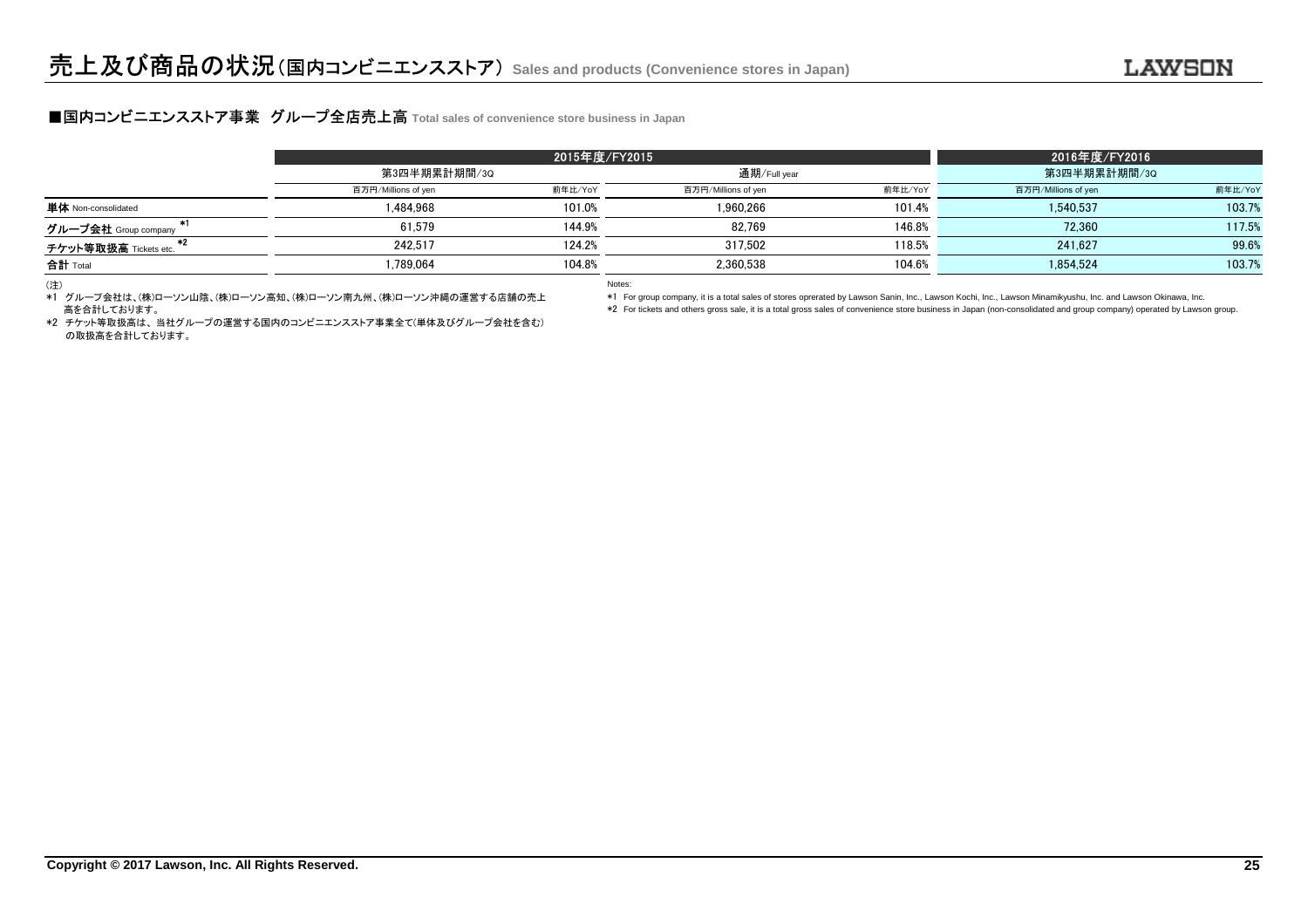### **■国内コンビニエンスストア事業 グループ全店売上高** Total sales of convenience store business in Japan<br>■

|                                     | 第3四半期累計期間/3Q        |         | 通期/Full year        |         | 第3四半期累計期間/3Q        |         |  |
|-------------------------------------|---------------------|---------|---------------------|---------|---------------------|---------|--|
|                                     | 百万円/Millions of yen | 前年比/YoY | 百万円/Millions of yen | 前年比/YoY | 百万円/Millions of yen | 前年比/YoY |  |
| <b>単体</b> Non-consolidated          | 1.484.968           | 101.0%  | 1.960.266           | 101.4%  | 1.540.537           | 103.7%  |  |
| グループ会社 Group company                | 61.579              | 144.9%  | 82.769              | 146.8%  | 72.360              | 117.5%  |  |
| チケット等取扱高 Tickets etc.               | 242.517             | 124.2%  | 317.502             | 118.5%  | 241.627             | 99.6%   |  |
| 合計 Total                            | .789.064            | 104.8%  | 2.360.538           | 104.6%  | 1.854.524           | 103.7%  |  |
| the contract of the contract of the |                     |         |                     |         |                     |         |  |

(注)

 \*1 グループ会社は、(株)ローソン山陰、(株)ローソン高知、(株)ローソン南九州、(株)ローソン沖縄の運営する店舗の売上高を合計しております。

Notes:

\*1 For group company, it is a total sales of stores oprerated by Lawson Sanin, Inc., Lawson Kochi, Inc., Lawson Minamikyushu, Inc. and Lawson Okinawa, Inc.

\*2 For tickets and others gross sale, it is a total gross sales of convenience store business in Japan (non-consolidated and group company) operated by Lawson group.

 \*2 チケット等取扱高は、 当社グループの運営する国内のコンビニエンスストア事業全て(単体及びグループ会社を含む)の取扱高を合計しております。